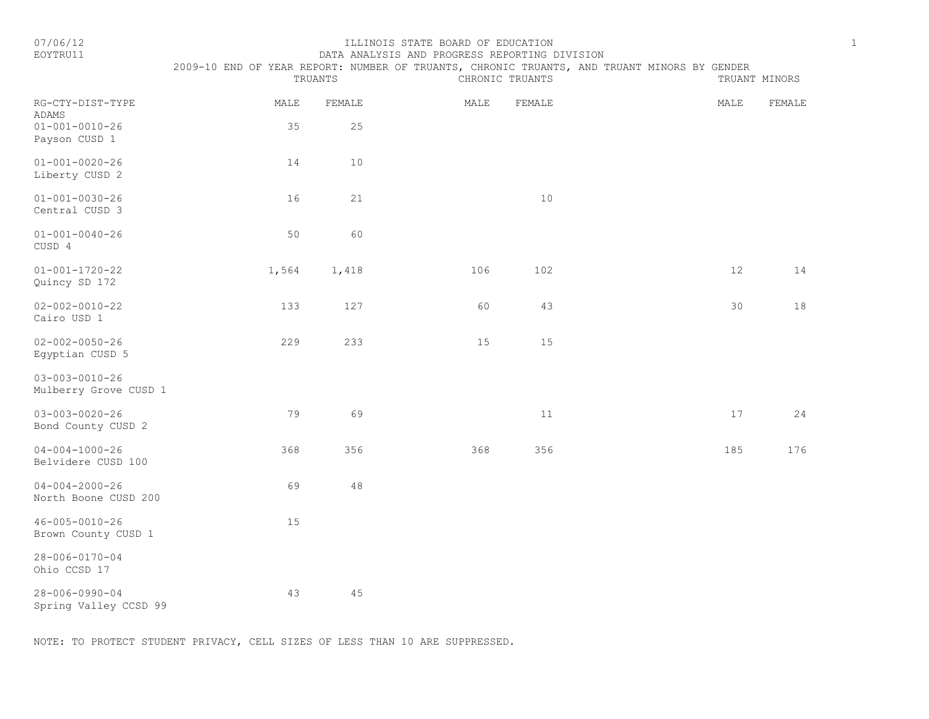#### EOYTRU11 DATA ANALYSIS AND PROGRESS REPORTING DIVISION

|                                                     | 2009-10 END OF YEAR REPORT: NUMBER OF TRUANTS, CHRONIC TRUANTS, AND TRUANT MINORS BY GENDER | TRUANTS      |      | CHRONIC TRUANTS |      | TRUANT MINORS |
|-----------------------------------------------------|---------------------------------------------------------------------------------------------|--------------|------|-----------------|------|---------------|
| RG-CTY-DIST-TYPE<br>ADAMS<br>$01 - 001 - 0010 - 26$ | MALE<br>35                                                                                  | FEMALE<br>25 | MALE | FEMALE          | MALE | FEMALE        |
| Payson CUSD 1                                       |                                                                                             |              |      |                 |      |               |
| $01 - 001 - 0020 - 26$<br>Liberty CUSD 2            | 14                                                                                          | $10$         |      |                 |      |               |
| $01 - 001 - 0030 - 26$<br>Central CUSD 3            | 16                                                                                          | 21           |      | $10$            |      |               |
| $01 - 001 - 0040 - 26$<br>CUSD 4                    | 50                                                                                          | 60           |      |                 |      |               |
| $01 - 001 - 1720 - 22$<br>Quincy SD 172             | 1,564                                                                                       | 1,418        | 106  | 102             | 12   | 14            |
| $02 - 002 - 0010 - 22$<br>Cairo USD 1               | 133                                                                                         | 127          | 60   | 43              | 30   | 18            |
| $02 - 002 - 0050 - 26$<br>Egyptian CUSD 5           | 229                                                                                         | 233          | 15   | 15              |      |               |
| $03 - 003 - 0010 - 26$<br>Mulberry Grove CUSD 1     |                                                                                             |              |      |                 |      |               |
| $03 - 003 - 0020 - 26$<br>Bond County CUSD 2        | 79                                                                                          | 69           |      | 11              | $17$ | 24            |
| $04 - 004 - 1000 - 26$<br>Belvidere CUSD 100        | 368                                                                                         | 356          | 368  | 356             | 185  | 176           |
| $04 - 004 - 2000 - 26$<br>North Boone CUSD 200      | 69                                                                                          | 48           |      |                 |      |               |
| $46 - 005 - 0010 - 26$<br>Brown County CUSD 1       | 15                                                                                          |              |      |                 |      |               |
| $28 - 006 - 0170 - 04$<br>Ohio CCSD 17              |                                                                                             |              |      |                 |      |               |
| $28 - 006 - 0990 - 04$<br>Spring Valley CCSD 99     | 43                                                                                          | 45           |      |                 |      |               |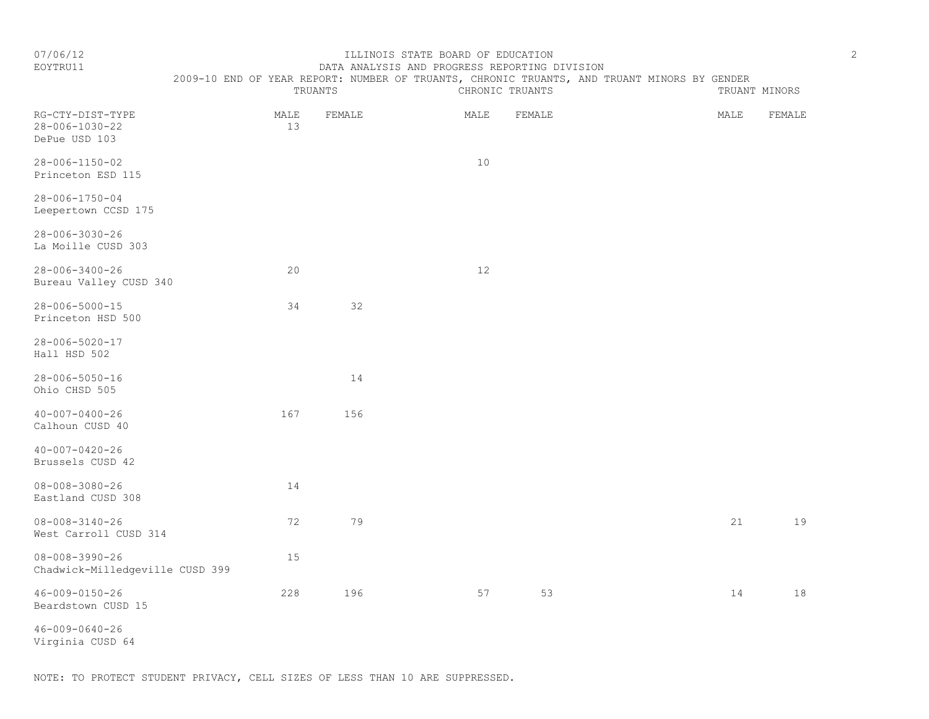#### EOYTRU11 DATA ANALYSIS AND PROGRESS REPORTING DIVISION 2009-10 END OF YEAR REPORT: NUMBER OF TRUANTS, CHRONIC TRUANTS, AND TRUANT MINORS BY GENDER

TRUANTS CHRONIC TRUANTS TRUANT MINORS

| RG-CTY-DIST-TYPE<br>28-006-1030-22<br>DePue USD 103       | MALE<br>13 | FEMALE | MALE | FEMALE | MALE | FEMALE |
|-----------------------------------------------------------|------------|--------|------|--------|------|--------|
| 28-006-1150-02<br>Princeton ESD 115                       |            |        | 10   |        |      |        |
| $28 - 006 - 1750 - 04$<br>Leepertown CCSD 175             |            |        |      |        |      |        |
| $28 - 006 - 3030 - 26$<br>La Moille CUSD 303              |            |        |      |        |      |        |
| $28 - 006 - 3400 - 26$<br>Bureau Valley CUSD 340          | 20         |        | 12   |        |      |        |
| $28 - 006 - 5000 - 15$<br>Princeton HSD 500               | 34         | 32     |      |        |      |        |
| 28-006-5020-17<br>Hall HSD 502                            |            |        |      |        |      |        |
| $28 - 006 - 5050 - 16$<br>Ohio CHSD 505                   |            | 14     |      |        |      |        |
| $40 - 007 - 0400 - 26$<br>Calhoun CUSD 40                 | 167        | 156    |      |        |      |        |
| $40 - 007 - 0420 - 26$<br>Brussels CUSD 42                |            |        |      |        |      |        |
| $08 - 008 - 3080 - 26$<br>Eastland CUSD 308               | 14         |        |      |        |      |        |
| $08 - 008 - 3140 - 26$<br>West Carroll CUSD 314           | 72         | 79     |      |        | 21   | 19     |
| $08 - 008 - 3990 - 26$<br>Chadwick-Milledgeville CUSD 399 | 15         |        |      |        |      |        |
| $46 - 009 - 0150 - 26$<br>Beardstown CUSD 15              | 228        | 196    | 57   | 53     | 14   | 18     |
| $46 - 009 - 0640 - 26$                                    |            |        |      |        |      |        |

Virginia CUSD 64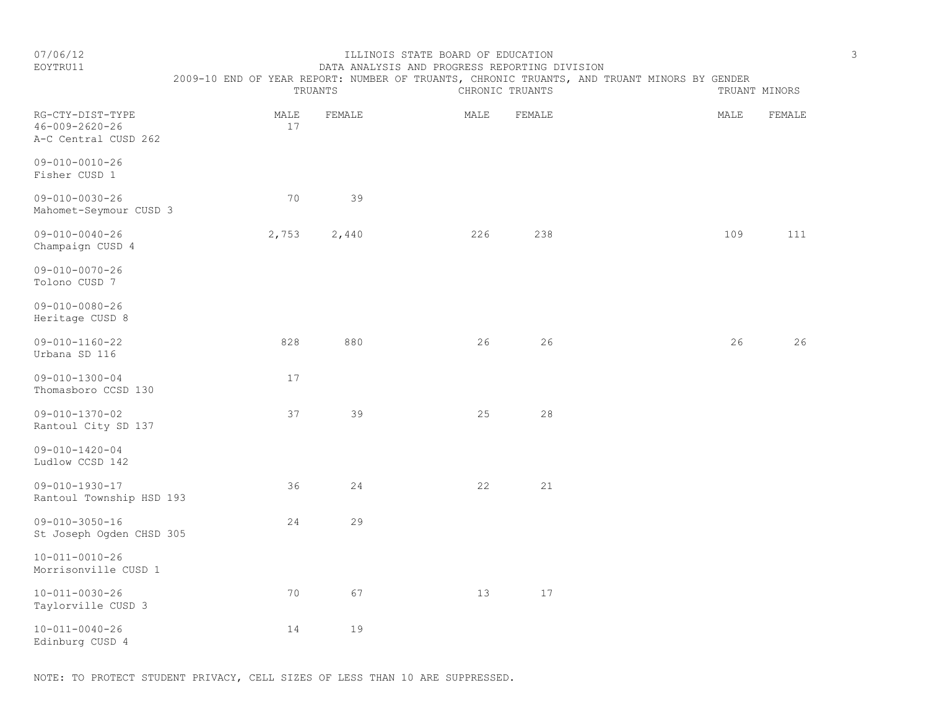# EOYTRU11 DATA ANALYSIS AND PROGRESS REPORTING DIVISION

TRUANTS CHRONIC TRUANTS TRUANTS TRUANT MINORS

2009-10 END OF YEAR REPORT: NUMBER OF TRUANTS, CHRONIC TRUANTS, AND TRUANT MINORS BY GENDER

| RG-CTY-DIST-TYPE<br>$46 - 009 - 2620 - 26$<br>A-C Central CUSD 262 | MALE<br>$17$ | FEMALE | MALE | FEMALE | MALE | FEMALE |
|--------------------------------------------------------------------|--------------|--------|------|--------|------|--------|
| $09 - 010 - 0010 - 26$<br>Fisher CUSD 1                            |              |        |      |        |      |        |
| $09 - 010 - 0030 - 26$<br>Mahomet-Seymour CUSD 3                   | 70           | 39     |      |        |      |        |
| $09 - 010 - 0040 - 26$<br>Champaign CUSD 4                         | 2,753        | 2,440  | 226  | 238    | 109  | 111    |
| $09 - 010 - 0070 - 26$<br>Tolono CUSD 7                            |              |        |      |        |      |        |
| $09 - 010 - 0080 - 26$<br>Heritage CUSD 8                          |              |        |      |        |      |        |
| $09 - 010 - 1160 - 22$<br>Urbana SD 116                            | 828          | 880    | 26   | 26     | 26   | 26     |
| $09 - 010 - 1300 - 04$<br>Thomasboro CCSD 130                      | 17           |        |      |        |      |        |
| $09 - 010 - 1370 - 02$<br>Rantoul City SD 137                      | 37           | 39     | 25   | 28     |      |        |
| $09 - 010 - 1420 - 04$<br>Ludlow CCSD 142                          |              |        |      |        |      |        |
| $09 - 010 - 1930 - 17$<br>Rantoul Township HSD 193                 | 36           | 24     | 22   | 21     |      |        |
| $09 - 010 - 3050 - 16$<br>St Joseph Ogden CHSD 305                 | 24           | 29     |      |        |      |        |
| $10 - 011 - 0010 - 26$<br>Morrisonville CUSD 1                     |              |        |      |        |      |        |
| $10 - 011 - 0030 - 26$<br>Taylorville CUSD 3                       | 70           | 67     | 13   | 17     |      |        |
| $10 - 011 - 0040 - 26$<br>Edinburg CUSD 4                          | 14           | 19     |      |        |      |        |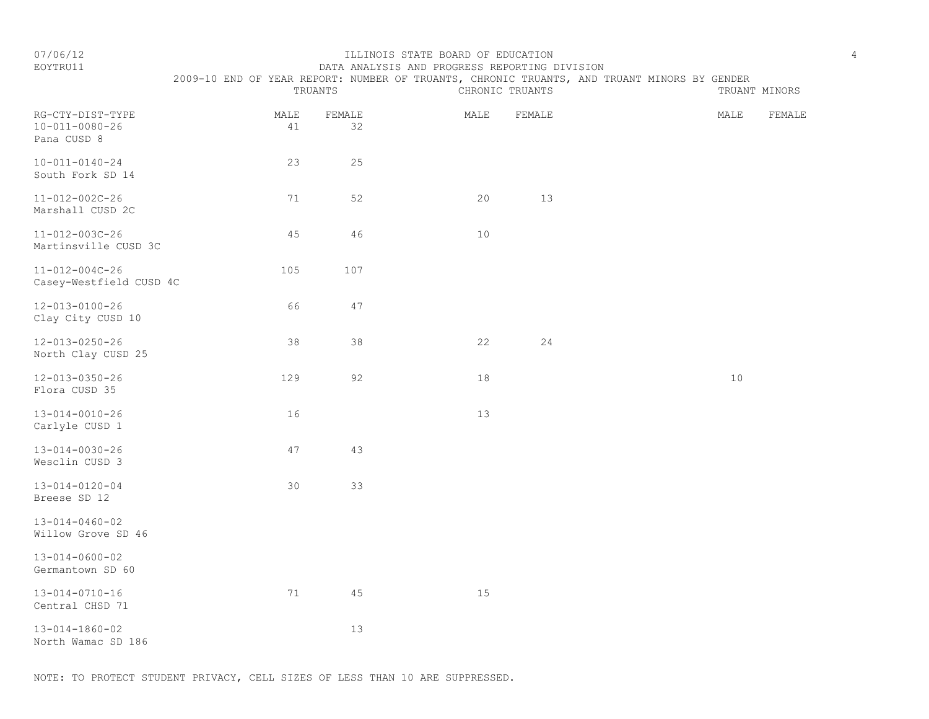### EOYTRU11 DATA ANALYSIS AND PROGRESS REPORTING DIVISION 2009-10 END OF YEAR REPORT: NUMBER OF TRUANTS, CHRONIC TRUANTS, AND TRUANT MINORS BY GENDER

|                                                           | TRUANTS    |              |      | CHRONIC TRUANTS |  | TRUANT MINORS |        |
|-----------------------------------------------------------|------------|--------------|------|-----------------|--|---------------|--------|
| RG-CTY-DIST-TYPE<br>$10 - 011 - 0080 - 26$<br>Pana CUSD 8 | MALE<br>41 | FEMALE<br>32 | MALE | FEMALE          |  | MALE          | FEMALE |
| $10 - 011 - 0140 - 24$<br>South Fork SD 14                | 23         | 25           |      |                 |  |               |        |
| $11 - 012 - 002C - 26$<br>Marshall CUSD 2C                | 71         | 52           | 20   | 13              |  |               |        |
| $11 - 012 - 003C - 26$<br>Martinsville CUSD 3C            | 45         | 46           | $10$ |                 |  |               |        |
| $11 - 012 - 004C - 26$<br>Casey-Westfield CUSD 4C         | 105        | 107          |      |                 |  |               |        |
| $12 - 013 - 0100 - 26$<br>Clay City CUSD 10               | 66         | 47           |      |                 |  |               |        |
| $12 - 013 - 0250 - 26$<br>North Clay CUSD 25              | 38         | 38           | 22   | 24              |  |               |        |
| 12-013-0350-26<br>Flora CUSD 35                           | 129        | 92           | 18   |                 |  | 10            |        |
| $13 - 014 - 0010 - 26$<br>Carlyle CUSD 1                  | 16         |              | 13   |                 |  |               |        |
| $13 - 014 - 0030 - 26$<br>Wesclin CUSD 3                  | 47         | 43           |      |                 |  |               |        |
| $13 - 014 - 0120 - 04$<br>Breese SD 12                    | 30         | 33           |      |                 |  |               |        |
| $13 - 014 - 0460 - 02$<br>Willow Grove SD 46              |            |              |      |                 |  |               |        |
| $13 - 014 - 0600 - 02$<br>Germantown SD 60                |            |              |      |                 |  |               |        |
| $13 - 014 - 0710 - 16$<br>Central CHSD 71                 | 71         | 45           | 15   |                 |  |               |        |
| $13 - 014 - 1860 - 02$<br>North Wamac SD 186              |            | 13           |      |                 |  |               |        |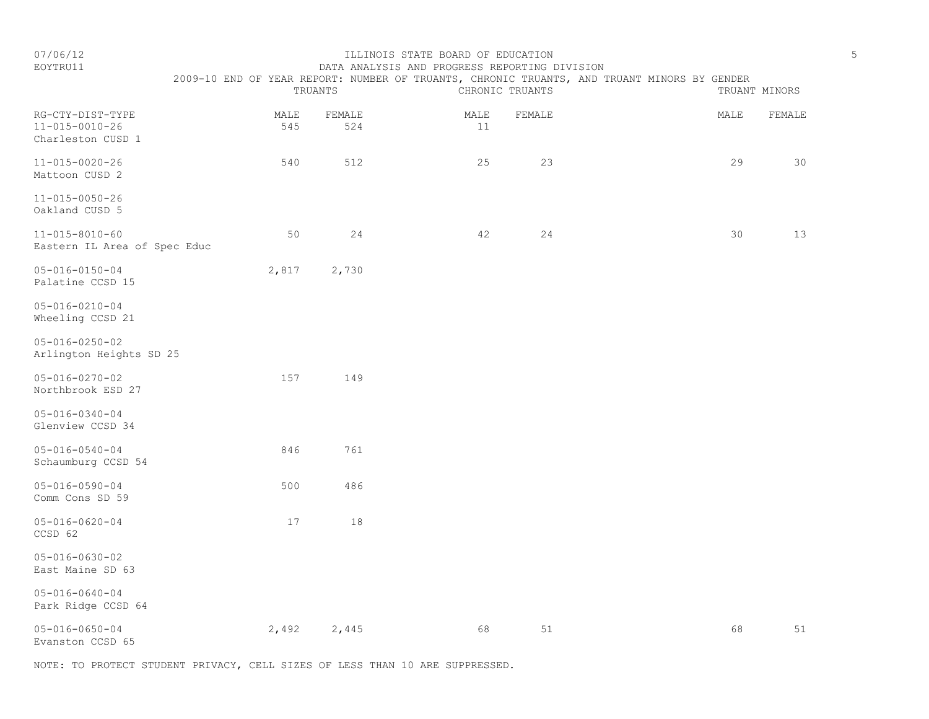EOYTRU11 DATA ANALYSIS AND PROGRESS REPORTING DIVISION

|                                                                 |             | TRUANTS       |            | CHRONIC TRUANTS | 2009-10 END OF YEAR REPORT: NUMBER OF TRUANTS, CHRONIC TRUANTS, AND TRUANT MINORS BY GENDER |      | TRUANT MINORS |
|-----------------------------------------------------------------|-------------|---------------|------------|-----------------|---------------------------------------------------------------------------------------------|------|---------------|
| RG-CTY-DIST-TYPE<br>$11 - 015 - 0010 - 26$<br>Charleston CUSD 1 | MALE<br>545 | FEMALE<br>524 | MALE<br>11 | FEMALE          |                                                                                             | MALE | FEMALE        |
| $11 - 015 - 0020 - 26$<br>Mattoon CUSD 2                        | 540         | 512           | 25         | 23              |                                                                                             | 29   | 30            |
| $11 - 015 - 0050 - 26$<br>Oakland CUSD 5                        |             |               |            |                 |                                                                                             |      |               |
| $11 - 015 - 8010 - 60$<br>Eastern IL Area of Spec Educ          | 50          | 24            | 42         | 24              |                                                                                             | 30   | 13            |
| $05 - 016 - 0150 - 04$<br>Palatine CCSD 15                      | 2,817       | 2,730         |            |                 |                                                                                             |      |               |
| $05 - 016 - 0210 - 04$<br>Wheeling CCSD 21                      |             |               |            |                 |                                                                                             |      |               |
| $05 - 016 - 0250 - 02$<br>Arlington Heights SD 25               |             |               |            |                 |                                                                                             |      |               |
| $05 - 016 - 0270 - 02$<br>Northbrook ESD 27                     | 157         | 149           |            |                 |                                                                                             |      |               |
| $05 - 016 - 0340 - 04$<br>Glenview CCSD 34                      |             |               |            |                 |                                                                                             |      |               |
| $05 - 016 - 0540 - 04$<br>Schaumburg CCSD 54                    | 846         | 761           |            |                 |                                                                                             |      |               |
| $05 - 016 - 0590 - 04$<br>Comm Cons SD 59                       | 500         | 486           |            |                 |                                                                                             |      |               |
| $05 - 016 - 0620 - 04$<br>CCSD 62                               | 17          | 18            |            |                 |                                                                                             |      |               |
| $05 - 016 - 0630 - 02$<br>East Maine SD 63                      |             |               |            |                 |                                                                                             |      |               |
| $05 - 016 - 0640 - 04$<br>Park Ridge CCSD 64                    |             |               |            |                 |                                                                                             |      |               |
| $05 - 016 - 0650 - 04$<br>Evanston CCSD 65                      | 2,492       | 2,445         | 68         | 51              |                                                                                             | 68   | 51            |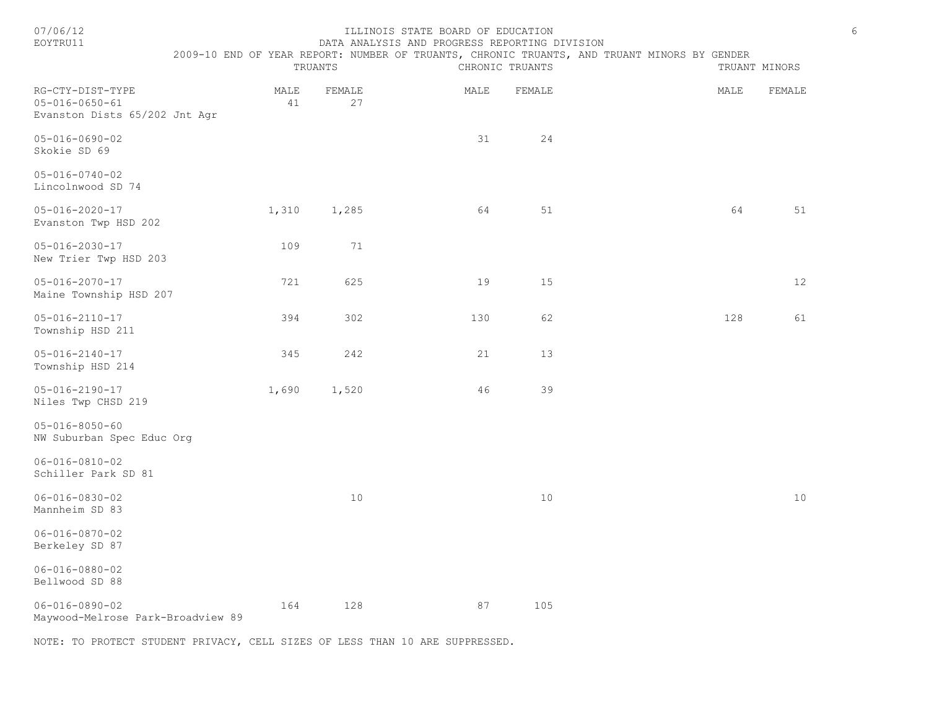#### 07/06/12 ILLINOIS STATE BOARD OF EDUCATION 6 EOYTRU11 DATA ANALYSIS AND PROGRESS REPORTING DIVISION

2009-10 END OF YEAR REPORT: NUMBER OF TRUANTS, CHRONIC TRUANTS, AND TRUANT MINORS BY GENDER

|                                                                             |            | TRUANTS      |             | CHRONIC TRUANTS |  | TRUANT MINORS |        |  |
|-----------------------------------------------------------------------------|------------|--------------|-------------|-----------------|--|---------------|--------|--|
| RG-CTY-DIST-TYPE<br>$05 - 016 - 0650 - 61$<br>Evanston Dists 65/202 Jnt Agr | MALE<br>41 | FEMALE<br>27 | MALE        | FEMALE          |  | MALE          | FEMALE |  |
| $05 - 016 - 0690 - 02$<br>Skokie SD 69                                      |            |              | 31          | 24              |  |               |        |  |
| $05 - 016 - 0740 - 02$<br>Lincolnwood SD 74                                 |            |              |             |                 |  |               |        |  |
| $05 - 016 - 2020 - 17$<br>Evanston Twp HSD 202                              | 1,310      | 1,285        | 64          | 51              |  | 64            | 51     |  |
| $05 - 016 - 2030 - 17$<br>New Trier Twp HSD 203                             | 109        | 71           |             |                 |  |               |        |  |
| $05 - 016 - 2070 - 17$<br>Maine Township HSD 207                            | 721        | 625          | 19          | 15              |  |               | 12     |  |
| $05 - 016 - 2110 - 17$<br>Township HSD 211                                  | 394        | 302          | 130         | 62              |  | 128           | 61     |  |
| $05 - 016 - 2140 - 17$<br>Township HSD 214                                  | 345        | 242          | $2\sqrt{1}$ | 13              |  |               |        |  |
| $05 - 016 - 2190 - 17$<br>Niles Twp CHSD 219                                | 1,690      | 1,520        | 46          | 39              |  |               |        |  |
| $05 - 016 - 8050 - 60$<br>NW Suburban Spec Educ Org                         |            |              |             |                 |  |               |        |  |
| $06 - 016 - 0810 - 02$<br>Schiller Park SD 81                               |            |              |             |                 |  |               |        |  |
| $06 - 016 - 0830 - 02$<br>Mannheim SD 83                                    |            | 10           |             | $10$            |  |               | 10     |  |
| $06 - 016 - 0870 - 02$<br>Berkeley SD 87                                    |            |              |             |                 |  |               |        |  |
| $06 - 016 - 0880 - 02$<br>Bellwood SD 88                                    |            |              |             |                 |  |               |        |  |
| $06 - 016 - 0890 - 02$<br>Maywood-Melrose Park-Broadview 89                 | 164        | 128          | 87          | 105             |  |               |        |  |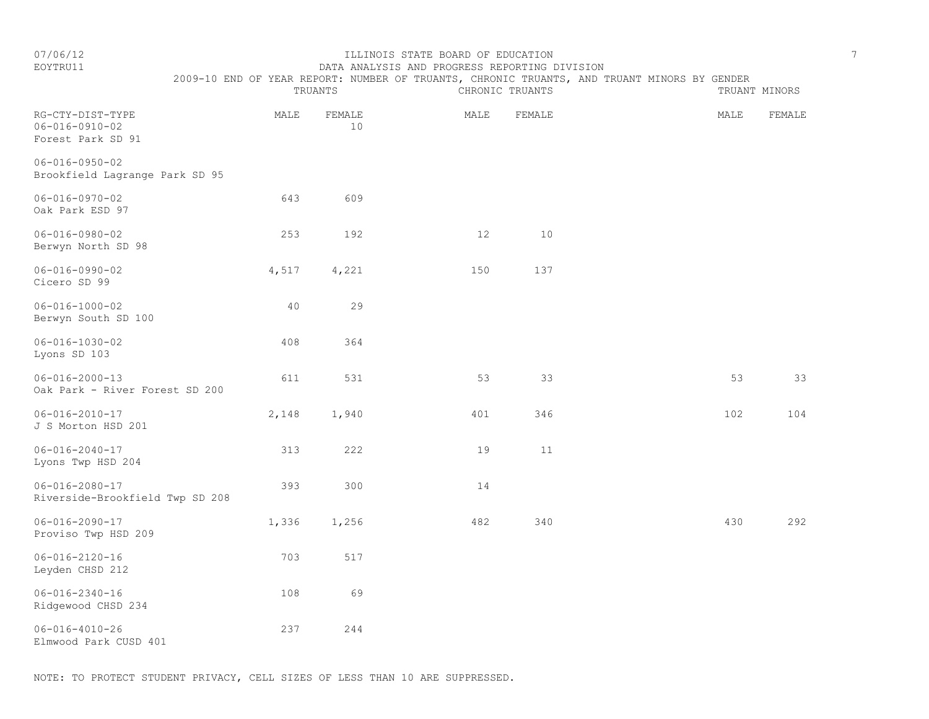# EOYTRU11 DATA ANALYSIS AND PROGRESS REPORTING DIVISION

TRUANTS CHRONIC TRUANTS TRUANTS TRUANT MINORS

2009-10 END OF YEAR REPORT: NUMBER OF TRUANTS, CHRONIC TRUANTS, AND TRUANT MINORS BY GENDER

| RG-CTY-DIST-TYPE<br>$06 - 016 - 0910 - 02$<br>Forest Park SD 91 | MALE  | FEMALE<br>10 | MALE | FEMALE | MALE | FEMALE |
|-----------------------------------------------------------------|-------|--------------|------|--------|------|--------|
| $06 - 016 - 0950 - 02$<br>Brookfield Lagrange Park SD 95        |       |              |      |        |      |        |
| $06 - 016 - 0970 - 02$<br>Oak Park ESD 97                       | 643   | 609          |      |        |      |        |
| $06 - 016 - 0980 - 02$<br>Berwyn North SD 98                    | 253   | 192          | 12   | 10     |      |        |
| $06 - 016 - 0990 - 02$<br>Cicero SD 99                          | 4,517 | 4,221        | 150  | 137    |      |        |
| $06 - 016 - 1000 - 02$<br>Berwyn South SD 100                   | 40    | 29           |      |        |      |        |
| $06 - 016 - 1030 - 02$<br>Lyons SD 103                          | 408   | 364          |      |        |      |        |
| $06 - 016 - 2000 - 13$<br>Oak Park - River Forest SD 200        | 611   | 531          | 53   | 33     | 53   | 33     |
| $06 - 016 - 2010 - 17$<br>J S Morton HSD 201                    | 2,148 | 1,940        | 401  | 346    | 102  | 104    |
| $06 - 016 - 2040 - 17$<br>Lyons Twp HSD 204                     | 313   | 222          | 19   | 11     |      |        |
| $06 - 016 - 2080 - 17$<br>Riverside-Brookfield Twp SD 208       | 393   | 300          | 14   |        |      |        |
| $06 - 016 - 2090 - 17$<br>Proviso Twp HSD 209                   | 1,336 | 1,256        | 482  | 340    | 430  | 292    |
| $06 - 016 - 2120 - 16$<br>Leyden CHSD 212                       | 703   | 517          |      |        |      |        |
| $06 - 016 - 2340 - 16$<br>Ridgewood CHSD 234                    | 108   | 69           |      |        |      |        |
| $06 - 016 - 4010 - 26$<br>Elmwood Park CUSD 401                 | 237   | 244          |      |        |      |        |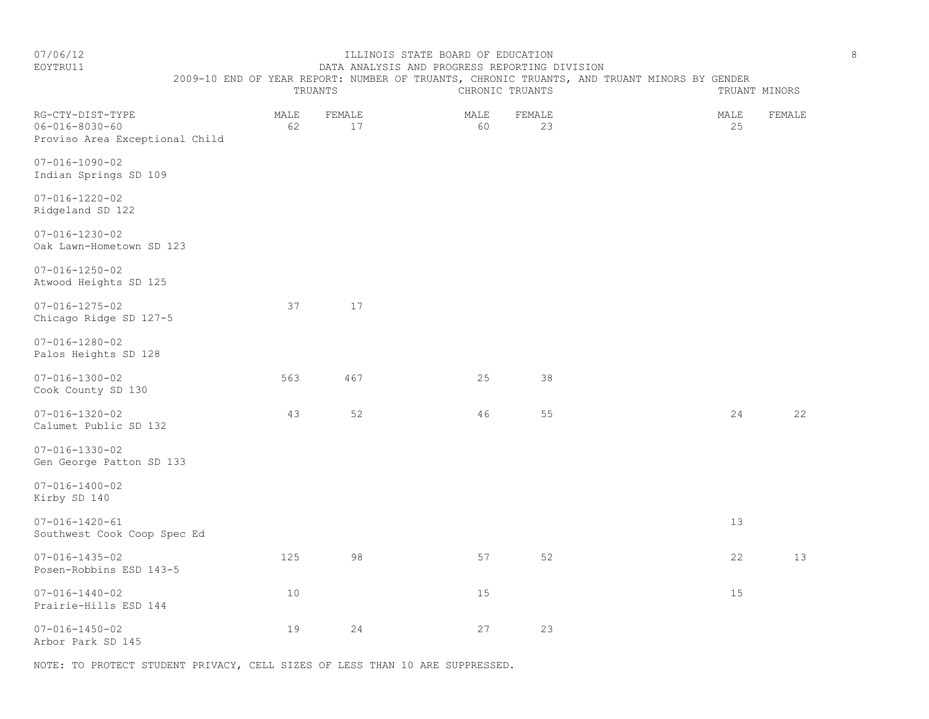EOYTRU11 DATA ANALYSIS AND PROGRESS REPORTING DIVISION

2009-10 END OF YEAR REPORT: NUMBER OF TRUANTS, CHRONIC TRUANTS, AND TRUANT MINORS BY GENDER

|                                                                              |            | TRUANTS      | CHRONIC TRUANTS |              | TRUANT MINORS |            |        |
|------------------------------------------------------------------------------|------------|--------------|-----------------|--------------|---------------|------------|--------|
| RG-CTY-DIST-TYPE<br>$06 - 016 - 8030 - 60$<br>Proviso Area Exceptional Child | MALE<br>62 | FEMALE<br>17 | MALE<br>60      | FEMALE<br>23 |               | MALE<br>25 | FEMALE |
| $07 - 016 - 1090 - 02$<br>Indian Springs SD 109                              |            |              |                 |              |               |            |        |
| $07 - 016 - 1220 - 02$<br>Ridgeland SD 122                                   |            |              |                 |              |               |            |        |
| $07 - 016 - 1230 - 02$<br>Oak Lawn-Hometown SD 123                           |            |              |                 |              |               |            |        |
| $07 - 016 - 1250 - 02$<br>Atwood Heights SD 125                              |            |              |                 |              |               |            |        |
| $07 - 016 - 1275 - 02$<br>Chicago Ridge SD 127-5                             | 37         | 17           |                 |              |               |            |        |
| $07 - 016 - 1280 - 02$<br>Palos Heights SD 128                               |            |              |                 |              |               |            |        |
| $07 - 016 - 1300 - 02$<br>Cook County SD 130                                 | 563        | 467          | 25              | 38           |               |            |        |
| $07 - 016 - 1320 - 02$<br>Calumet Public SD 132                              | 43         | 52           | 46              | 55           |               | 24         | 22     |
| $07 - 016 - 1330 - 02$<br>Gen George Patton SD 133                           |            |              |                 |              |               |            |        |
| $07 - 016 - 1400 - 02$<br>Kirby SD 140                                       |            |              |                 |              |               |            |        |
| $07 - 016 - 1420 - 61$<br>Southwest Cook Coop Spec Ed                        |            |              |                 |              |               | 13         |        |
| $07 - 016 - 1435 - 02$<br>Posen-Robbins ESD 143-5                            | 125        | 98           | 57              | 52           |               | 22         | 13     |
| $07 - 016 - 1440 - 02$<br>Prairie-Hills ESD 144                              | 10         |              | 15              |              |               | 15         |        |
| $07 - 016 - 1450 - 02$<br>Arbor Park SD 145                                  | 19         | 24           | 27              | 23           |               |            |        |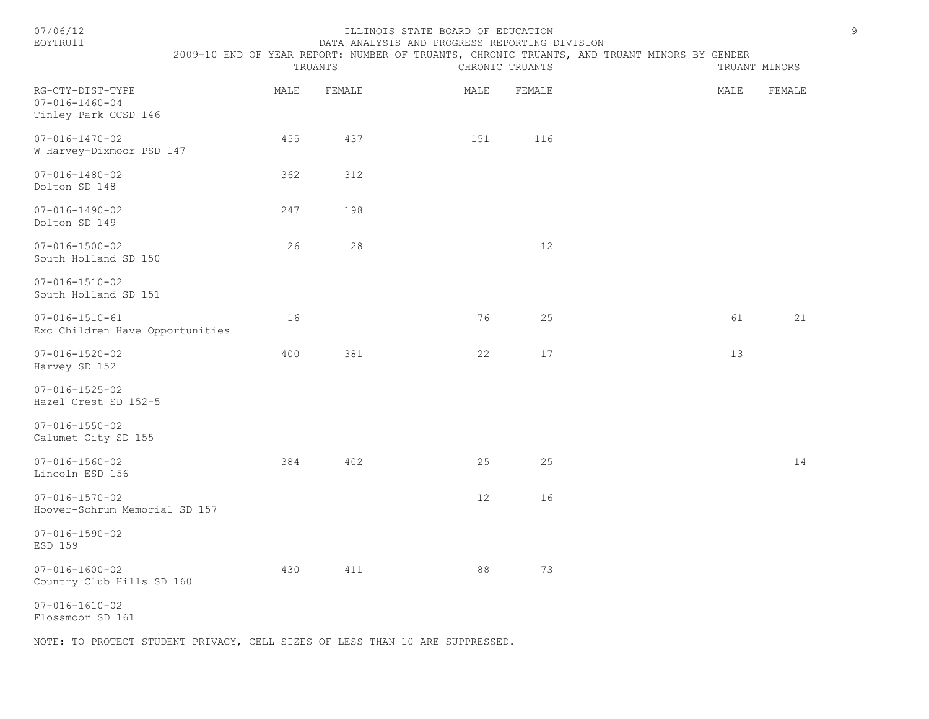| 07/06/1 |  |
|---------|--|
|         |  |

#### 07/06/12 ILLINOIS STATE BOARD OF EDUCATION 9 EOYTRU11 DATA ANALYSIS AND PROGRESS REPORTING DIVISION

2009-10 END OF YEAR REPORT: NUMBER OF TRUANTS, CHRONIC TRUANTS, AND TRUANT MINORS BY GENDER

|                                                                    |      | TRUANTS | CHRONIC TRUANTS |        | TRUANT MINORS |        |
|--------------------------------------------------------------------|------|---------|-----------------|--------|---------------|--------|
| RG-CTY-DIST-TYPE<br>$07 - 016 - 1460 - 04$<br>Tinley Park CCSD 146 | MALE | FEMALE  | MALE            | FEMALE | MALE          | FEMALE |
| $07 - 016 - 1470 - 02$<br>W Harvey-Dixmoor PSD 147                 | 455  | 437     | 151             | 116    |               |        |
| $07 - 016 - 1480 - 02$<br>Dolton SD 148                            | 362  | 312     |                 |        |               |        |
| $07 - 016 - 1490 - 02$<br>Dolton SD 149                            | 247  | 198     |                 |        |               |        |
| $07 - 016 - 1500 - 02$<br>South Holland SD 150                     | 26   | 28      |                 | $12$   |               |        |
| $07 - 016 - 1510 - 02$<br>South Holland SD 151                     |      |         |                 |        |               |        |
| $07 - 016 - 1510 - 61$<br>Exc Children Have Opportunities          | 16   |         | 76              | 25     | 61            | 21     |
| $07 - 016 - 1520 - 02$<br>Harvey SD 152                            | 400  | 381     | 22              | 17     | 13            |        |
| $07 - 016 - 1525 - 02$<br>Hazel Crest SD 152-5                     |      |         |                 |        |               |        |
| $07 - 016 - 1550 - 02$<br>Calumet City SD 155                      |      |         |                 |        |               |        |
| $07 - 016 - 1560 - 02$<br>Lincoln ESD 156                          | 384  | 402     | 25              | 25     |               | 14     |
| $07 - 016 - 1570 - 02$<br>Hoover-Schrum Memorial SD 157            |      |         | 12              | 16     |               |        |
| $07 - 016 - 1590 - 02$<br>ESD 159                                  |      |         |                 |        |               |        |
| $07 - 016 - 1600 - 02$<br>Country Club Hills SD 160                | 430  | 411     | 88              | 73     |               |        |
| $07 - 016 - 1610 - 02$<br>Flossmoor SD 161                         |      |         |                 |        |               |        |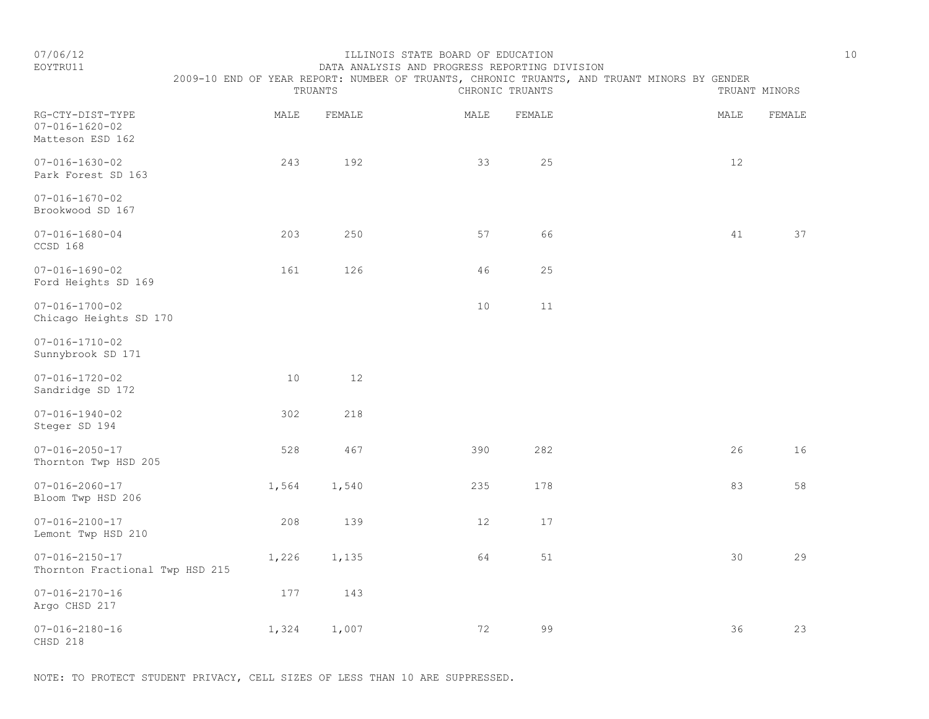### EOYTRU11 DATA ANALYSIS AND PROGRESS REPORTING DIVISION 2009-10 END OF YEAR REPORT: NUMBER OF TRUANTS, CHRONIC TRUANTS, AND TRUANT MINORS BY GENDER

|                                                                |       | TRUANTS |      | CHRONIC TRUANTS |  | TRUANT MINORS |        |
|----------------------------------------------------------------|-------|---------|------|-----------------|--|---------------|--------|
| RG-CTY-DIST-TYPE<br>$07 - 016 - 1620 - 02$<br>Matteson ESD 162 | MALE  | FEMALE  | MALE | FEMALE          |  | MALE          | FEMALE |
| $07 - 016 - 1630 - 02$<br>Park Forest SD 163                   | 243   | 192     | 33   | 25              |  | 12            |        |
| $07 - 016 - 1670 - 02$<br>Brookwood SD 167                     |       |         |      |                 |  |               |        |
| $07 - 016 - 1680 - 04$<br>CCSD 168                             | 203   | 250     | 57   | 66              |  | 41            | 37     |
| $07 - 016 - 1690 - 02$<br>Ford Heights SD 169                  | 161   | 126     | 46   | 25              |  |               |        |
| $07 - 016 - 1700 - 02$<br>Chicago Heights SD 170               |       |         | 10   | 11              |  |               |        |
| $07 - 016 - 1710 - 02$<br>Sunnybrook SD 171                    |       |         |      |                 |  |               |        |
| $07 - 016 - 1720 - 02$<br>Sandridge SD 172                     | 10    | 12      |      |                 |  |               |        |
| $07 - 016 - 1940 - 02$<br>Steger SD 194                        | 302   | 218     |      |                 |  |               |        |
| $07 - 016 - 2050 - 17$<br>Thornton Twp HSD 205                 | 528   | 467     | 390  | 282             |  | 26            | 16     |
| $07 - 016 - 2060 - 17$<br>Bloom Twp HSD 206                    | 1,564 | 1,540   | 235  | 178             |  | 83            | 58     |
| $07 - 016 - 2100 - 17$<br>Lemont Twp HSD 210                   | 208   | 139     | 12   | 17              |  |               |        |
| $07 - 016 - 2150 - 17$<br>Thornton Fractional Twp HSD 215      | 1,226 | 1,135   | 64   | 51              |  | 30            | 29     |
| $07 - 016 - 2170 - 16$<br>Argo CHSD 217                        | 177   | 143     |      |                 |  |               |        |
| $07 - 016 - 2180 - 16$<br>CHSD 218                             | 1,324 | 1,007   | 72   | 99              |  | 36            | 23     |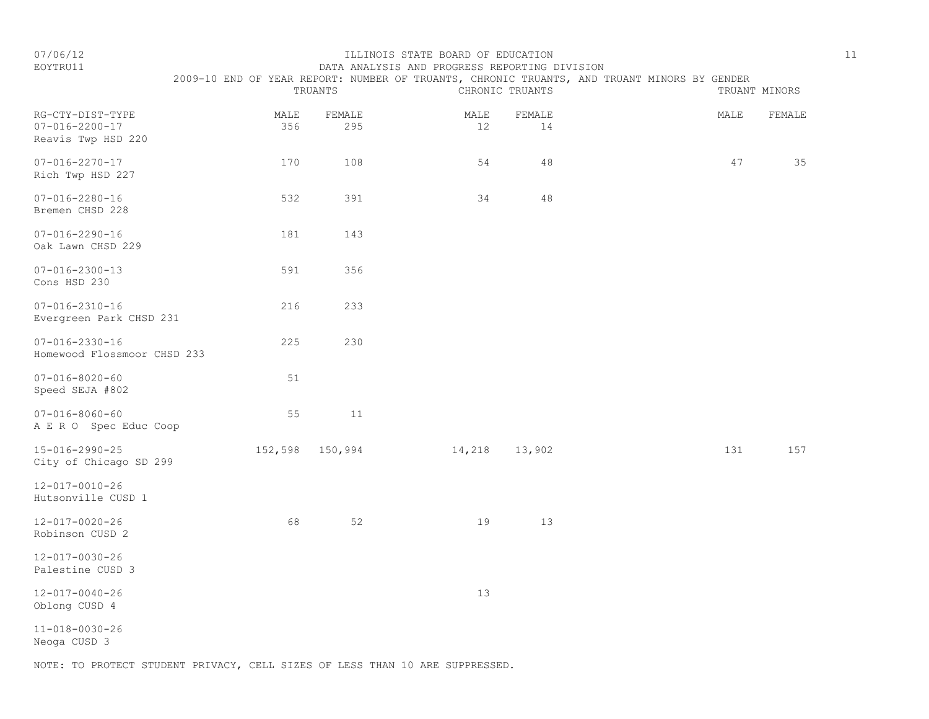|                                                                  |             | TRUANTS         |            | CHRONIC TRUANTS | 2009-10 END OF YEAR REPORT: NUMBER OF TRUANTS, CHRONIC TRUANTS, AND TRUANT MINORS BY GENDER |      | TRUANT MINORS |
|------------------------------------------------------------------|-------------|-----------------|------------|-----------------|---------------------------------------------------------------------------------------------|------|---------------|
| RG-CTY-DIST-TYPE<br>$07 - 016 - 2200 - 17$<br>Reavis Twp HSD 220 | MALE<br>356 | FEMALE<br>295   | MALE<br>12 | FEMALE<br>14    |                                                                                             | MALE | FEMALE        |
| $07 - 016 - 2270 - 17$<br>Rich Twp HSD 227                       | 170         | 108             | 54         | 48              |                                                                                             | 47   | 35            |
| $07 - 016 - 2280 - 16$<br>Bremen CHSD 228                        | 532         | 391             | 34         | 48              |                                                                                             |      |               |
| $07 - 016 - 2290 - 16$<br>Oak Lawn CHSD 229                      | 181         | 143             |            |                 |                                                                                             |      |               |
| $07 - 016 - 2300 - 13$<br>Cons HSD 230                           | 591         | 356             |            |                 |                                                                                             |      |               |
| $07 - 016 - 2310 - 16$<br>Evergreen Park CHSD 231                | 216         | 233             |            |                 |                                                                                             |      |               |
| $07 - 016 - 2330 - 16$<br>Homewood Flossmoor CHSD 233            | 225         | 230             |            |                 |                                                                                             |      |               |
| $07 - 016 - 8020 - 60$<br>Speed SEJA #802                        | 51          |                 |            |                 |                                                                                             |      |               |
| $07 - 016 - 8060 - 60$<br>A E R O Spec Educ Coop                 | 55          | 11              |            |                 |                                                                                             |      |               |
| 15-016-2990-25<br>City of Chicago SD 299                         |             | 152,598 150,994 | 14,218     | 13,902          |                                                                                             | 131  | 157           |
| $12 - 017 - 0010 - 26$<br>Hutsonville CUSD 1                     |             |                 |            |                 |                                                                                             |      |               |
| 12-017-0020-26<br>Robinson CUSD 2                                | 68          | 52              | 19         | 13              |                                                                                             |      |               |
| 12-017-0030-26<br>Palestine CUSD 3                               |             |                 |            |                 |                                                                                             |      |               |

EOYTRU11 DATA ANALYSIS AND PROGRESS REPORTING DIVISION

12-017-0040-26 13 Oblong CUSD 4

11-018-0030-26

Neoga CUSD 3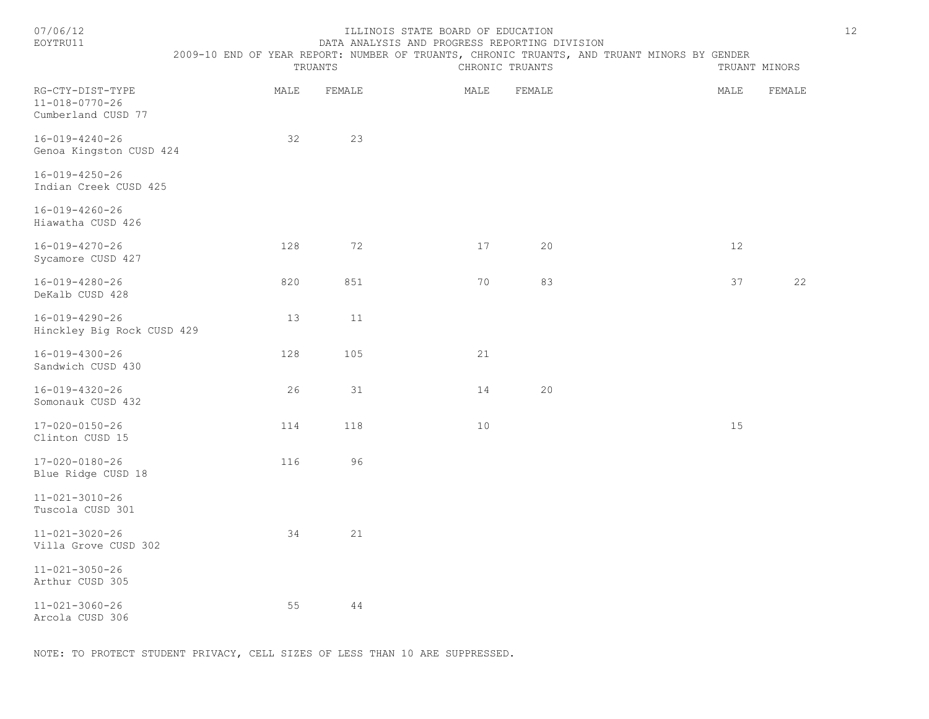#### ILLINOIS STATE BOARD OF EDUCATION 12 EOYTRU11 DATA ANALYSIS AND PROGRESS REPORTING DIVISION

2009-10 END OF YEAR REPORT: NUMBER OF TRUANTS, CHRONIC TRUANTS, AND TRUANT MINORS BY GENDER

|                                                                  |      | TRUANTS |      | CHRONIC TRUANTS |      | TRUANT MINORS |
|------------------------------------------------------------------|------|---------|------|-----------------|------|---------------|
| RG-CTY-DIST-TYPE<br>$11 - 018 - 0770 - 26$<br>Cumberland CUSD 77 | MALE | FEMALE  | MALE | FEMALE          | MALE | FEMALE        |
| $16 - 019 - 4240 - 26$<br>Genoa Kingston CUSD 424                | 32   | 23      |      |                 |      |               |
| 16-019-4250-26<br>Indian Creek CUSD 425                          |      |         |      |                 |      |               |
| 16-019-4260-26<br>Hiawatha CUSD 426                              |      |         |      |                 |      |               |
| $16 - 019 - 4270 - 26$<br>Sycamore CUSD 427                      | 128  | 72      | 17   | 20              | 12   |               |
| $16 - 019 - 4280 - 26$<br>DeKalb CUSD 428                        | 820  | 851     | 70   | 83              | 37   | 22            |
| $16 - 019 - 4290 - 26$<br>Hinckley Big Rock CUSD 429             | 13   | 11      |      |                 |      |               |
| $16 - 019 - 4300 - 26$<br>Sandwich CUSD 430                      | 128  | 105     | 21   |                 |      |               |
| 16-019-4320-26<br>Somonauk CUSD 432                              | 26   | 31      | 14   | 20              |      |               |
| 17-020-0150-26<br>Clinton CUSD 15                                | 114  | 118     | 10   |                 | 15   |               |
| $17 - 020 - 0180 - 26$<br>Blue Ridge CUSD 18                     | 116  | 96      |      |                 |      |               |
| $11 - 021 - 3010 - 26$<br>Tuscola CUSD 301                       |      |         |      |                 |      |               |
| $11 - 021 - 3020 - 26$<br>Villa Grove CUSD 302                   | 34   | 21      |      |                 |      |               |
| $11 - 021 - 3050 - 26$<br>Arthur CUSD 305                        |      |         |      |                 |      |               |
| $11 - 021 - 3060 - 26$<br>Arcola CUSD 306                        | 55   | 44      |      |                 |      |               |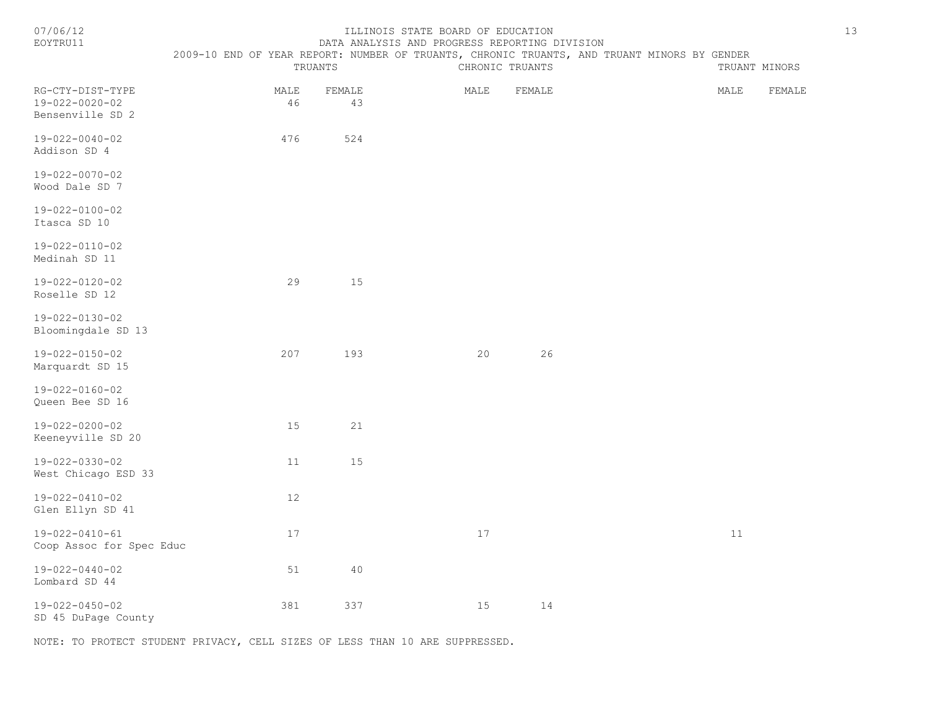| 07/06/12<br>ILLINOIS STATE BOARD OF EDUCATION<br>EOYTRU11<br>DATA ANALYSIS AND PROGRESS REPORTING DIVISION<br>2009-10 END OF YEAR REPORT: NUMBER OF TRUANTS, CHRONIC TRUANTS, AND TRUANT MINORS BY GENDER |            |              |                 |        |  |               | 13     |  |
|-----------------------------------------------------------------------------------------------------------------------------------------------------------------------------------------------------------|------------|--------------|-----------------|--------|--|---------------|--------|--|
|                                                                                                                                                                                                           |            | TRUANTS      | CHRONIC TRUANTS |        |  | TRUANT MINORS |        |  |
| RG-CTY-DIST-TYPE<br>19-022-0020-02<br>Bensenville SD 2                                                                                                                                                    | MALE<br>46 | FEMALE<br>43 | MALE            | FEMALE |  | MALE          | FEMALE |  |
| $19 - 022 - 0040 - 02$<br>Addison SD 4                                                                                                                                                                    | 476        | 524          |                 |        |  |               |        |  |
| $19 - 022 - 0070 - 02$<br>Wood Dale SD 7                                                                                                                                                                  |            |              |                 |        |  |               |        |  |
| 19-022-0100-02<br>Itasca SD 10                                                                                                                                                                            |            |              |                 |        |  |               |        |  |
| 19-022-0110-02<br>Medinah SD 11                                                                                                                                                                           |            |              |                 |        |  |               |        |  |
| $19 - 022 - 0120 - 02$<br>Roselle SD 12                                                                                                                                                                   | 29         | 15           |                 |        |  |               |        |  |
| $19 - 022 - 0130 - 02$<br>Bloomingdale SD 13                                                                                                                                                              |            |              |                 |        |  |               |        |  |
| $19 - 022 - 0150 - 02$<br>Marquardt SD 15                                                                                                                                                                 | 207        | 193          | 20              | 26     |  |               |        |  |
| $19 - 022 - 0160 - 02$<br>Queen Bee SD 16                                                                                                                                                                 |            |              |                 |        |  |               |        |  |
| $19 - 022 - 0200 - 02$<br>Keeneyville SD 20                                                                                                                                                               | 15         | 21           |                 |        |  |               |        |  |
| 19-022-0330-02<br>West Chicago ESD 33                                                                                                                                                                     | 11         | 15           |                 |        |  |               |        |  |
| $19 - 022 - 0410 - 02$<br>Glen Ellyn SD 41                                                                                                                                                                | 12         |              |                 |        |  |               |        |  |
| 19-022-0410-61<br>Coop Assoc for Spec Educ                                                                                                                                                                | 17         |              | 17              |        |  | 11            |        |  |
| $19 - 022 - 0440 - 02$<br>Lombard SD 44                                                                                                                                                                   | 51         | 40           |                 |        |  |               |        |  |
| 19-022-0450-02<br>SD 45 DuPage County                                                                                                                                                                     | 381        | 337          | 15              | 14     |  |               |        |  |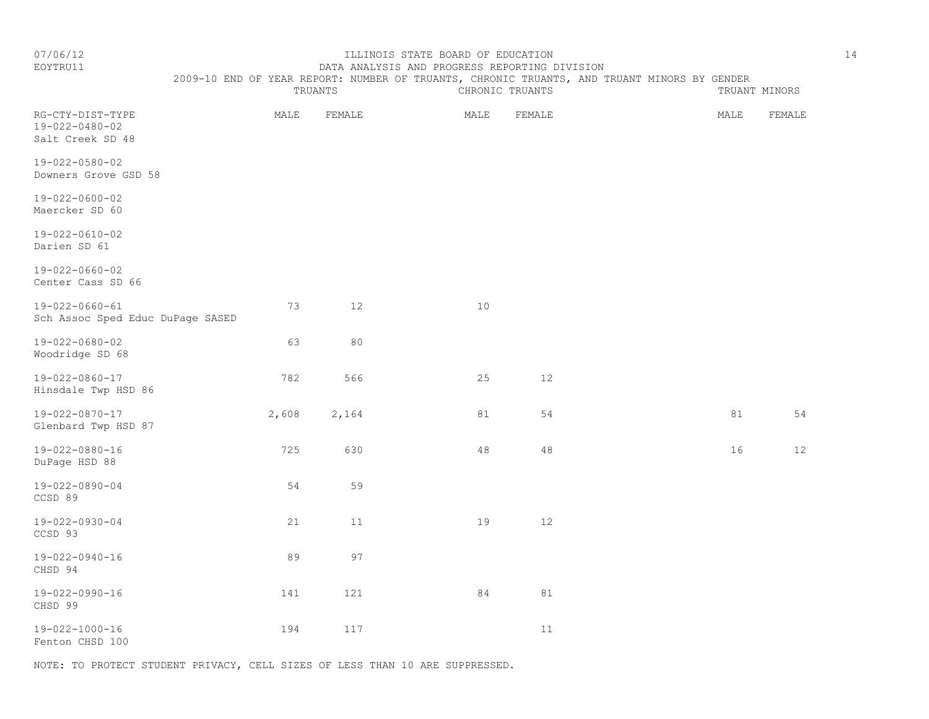#### EOYTRU11 DATA ANALYSIS AND PROGRESS REPORTING DIVISION 2009-10 END OF YEAR REPORT: NUMBER OF TRUANTS, CHRONIC TRUANTS, AND TRUANT MINORS BY GENDER

|                                                            |       | TRUANTS |        | CHRONIC TRUANTS |      | TRUANT MINORS |
|------------------------------------------------------------|-------|---------|--------|-----------------|------|---------------|
| RG-CTY-DIST-TYPE<br>19-022-0480-02<br>Salt Creek SD 48     | MALE  | FEMALE  | MALE   | FEMALE          | MALE | FEMALE        |
| 19-022-0580-02<br>Downers Grove GSD 58                     |       |         |        |                 |      |               |
| $19 - 022 - 0600 - 02$<br>Maercker SD 60                   |       |         |        |                 |      |               |
| $19 - 022 - 0610 - 02$<br>Darien SD 61                     |       |         |        |                 |      |               |
| $19 - 022 - 0660 - 02$<br>Center Cass SD 66                |       |         |        |                 |      |               |
| $19 - 022 - 0660 - 61$<br>Sch Assoc Sped Educ DuPage SASED | 73    | 12      | 10     |                 |      |               |
| 19-022-0680-02<br>Woodridge SD 68                          | 63    | 80      |        |                 |      |               |
| 19-022-0860-17<br>Hinsdale Twp HSD 86                      | 782   | 566     | 25     | 12              |      |               |
| 19-022-0870-17<br>Glenbard Twp HSD 87                      | 2,608 | 2,164   | 81     | 54              | 81   | 54            |
| $19 - 022 - 0880 - 16$<br>DuPage HSD 88                    | 725   | 630     | $4\,8$ | $4\,8$          | 16   | $12$          |
| 19-022-0890-04<br>CCSD 89                                  | 54    | 59      |        |                 |      |               |
| 19-022-0930-04<br>CCSD 93                                  | 21    | 11      | 19     | 12              |      |               |
| 19-022-0940-16<br>CHSD 94                                  | 89    | 97      |        |                 |      |               |
| 19-022-0990-16<br>CHSD 99                                  | 141   | 121     | 84     | 81              |      |               |
| $19 - 022 - 1000 - 16$<br>Fenton CHSD 100                  | 194   | 117     |        | $11\,$          |      |               |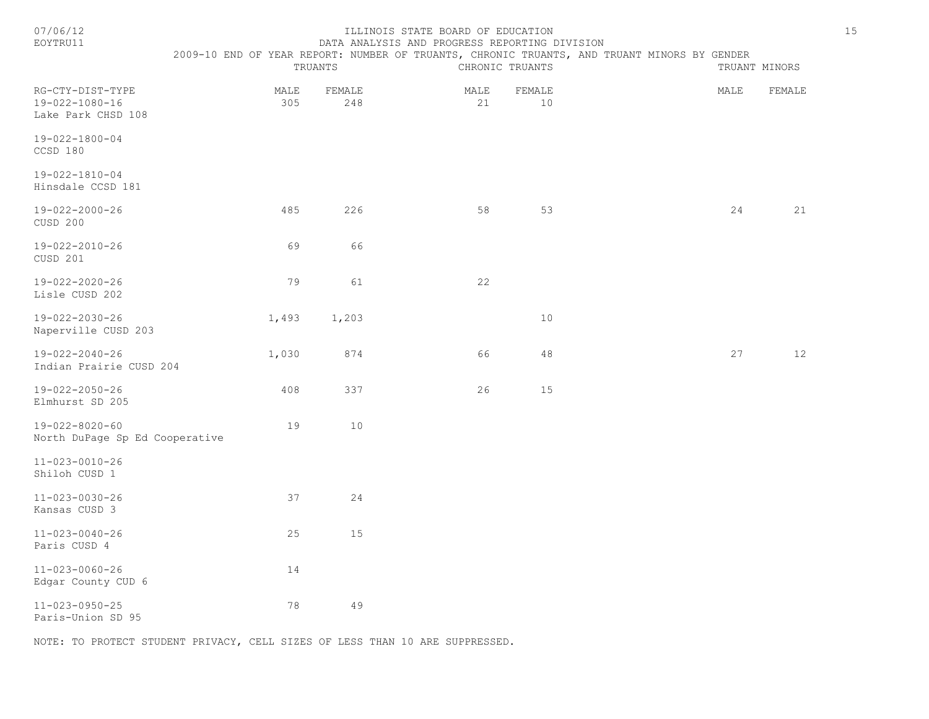|  |  | × |  |  |
|--|--|---|--|--|
|  |  |   |  |  |

#### ILLINOIS STATE BOARD OF EDUCATION 15 EOYTRU11 DATA ANALYSIS AND PROGRESS REPORTING DIVISION

|                                                          |             | TRUANTS       | DITIII IMIILLUIU IMD INUUNIUU INILUNIINU DIVIULUN | CHRONIC TRUANTS | 2009-10 END OF YEAR REPORT: NUMBER OF TRUANTS, CHRONIC TRUANTS, AND TRUANT MINORS BY GENDER<br>TRUANT MINORS |        |  |  |
|----------------------------------------------------------|-------------|---------------|---------------------------------------------------|-----------------|--------------------------------------------------------------------------------------------------------------|--------|--|--|
| RG-CTY-DIST-TYPE<br>19-022-1080-16<br>Lake Park CHSD 108 | MALE<br>305 | FEMALE<br>248 | MALE<br>21                                        | FEMALE<br>10    | MALE                                                                                                         | FEMALE |  |  |
| $19 - 022 - 1800 - 04$<br>CCSD 180                       |             |               |                                                   |                 |                                                                                                              |        |  |  |
| 19-022-1810-04<br>Hinsdale CCSD 181                      |             |               |                                                   |                 |                                                                                                              |        |  |  |
| 19-022-2000-26<br>CUSD 200                               | 485         | 226           | 58                                                | 53              | 24                                                                                                           | 21     |  |  |
| $19 - 022 - 2010 - 26$<br>CUSD 201                       | 69          | 66            |                                                   |                 |                                                                                                              |        |  |  |
| 19-022-2020-26<br>Lisle CUSD 202                         | 79          | 61            | 22                                                |                 |                                                                                                              |        |  |  |
| 19-022-2030-26<br>Naperville CUSD 203                    | 1,493       | 1,203         |                                                   | 10              |                                                                                                              |        |  |  |
| 19-022-2040-26<br>Indian Prairie CUSD 204                | 1,030       | 874           | 66                                                | 48              | 27                                                                                                           | 12     |  |  |
| 19-022-2050-26<br>Elmhurst SD 205                        | 408         | 337           | 26                                                | 15              |                                                                                                              |        |  |  |
| 19-022-8020-60<br>North DuPage Sp Ed Cooperative         | 19          | 10            |                                                   |                 |                                                                                                              |        |  |  |
| 11-023-0010-26<br>Shiloh CUSD 1                          |             |               |                                                   |                 |                                                                                                              |        |  |  |
| 11-023-0030-26<br>Kansas CUSD 3                          | 37          | 24            |                                                   |                 |                                                                                                              |        |  |  |
| $11 - 023 - 0040 - 26$<br>Paris CUSD 4                   | 25          | 15            |                                                   |                 |                                                                                                              |        |  |  |
| 11-023-0060-26<br>Edgar County CUD 6                     | 14          |               |                                                   |                 |                                                                                                              |        |  |  |
| $11 - 023 - 0950 - 25$<br>Paris-Union SD 95              | 78          | 49            |                                                   |                 |                                                                                                              |        |  |  |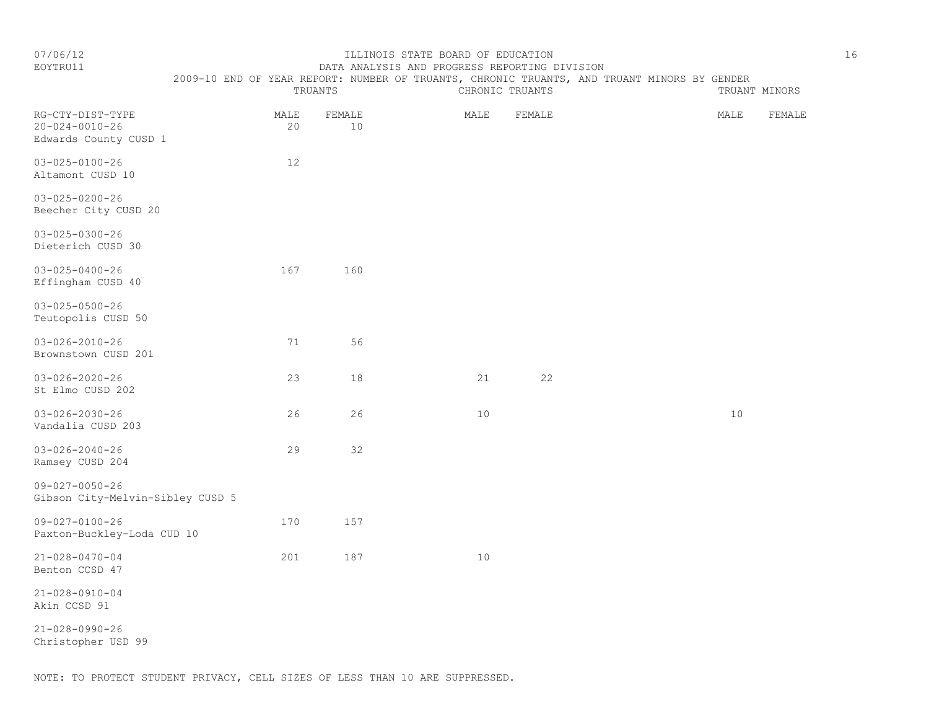#### EOYTRU11 DATA ANALYSIS AND PROGRESS REPORTING DIVISION 2009-10 END OF YEAR REPORT: NUMBER OF TRUANTS, CHRONIC TRUANTS, AND TRUANT MINORS BY GENDER

|                                                                     |            | TRUANTS        |      | CHRONIC TRUANTS | TRUANT MINORS |        |
|---------------------------------------------------------------------|------------|----------------|------|-----------------|---------------|--------|
| RG-CTY-DIST-TYPE<br>$20 - 024 - 0010 - 26$<br>Edwards County CUSD 1 | MALE<br>20 | FEMALE<br>$10$ | MALE | FEMALE          | MALE          | FEMALE |
| $03 - 025 - 0100 - 26$<br>Altamont CUSD 10                          | 12         |                |      |                 |               |        |
| $03 - 025 - 0200 - 26$<br>Beecher City CUSD 20                      |            |                |      |                 |               |        |
| $03 - 025 - 0300 - 26$<br>Dieterich CUSD 30                         |            |                |      |                 |               |        |
| $03 - 025 - 0400 - 26$<br>Effingham CUSD 40                         | 167        | 160            |      |                 |               |        |
| $03 - 025 - 0500 - 26$<br>Teutopolis CUSD 50                        |            |                |      |                 |               |        |
| $03 - 026 - 2010 - 26$<br>Brownstown CUSD 201                       | 71         | 56             |      |                 |               |        |
| $03 - 026 - 2020 - 26$<br>St Elmo CUSD 202                          | 23         | 18             | 21   | 22              |               |        |
| $03 - 026 - 2030 - 26$<br>Vandalia CUSD 203                         | 26         | 26             | 10   |                 | 10            |        |
| $03 - 026 - 2040 - 26$<br>Ramsey CUSD 204                           | 29         | 32             |      |                 |               |        |
| $09 - 027 - 0050 - 26$<br>Gibson City-Melvin-Sibley CUSD 5          |            |                |      |                 |               |        |
| $09 - 027 - 0100 - 26$<br>Paxton-Buckley-Loda CUD 10                | 170        | 157            |      |                 |               |        |
| $21 - 028 - 0470 - 04$<br>Benton CCSD 47                            | 201        | 187            | 10   |                 |               |        |
| $21 - 028 - 0910 - 04$<br>Akin CCSD 91                              |            |                |      |                 |               |        |
| $21 - 028 - 0990 - 26$<br>Christopher USD 99                        |            |                |      |                 |               |        |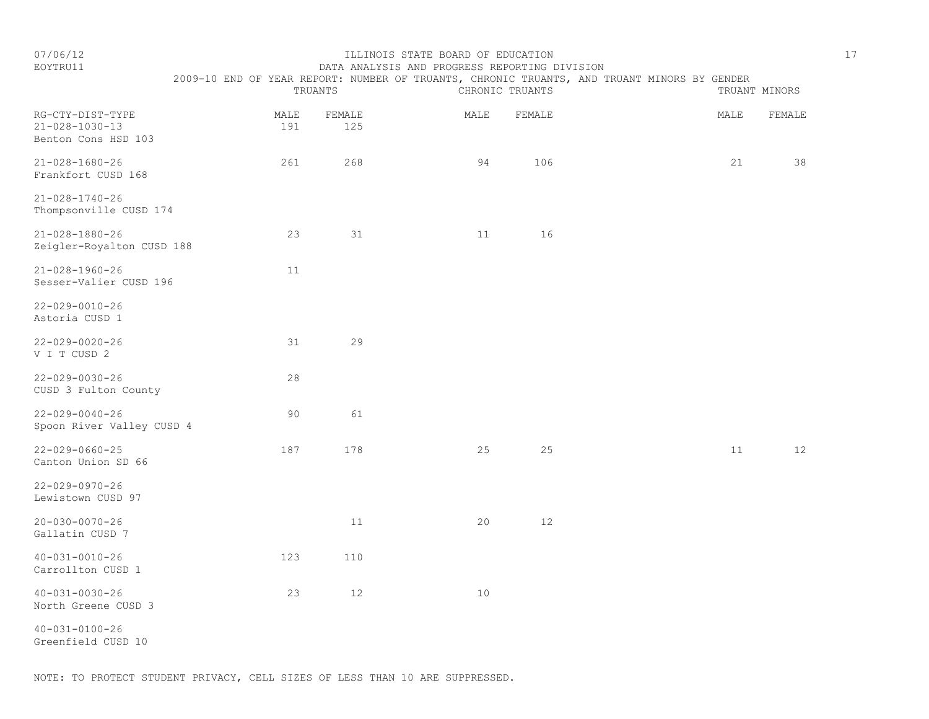| EOYTRU11                                                  | DATA ANALYSIS AND PROGRESS REPORTING DIVISION |             |               |      |                 |                                                                                             |      |               |  |  |
|-----------------------------------------------------------|-----------------------------------------------|-------------|---------------|------|-----------------|---------------------------------------------------------------------------------------------|------|---------------|--|--|
|                                                           |                                               |             |               |      |                 | 2009-10 END OF YEAR REPORT: NUMBER OF TRUANTS, CHRONIC TRUANTS, AND TRUANT MINORS BY GENDER |      |               |  |  |
|                                                           |                                               |             | TRUANTS       |      | CHRONIC TRUANTS |                                                                                             |      | TRUANT MINORS |  |  |
| RG-CTY-DIST-TYPE<br>21-028-1030-13<br>Benton Cons HSD 103 |                                               | MALE<br>191 | FEMALE<br>125 | MALE | FEMALE          |                                                                                             | MALE | FEMALE        |  |  |
| 21-028-1680-26<br>Frankfort CUSD 168                      |                                               | 261         | 268           | -94  | 106             |                                                                                             | 21   | 38            |  |  |
| 21-028-1740-26                                            |                                               |             |               |      |                 |                                                                                             |      |               |  |  |

| Thompsonville CUSD 174                              |     |     |    |    |  |    |    |
|-----------------------------------------------------|-----|-----|----|----|--|----|----|
| $21 - 028 - 1880 - 26$<br>Zeigler-Royalton CUSD 188 | 23  | 31  | 11 | 16 |  |    |    |
| $21 - 028 - 1960 - 26$<br>Sesser-Valier CUSD 196    | 11  |     |    |    |  |    |    |
| $22 - 029 - 0010 - 26$<br>Astoria CUSD 1            |     |     |    |    |  |    |    |
| $22 - 029 - 0020 - 26$<br>V I T CUSD 2              | 31  | 29  |    |    |  |    |    |
| $22 - 029 - 0030 - 26$<br>CUSD 3 Fulton County      | 28  |     |    |    |  |    |    |
| $22 - 029 - 0040 - 26$<br>Spoon River Valley CUSD 4 | 90  | 61  |    |    |  |    |    |
| $22 - 029 - 0660 - 25$<br>Canton Union SD 66        | 187 | 178 | 25 | 25 |  | 11 | 12 |
| $22 - 029 - 0970 - 26$<br>Lewistown CUSD 97         |     |     |    |    |  |    |    |
| $20 - 030 - 0070 - 26$<br>Gallatin CUSD 7           |     | 11  | 20 | 12 |  |    |    |
| $40 - 031 - 0010 - 26$                              | 123 | 110 |    |    |  |    |    |

40-031-0030-26 23 12 10 North Greene CUSD 3

Carrollton CUSD 1

40-031-0100-26 Greenfield CUSD 10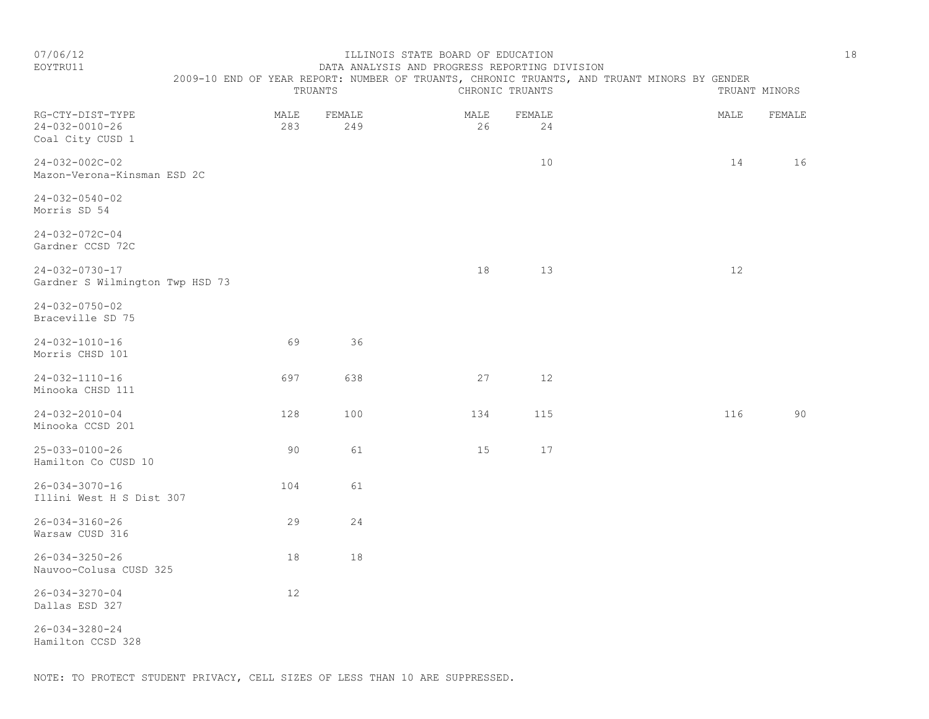#### EOYTRU11 DATA ANALYSIS AND PROGRESS REPORTING DIVISION 2009-10 END OF YEAR REPORT: NUMBER OF TRUANTS, CHRONIC TRUANTS, AND TRUANT MINORS BY GENDER

|                                                                |             | TRUANTS       |            | CHRONIC TRUANTS |  |      | TRUANT MINORS |  |
|----------------------------------------------------------------|-------------|---------------|------------|-----------------|--|------|---------------|--|
| RG-CTY-DIST-TYPE<br>$24 - 032 - 0010 - 26$<br>Coal City CUSD 1 | MALE<br>283 | FEMALE<br>249 | MALE<br>26 | FEMALE<br>24    |  | MALE | FEMALE        |  |
| $24 - 032 - 002C - 02$<br>Mazon-Verona-Kinsman ESD 2C          |             |               |            | 10              |  | 14   | 16            |  |
| $24 - 032 - 0540 - 02$<br>Morris SD 54                         |             |               |            |                 |  |      |               |  |
| $24 - 032 - 072C - 04$<br>Gardner CCSD 72C                     |             |               |            |                 |  |      |               |  |
| $24 - 032 - 0730 - 17$<br>Gardner S Wilmington Twp HSD 73      |             |               | 18         | 13              |  | $12$ |               |  |
| $24 - 032 - 0750 - 02$<br>Braceville SD 75                     |             |               |            |                 |  |      |               |  |
| $24 - 032 - 1010 - 16$<br>Morris CHSD 101                      | 69          | 36            |            |                 |  |      |               |  |
| $24 - 032 - 1110 - 16$<br>Minooka CHSD 111                     | 697         | 638           | 27         | 12              |  |      |               |  |
| $24 - 032 - 2010 - 04$<br>Minooka CCSD 201                     | 128         | 100           | 134        | 115             |  | 116  | 90            |  |
| $25 - 033 - 0100 - 26$<br>Hamilton Co CUSD 10                  | 90          | 61            | 15         | 17              |  |      |               |  |
| $26 - 034 - 3070 - 16$<br>Illini West H S Dist 307             | 104         | 61            |            |                 |  |      |               |  |
| $26 - 034 - 3160 - 26$<br>Warsaw CUSD 316                      | 29          | 24            |            |                 |  |      |               |  |
| $26 - 034 - 3250 - 26$<br>Nauvoo-Colusa CUSD 325               | $1\,8$      | 18            |            |                 |  |      |               |  |
| $26 - 034 - 3270 - 04$<br>Dallas ESD 327                       | $12$        |               |            |                 |  |      |               |  |
| $26 - 034 - 3280 - 24$<br>Hamilton CCSD 328                    |             |               |            |                 |  |      |               |  |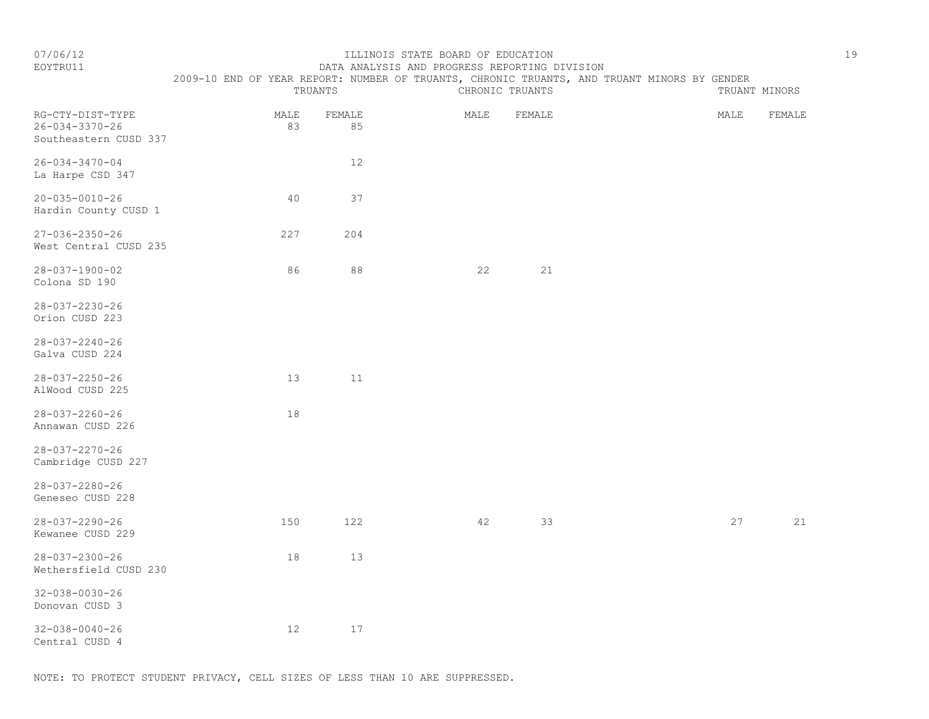# EOYTRU11 DATA ANALYSIS AND PROGRESS REPORTING DIVISION

 2009-10 END OF YEAR REPORT: NUMBER OF TRUANTS, CHRONIC TRUANTS, AND TRUANT MINORS BY GENDER TRUANTS CHRONIC TRUANTS TRUANT MINORS

| RG-CTY-DIST-TYPE<br>$26 - 034 - 3370 - 26$<br>Southeastern CUSD 337 | MALE<br>83 | FEMALE<br>85 | MALE | FEMALE | MALE | FEMALE |
|---------------------------------------------------------------------|------------|--------------|------|--------|------|--------|
| $26 - 034 - 3470 - 04$<br>La Harpe CSD 347                          |            | 12           |      |        |      |        |
| $20 - 035 - 0010 - 26$<br>Hardin County CUSD 1                      | 40         | 37           |      |        |      |        |
| $27 - 036 - 2350 - 26$<br>West Central CUSD 235                     | 227        | 204          |      |        |      |        |
| $28 - 037 - 1900 - 02$<br>Colona SD 190                             | 86         | $8\,8$       | 22   | 21     |      |        |
| $28 - 037 - 2230 - 26$<br>Orion CUSD 223                            |            |              |      |        |      |        |
| $28 - 037 - 2240 - 26$<br>Galva CUSD 224                            |            |              |      |        |      |        |
| $28 - 037 - 2250 - 26$<br>AlWood CUSD 225                           | 13         | 11           |      |        |      |        |
| $28 - 037 - 2260 - 26$<br>Annawan CUSD 226                          | 18         |              |      |        |      |        |
| $28 - 037 - 2270 - 26$<br>Cambridge CUSD 227                        |            |              |      |        |      |        |
| $28 - 037 - 2280 - 26$<br>Geneseo CUSD 228                          |            |              |      |        |      |        |
| $28 - 037 - 2290 - 26$<br>Kewanee CUSD 229                          | 150        | 122          | 42   | 33     | 27   | 21     |
| $28 - 037 - 2300 - 26$<br>Wethersfield CUSD 230                     | 18         | 13           |      |        |      |        |
| $32 - 038 - 0030 - 26$<br>Donovan CUSD 3                            |            |              |      |        |      |        |
| $32 - 038 - 0040 - 26$<br>Central CUSD 4                            | 12         | 17           |      |        |      |        |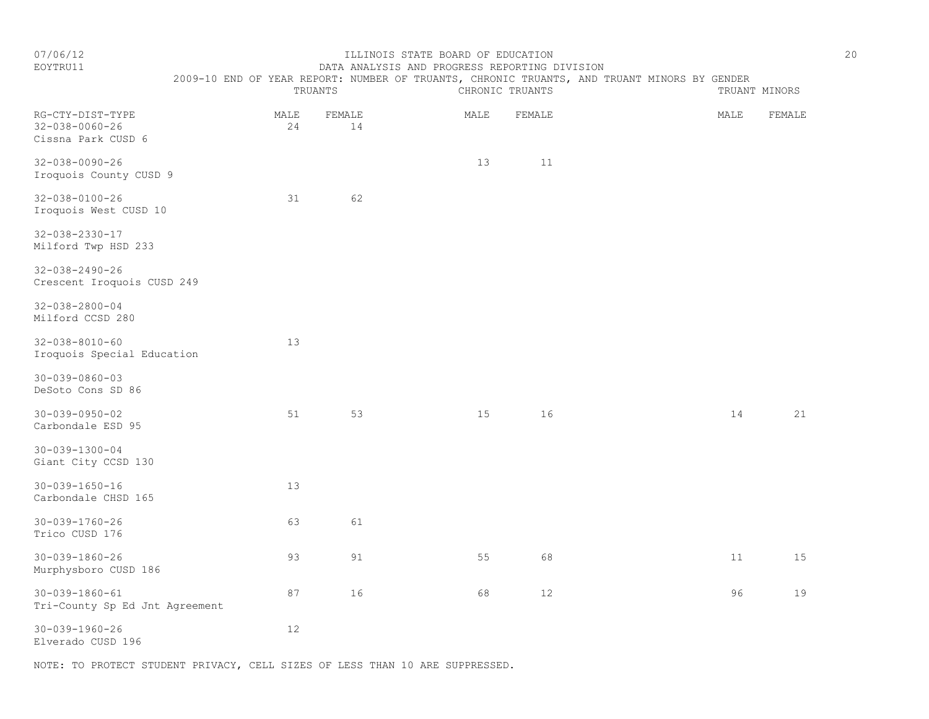#### EOYTRU11 DATA ANALYSIS AND PROGRESS REPORTING DIVISION 2009-10 END OF YEAR REPORT: NUMBER OF TRUANTS, CHRONIC TRUANTS, AND TRUANT MINORS BY GENDER

|                                                                  |            | TRUANTS      | to bus of form, not only nonpoly of frommers, only frommers, may fromme menone be | CHRONIC TRUANTS |      | TRUANT MINORS |
|------------------------------------------------------------------|------------|--------------|-----------------------------------------------------------------------------------|-----------------|------|---------------|
| RG-CTY-DIST-TYPE<br>$32 - 038 - 0060 - 26$<br>Cissna Park CUSD 6 | MALE<br>24 | FEMALE<br>14 | MALE                                                                              | FEMALE          | MALE | FEMALE        |
| $32 - 038 - 0090 - 26$<br>Iroquois County CUSD 9                 |            |              | 13                                                                                | 11              |      |               |
| $32 - 038 - 0100 - 26$<br>Iroquois West CUSD 10                  | 31         | 62           |                                                                                   |                 |      |               |
| $32 - 038 - 2330 - 17$<br>Milford Twp HSD 233                    |            |              |                                                                                   |                 |      |               |
| $32 - 038 - 2490 - 26$<br>Crescent Iroquois CUSD 249             |            |              |                                                                                   |                 |      |               |
| $32 - 038 - 2800 - 04$<br>Milford CCSD 280                       |            |              |                                                                                   |                 |      |               |
| $32 - 038 - 8010 - 60$<br>Iroquois Special Education             | 13         |              |                                                                                   |                 |      |               |
| $30 - 039 - 0860 - 03$<br>DeSoto Cons SD 86                      |            |              |                                                                                   |                 |      |               |
| $30 - 039 - 0950 - 02$<br>Carbondale ESD 95                      | 51         | 53           | 15                                                                                | 16              | 14   | 21            |
| $30 - 039 - 1300 - 04$<br>Giant City CCSD 130                    |            |              |                                                                                   |                 |      |               |
| $30 - 039 - 1650 - 16$<br>Carbondale CHSD 165                    | 13         |              |                                                                                   |                 |      |               |
| 30-039-1760-26<br>Trico CUSD 176                                 | 63         | 61           |                                                                                   |                 |      |               |
| $30 - 039 - 1860 - 26$<br>Murphysboro CUSD 186                   | 93         | 91           | 55                                                                                | 68              | 11   | 15            |
| $30 - 039 - 1860 - 61$<br>Tri-County Sp Ed Jnt Agreement         | 87         | 16           | 68                                                                                | 12              | 96   | 19            |
| $30 - 039 - 1960 - 26$                                           | 12         |              |                                                                                   |                 |      |               |

Elverado CUSD 196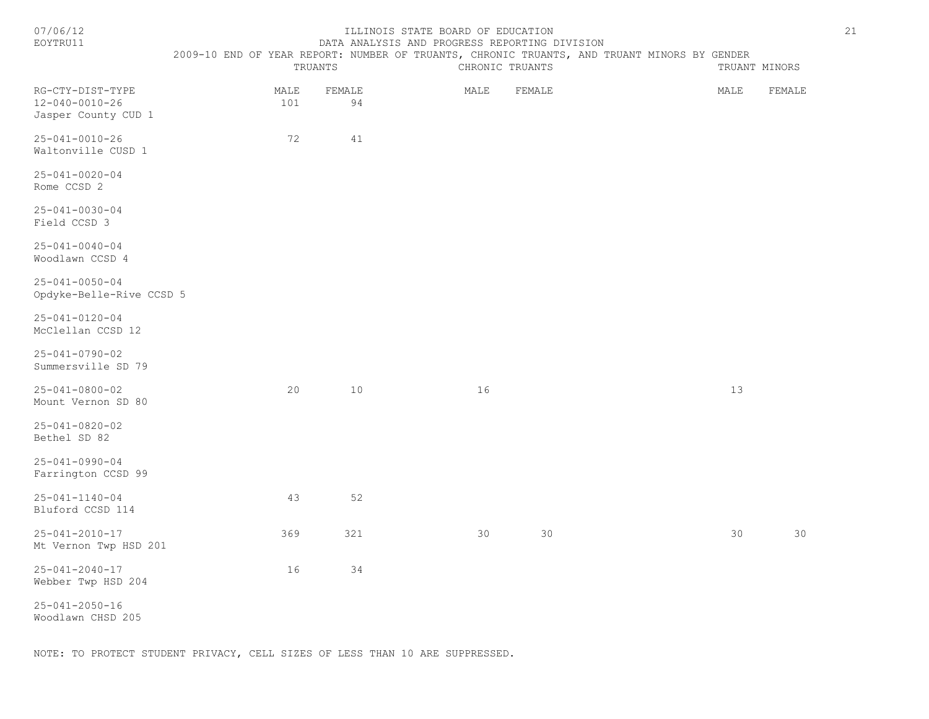| 07/06/12<br>EOYTRU11                                      | 2009-10 END OF YEAR REPORT: NUMBER OF TRUANTS, CHRONIC TRUANTS, AND TRUANT MINORS BY GENDER | TRUANTS     |        |     | ILLINOIS STATE BOARD OF EDUCATION<br>DATA ANALYSIS AND PROGRESS REPORTING DIVISION | CHRONIC TRUANTS |        |  |      | TRUANT MINORS | 21 |
|-----------------------------------------------------------|---------------------------------------------------------------------------------------------|-------------|--------|-----|------------------------------------------------------------------------------------|-----------------|--------|--|------|---------------|----|
| RG-CTY-DIST-TYPE<br>12-040-0010-26<br>Jasper County CUD 1 |                                                                                             | MALE<br>101 | FEMALE | 94  |                                                                                    | MALE            | FEMALE |  | MALE | FEMALE        |    |
| $25 - 041 - 0010 - 26$<br>Waltonville CUSD 1              |                                                                                             | 72          |        | 41  |                                                                                    |                 |        |  |      |               |    |
| $25 - 041 - 0020 - 04$<br>Rome CCSD 2                     |                                                                                             |             |        |     |                                                                                    |                 |        |  |      |               |    |
| $25 - 041 - 0030 - 04$<br>Field CCSD 3                    |                                                                                             |             |        |     |                                                                                    |                 |        |  |      |               |    |
| $25 - 041 - 0040 - 04$<br>Woodlawn CCSD 4                 |                                                                                             |             |        |     |                                                                                    |                 |        |  |      |               |    |
| $25 - 041 - 0050 - 04$<br>Opdyke-Belle-Rive CCSD 5        |                                                                                             |             |        |     |                                                                                    |                 |        |  |      |               |    |
| 25-041-0120-04<br>McClellan CCSD 12                       |                                                                                             |             |        |     |                                                                                    |                 |        |  |      |               |    |
| $25 - 041 - 0790 - 02$<br>Summersville SD 79              |                                                                                             |             |        |     |                                                                                    |                 |        |  |      |               |    |
| $25 - 041 - 0800 - 02$<br>Mount Vernon SD 80              |                                                                                             | 20          |        | 10  |                                                                                    | 16              |        |  | 13   |               |    |
| 25-041-0820-02<br>Bethel SD 82                            |                                                                                             |             |        |     |                                                                                    |                 |        |  |      |               |    |
| $25 - 041 - 0990 - 04$<br>Farrington CCSD 99              |                                                                                             |             |        |     |                                                                                    |                 |        |  |      |               |    |
| $25 - 041 - 1140 - 04$<br>Bluford CCSD 114                |                                                                                             | 43          |        | 52  |                                                                                    |                 |        |  |      |               |    |
| $25 - 041 - 2010 - 17$<br>Mt Vernon Twp HSD 201           |                                                                                             | 369         |        | 321 |                                                                                    | 30              | 30     |  | 30   | 30            |    |
| $25 - 041 - 2040 - 17$<br>Webber Twp HSD 204              |                                                                                             | 16          |        | 34  |                                                                                    |                 |        |  |      |               |    |
| $25 - 041 - 2050 - 16$<br>Woodlawn CHSD 205               |                                                                                             |             |        |     |                                                                                    |                 |        |  |      |               |    |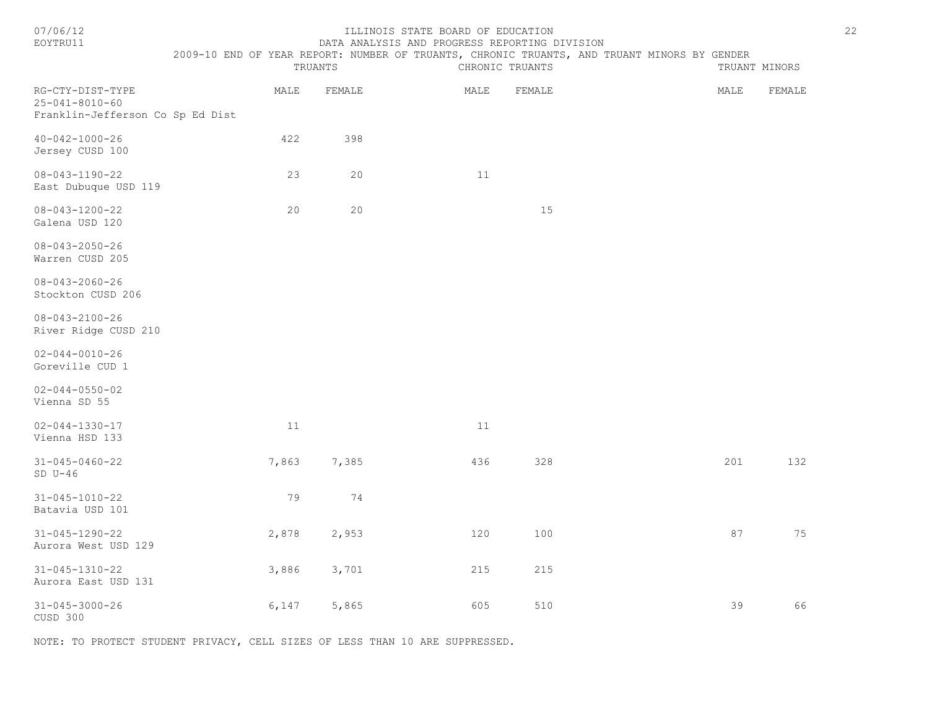| EOYTRU11                                                                       |                                                                                                        |        | DATA ANALYSIS AND PROGRESS REPORTING DIVISION |                 |      |               |
|--------------------------------------------------------------------------------|--------------------------------------------------------------------------------------------------------|--------|-----------------------------------------------|-----------------|------|---------------|
|                                                                                | 2009-10 END OF YEAR REPORT: NUMBER OF TRUANTS, CHRONIC TRUANTS, AND TRUANT MINORS BY GENDER<br>TRUANTS |        |                                               | CHRONIC TRUANTS |      | TRUANT MINORS |
| RG-CTY-DIST-TYPE<br>$25 - 041 - 8010 - 60$<br>Franklin-Jefferson Co Sp Ed Dist | MALE                                                                                                   | FEMALE | MALE                                          | FEMALE          | MALE | FEMALE        |
| $40 - 042 - 1000 - 26$<br>Jersey CUSD 100                                      | 422                                                                                                    | 398    |                                               |                 |      |               |
| $08 - 043 - 1190 - 22$<br>East Dubuque USD 119                                 | 23                                                                                                     | 20     | 11                                            |                 |      |               |
| $08 - 043 - 1200 - 22$<br>Galena USD 120                                       | 20                                                                                                     | 20     |                                               | 15              |      |               |
| $08 - 043 - 2050 - 26$<br>Warren CUSD 205                                      |                                                                                                        |        |                                               |                 |      |               |
| $08 - 043 - 2060 - 26$<br>Stockton CUSD 206                                    |                                                                                                        |        |                                               |                 |      |               |
| $08 - 043 - 2100 - 26$<br>River Ridge CUSD 210                                 |                                                                                                        |        |                                               |                 |      |               |
| $02 - 044 - 0010 - 26$<br>Goreville CUD 1                                      |                                                                                                        |        |                                               |                 |      |               |
| $02 - 044 - 0550 - 02$<br>Vienna SD 55                                         |                                                                                                        |        |                                               |                 |      |               |
| $02 - 044 - 1330 - 17$<br>Vienna HSD 133                                       | 11                                                                                                     |        | 11                                            |                 |      |               |
| $31 - 045 - 0460 - 22$<br>$SD U-46$                                            | 7,863                                                                                                  | 7,385  | 436                                           | 328             | 201  | 132           |
| $31 - 045 - 1010 - 22$<br>Batavia USD 101                                      | 79                                                                                                     | 74     |                                               |                 |      |               |
| $31 - 045 - 1290 - 22$<br>Aurora West USD 129                                  | 2,878                                                                                                  | 2,953  | 120                                           | 100             | 87   | 75            |
| $31 - 045 - 1310 - 22$<br>Aurora East USD 131                                  | 3,886                                                                                                  | 3,701  | 215                                           | 215             |      |               |
| $31 - 045 - 3000 - 26$<br>CUSD 300                                             | 6,147                                                                                                  | 5,865  | 605                                           | 510             | 39   | 66            |

NOTE: TO PROTECT STUDENT PRIVACY, CELL SIZES OF LESS THAN 10 ARE SUPPRESSED.

07/06/12 ILLINOIS STATE BOARD OF EDUCATION 22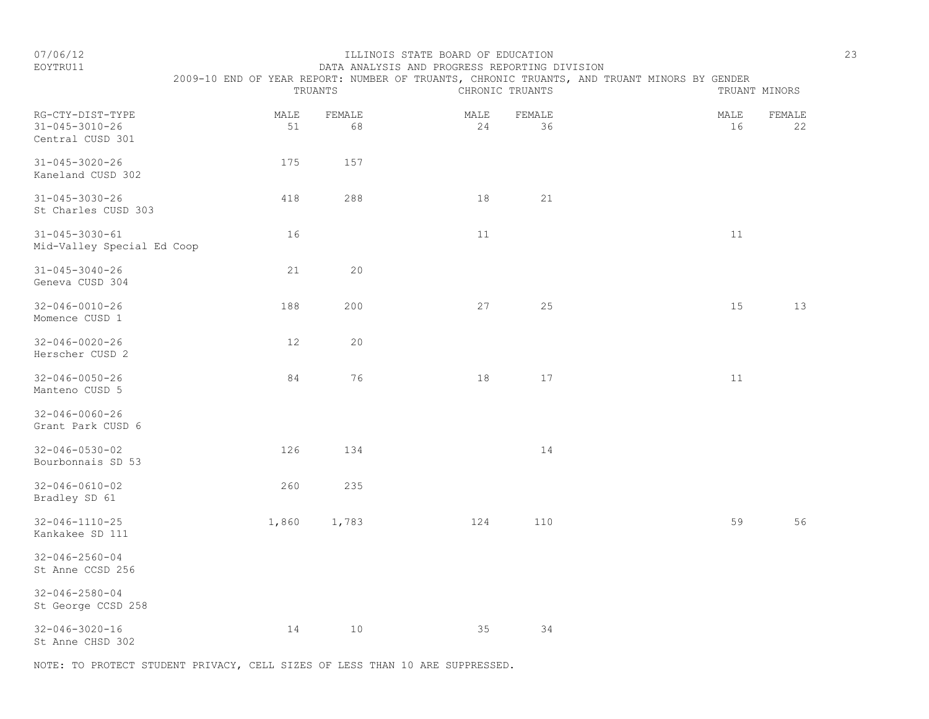#### EOYTRU11 DATA ANALYSIS AND PROGRESS REPORTING DIVISION 2009-10 END OF YEAR REPORT: NUMBER OF TRUANTS, CHRONIC TRUANTS, AND TRUANT MINORS BY GENDER

|                                                                |            | TRUANTS      |            | CHRONIC TRUANTS |            | TRUANT MINORS |
|----------------------------------------------------------------|------------|--------------|------------|-----------------|------------|---------------|
| RG-CTY-DIST-TYPE<br>$31 - 045 - 3010 - 26$<br>Central CUSD 301 | MALE<br>51 | FEMALE<br>68 | MALE<br>24 | FEMALE<br>36    | MALE<br>16 | FEMALE<br>22  |
| $31 - 045 - 3020 - 26$<br>Kaneland CUSD 302                    | 175        | 157          |            |                 |            |               |
| $31 - 045 - 3030 - 26$<br>St Charles CUSD 303                  | 418        | 288          | 18         | 21              |            |               |
| $31 - 045 - 3030 - 61$<br>Mid-Valley Special Ed Coop           | 16         |              | 11         |                 | 11         |               |
| $31 - 045 - 3040 - 26$<br>Geneva CUSD 304                      | 21         | 20           |            |                 |            |               |
| $32 - 046 - 0010 - 26$<br>Momence CUSD 1                       | 188        | 200          | 27         | 25              | 15         | 13            |
| $32 - 046 - 0020 - 26$<br>Herscher CUSD 2                      | 12         | 20           |            |                 |            |               |
| $32 - 046 - 0050 - 26$<br>Manteno CUSD 5                       | 84         | 76           | 18         | 17              | $11$       |               |
| $32 - 046 - 0060 - 26$<br>Grant Park CUSD 6                    |            |              |            |                 |            |               |
| $32 - 046 - 0530 - 02$<br>Bourbonnais SD 53                    | 126        | 134          |            | 14              |            |               |
| $32 - 046 - 0610 - 02$<br>Bradley SD 61                        | 260        | 235          |            |                 |            |               |
| $32 - 046 - 1110 - 25$<br>Kankakee SD 111                      | 1,860      | 1,783        | 124        | 110             | 59         | 56            |
| $32 - 046 - 2560 - 04$<br>St Anne CCSD 256                     |            |              |            |                 |            |               |
| $32 - 046 - 2580 - 04$<br>St George CCSD 258                   |            |              |            |                 |            |               |
| $32 - 046 - 3020 - 16$<br>St Anne CHSD 302                     | 14         | 10           | 35         | 34              |            |               |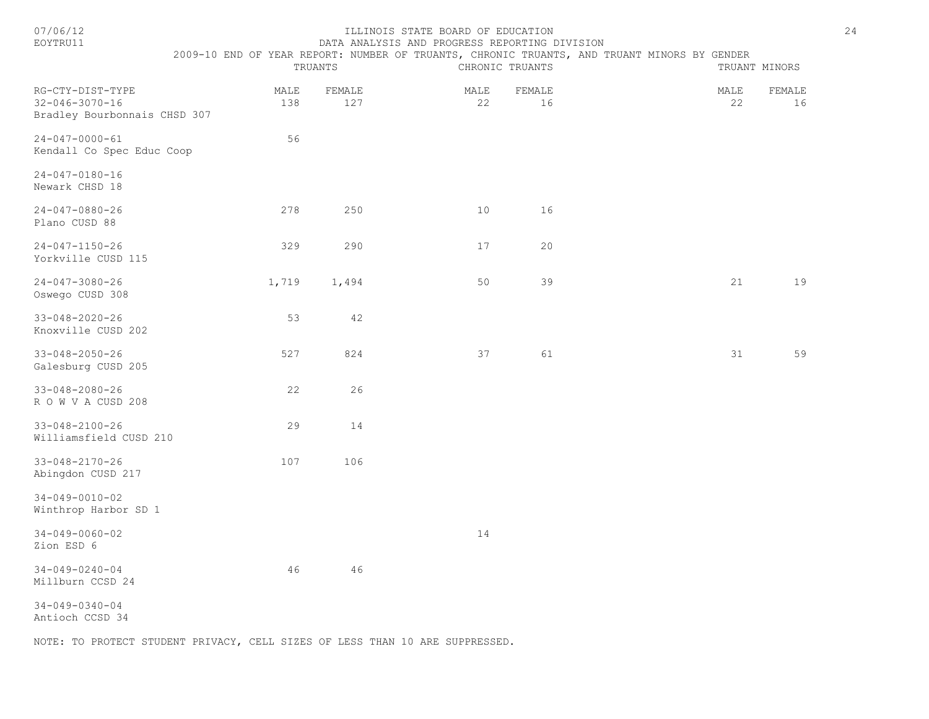| n |  |
|---|--|
|   |  |

#### ILLINOIS STATE BOARD OF EDUCATION 24 EOYTRU11 DATA ANALYSIS AND PROGRESS REPORTING DIVISION

| $2009 -$<br>모ND - | REPORT<br>YEAR<br>$\bigcap$ F | NUMBER (<br>TRUANTS.<br>CHRONIL.<br>OF | TRUANTS.<br>AND | TRUANT<br>MTNOR S<br>'NDEF |  |
|-------------------|-------------------------------|----------------------------------------|-----------------|----------------------------|--|
|                   | `H i<br>1 A N 1               |                                        | ⊣ ∆ N™<br>◡     | ا د ۱۰                     |  |

| RG-CTY-DIST-TYPE<br>$32 - 046 - 3070 - 16$<br>Bradley Bourbonnais CHSD 307 | MALE<br>138 | FEMALE<br>127 | MALE<br>22 | FEMALE<br>16 | MALE<br>22 | FEMALE<br>16 |
|----------------------------------------------------------------------------|-------------|---------------|------------|--------------|------------|--------------|
| $24 - 047 - 0000 - 61$<br>Kendall Co Spec Educ Coop                        | 56          |               |            |              |            |              |
| $24 - 047 - 0180 - 16$<br>Newark CHSD 18                                   |             |               |            |              |            |              |
| $24 - 047 - 0880 - 26$<br>Plano CUSD 88                                    | 278         | 250           | 10         | 16           |            |              |
| $24 - 047 - 1150 - 26$<br>Yorkville CUSD 115                               | 329         | 290           | 17         | 20           |            |              |
| $24 - 047 - 3080 - 26$<br>Oswego CUSD 308                                  | 1,719       | 1,494         | 50         | 39           | 21         | 19           |
| $33 - 048 - 2020 - 26$<br>Knoxville CUSD 202                               | 53          | 42            |            |              |            |              |
| $33 - 048 - 2050 - 26$<br>Galesburg CUSD 205                               | 527         | 824           | 37         | 61           | 31         | 59           |
| $33 - 048 - 2080 - 26$<br>ROWVACUSD 208                                    | 22          | 26            |            |              |            |              |
| $33 - 048 - 2100 - 26$<br>Williamsfield CUSD 210                           | 29          | 14            |            |              |            |              |
| $33 - 048 - 2170 - 26$<br>Abingdon CUSD 217                                | 107         | 106           |            |              |            |              |
| $34 - 049 - 0010 - 02$<br>Winthrop Harbor SD 1                             |             |               |            |              |            |              |
| $34 - 049 - 0060 - 02$<br>Zion ESD 6                                       |             |               | 14         |              |            |              |
| $34 - 049 - 0240 - 04$<br>Millburn CCSD 24                                 | 46          | 46            |            |              |            |              |
| $34 - 049 - 0340 - 04$<br>Antioch CCSD 34                                  |             |               |            |              |            |              |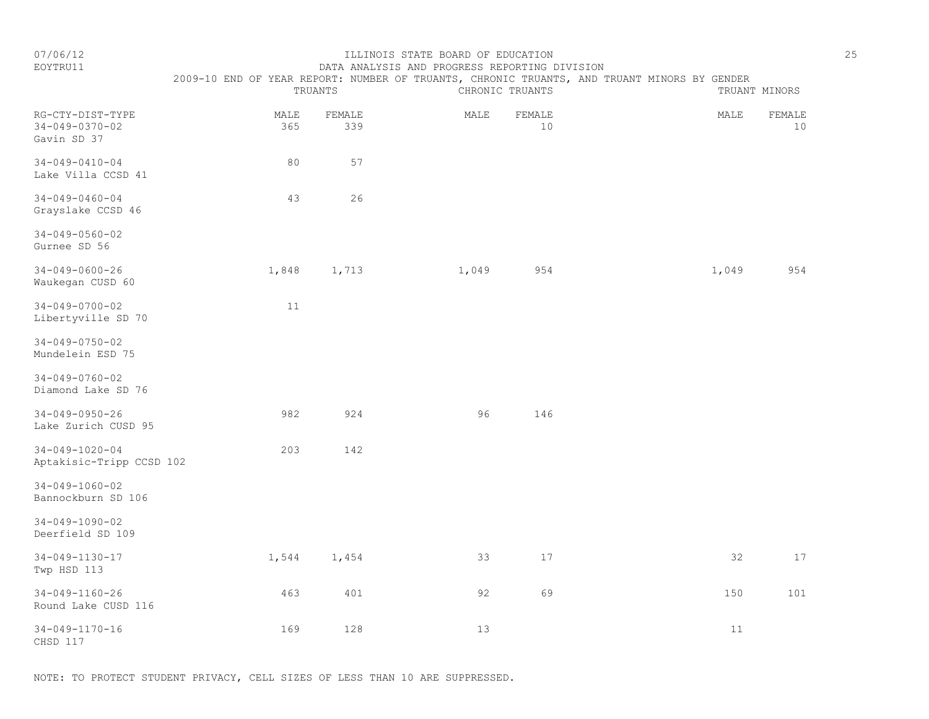# EOYTRU11 DATA ANALYSIS AND PROGRESS REPORTING DIVISION

| 2009-10 END OF YEAR REPORT: NUMBER OF TRUANTS, CHRONIC TRUANTS, AND TRUANT MINORS BY GENDER |  |
|---------------------------------------------------------------------------------------------|--|
|---------------------------------------------------------------------------------------------|--|

|                                                           |             | TRUANTS       |       | CHRONIC TRUANTS |        | TRUANT MINORS |
|-----------------------------------------------------------|-------------|---------------|-------|-----------------|--------|---------------|
| RG-CTY-DIST-TYPE<br>$34 - 049 - 0370 - 02$<br>Gavin SD 37 | MALE<br>365 | FEMALE<br>339 | MALE  | FEMALE<br>10    | MALE   | FEMALE<br>10  |
| $34 - 049 - 0410 - 04$<br>Lake Villa CCSD 41              | 80          | 57            |       |                 |        |               |
| $34 - 049 - 0460 - 04$<br>Grayslake CCSD 46               | 43          | 26            |       |                 |        |               |
| $34 - 049 - 0560 - 02$<br>Gurnee SD 56                    |             |               |       |                 |        |               |
| $34 - 049 - 0600 - 26$<br>Waukegan CUSD 60                | 1,848       | 1,713         | 1,049 | 954             | 1,049  | 954           |
| $34 - 049 - 0700 - 02$<br>Libertyville SD 70              | 11          |               |       |                 |        |               |
| $34 - 049 - 0750 - 02$<br>Mundelein ESD 75                |             |               |       |                 |        |               |
| $34 - 049 - 0760 - 02$<br>Diamond Lake SD 76              |             |               |       |                 |        |               |
| $34 - 049 - 0950 - 26$<br>Lake Zurich CUSD 95             | 982         | 924           | 96    | 146             |        |               |
| $34 - 049 - 1020 - 04$<br>Aptakisic-Tripp CCSD 102        | 203         | 142           |       |                 |        |               |
| $34 - 049 - 1060 - 02$<br>Bannockburn SD 106              |             |               |       |                 |        |               |
| $34 - 049 - 1090 - 02$<br>Deerfield SD 109                |             |               |       |                 |        |               |
| $34 - 049 - 1130 - 17$<br>Twp HSD 113                     | 1,544       | 1,454         | 33    | 17              | 32     | $17$          |
| $34 - 049 - 1160 - 26$<br>Round Lake CUSD 116             | 463         | 401           | 92    | 69              | 150    | 101           |
| $34 - 049 - 1170 - 16$<br>CHSD 117                        | 169         | 128           | 13    |                 | $11\,$ |               |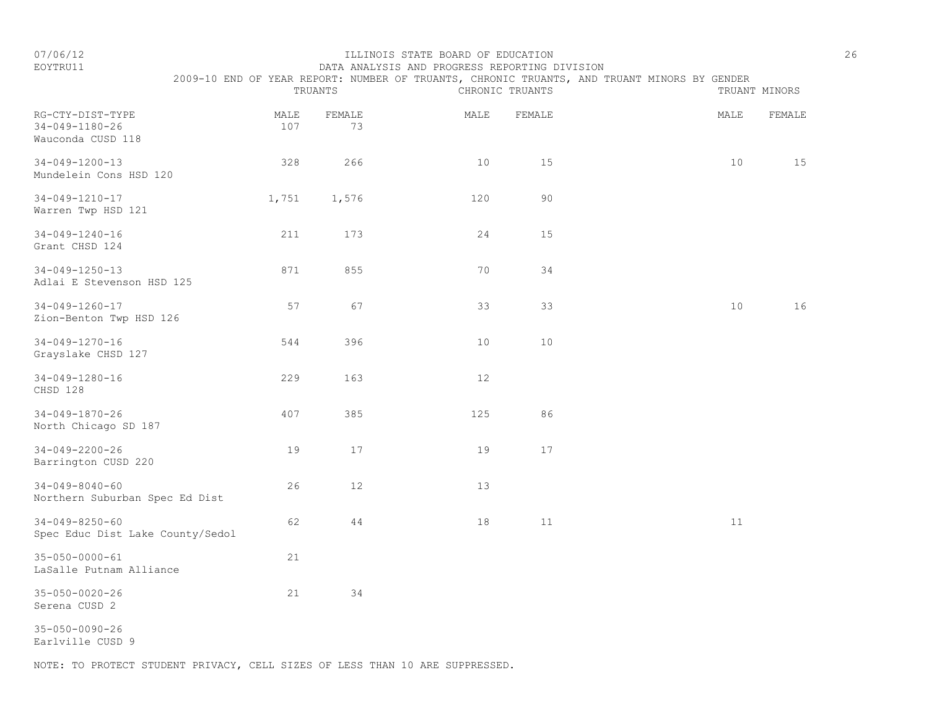#### EOYTRU11 DATA ANALYSIS AND PROGRESS REPORTING DIVISION 2009-10 END OF YEAR REPORT: NUMBER OF TRUANTS, CHRONIC TRUANTS, AND TRUANT MINORS BY GENDER

|                                                                 |             | TRUANTS      |      | CHRONIC TRUANTS |                 | TRUANT MINORS |
|-----------------------------------------------------------------|-------------|--------------|------|-----------------|-----------------|---------------|
| RG-CTY-DIST-TYPE<br>$34 - 049 - 1180 - 26$<br>Wauconda CUSD 118 | MALE<br>107 | FEMALE<br>73 | MALE | FEMALE          | MALE            | FEMALE        |
| $34 - 049 - 1200 - 13$<br>Mundelein Cons HSD 120                | 328         | 266          | 10   | 15              | 10              | 15            |
| $34 - 049 - 1210 - 17$<br>Warren Twp HSD 121                    | 1,751       | 1,576        | 120  | 90              |                 |               |
| 34-049-1240-16<br>Grant CHSD 124                                | 211         | 173          | 24   | 15              |                 |               |
| $34 - 049 - 1250 - 13$<br>Adlai E Stevenson HSD 125             | 871         | 855          | 70   | 34              |                 |               |
| $34 - 049 - 1260 - 17$<br>Zion-Benton Twp HSD 126               | 57          | 67           | 33   | 33              | 10 <sup>°</sup> | 16            |
| $34 - 049 - 1270 - 16$<br>Grayslake CHSD 127                    | 544         | 396          | 10   | 10              |                 |               |
| 34-049-1280-16<br>CHSD 128                                      | 229         | 163          | 12   |                 |                 |               |
| $34 - 049 - 1870 - 26$<br>North Chicago SD 187                  | 407         | 385          | 125  | 86              |                 |               |
| $34 - 049 - 2200 - 26$<br>Barrington CUSD 220                   | 19          | 17           | 19   | $17$            |                 |               |
| $34 - 049 - 8040 - 60$<br>Northern Suburban Spec Ed Dist        | 26          | 12           | 13   |                 |                 |               |
| $34 - 049 - 8250 - 60$<br>Spec Educ Dist Lake County/Sedol      | 62          | 44           | 18   | 11              | 11              |               |
| $35 - 050 - 0000 - 61$<br>LaSalle Putnam Alliance               | 21          |              |      |                 |                 |               |
| $35 - 050 - 0020 - 26$<br>Serena CUSD 2                         | 21          | 34           |      |                 |                 |               |
| $35 - 050 - 0090 - 26$<br>Earlville CUSD 9                      |             |              |      |                 |                 |               |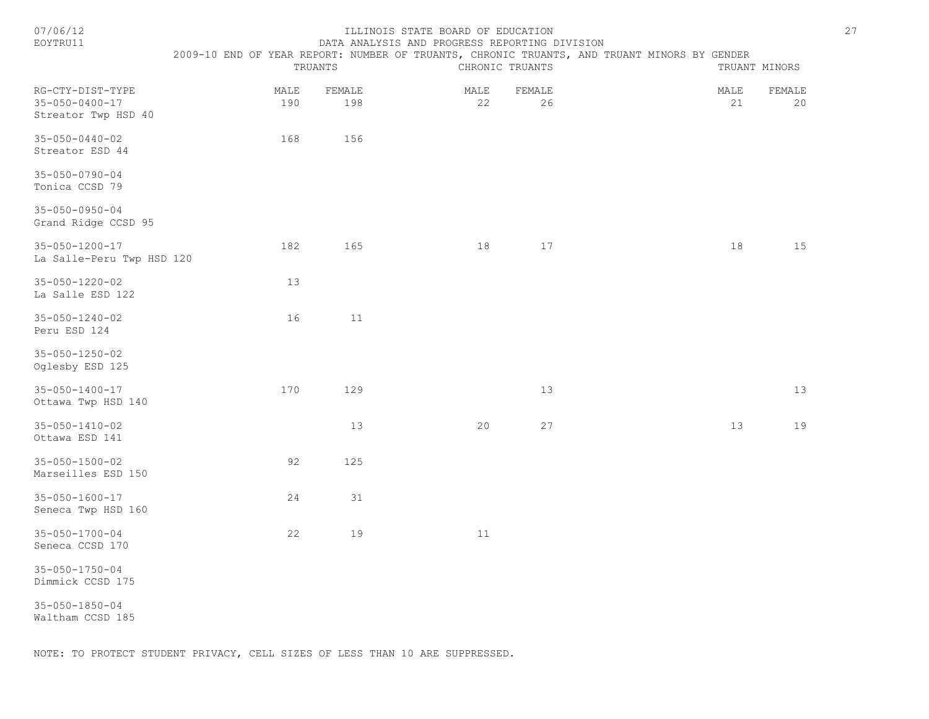| 07/06/12<br>EOYTRU11                                              | 2009-10 END OF YEAR REPORT: NUMBER OF TRUANTS, CHRONIC TRUANTS, AND TRUANT MINORS BY GENDER | TRUANTS       | ILLINOIS STATE BOARD OF EDUCATION<br>DATA ANALYSIS AND PROGRESS REPORTING DIVISION | CHRONIC TRUANTS | TRUANT MINORS | 27           |
|-------------------------------------------------------------------|---------------------------------------------------------------------------------------------|---------------|------------------------------------------------------------------------------------|-----------------|---------------|--------------|
| RG-CTY-DIST-TYPE<br>$35 - 050 - 0400 - 17$<br>Streator Twp HSD 40 | MALE<br>190                                                                                 | FEMALE<br>198 | MALE<br>22                                                                         | FEMALE<br>26    | MALE<br>21    | FEMALE<br>20 |
| $35 - 050 - 0440 - 02$<br>Streator ESD 44                         | 168                                                                                         | 156           |                                                                                    |                 |               |              |
| $35 - 050 - 0790 - 04$<br>Tonica CCSD 79                          |                                                                                             |               |                                                                                    |                 |               |              |
| $35 - 050 - 0950 - 04$<br>Grand Ridge CCSD 95                     |                                                                                             |               |                                                                                    |                 |               |              |
| 35-050-1200-17<br>La Salle-Peru Twp HSD 120                       | 182                                                                                         | 165           | 18                                                                                 | 17              | 18            | 15           |
| $35 - 050 - 1220 - 02$<br>La Salle ESD 122                        | 13                                                                                          |               |                                                                                    |                 |               |              |
| $35 - 050 - 1240 - 02$<br>Peru ESD 124                            | 16                                                                                          | 11            |                                                                                    |                 |               |              |
| $35 - 050 - 1250 - 02$<br>Oglesby ESD 125                         |                                                                                             |               |                                                                                    |                 |               |              |
| $35 - 050 - 1400 - 17$<br>Ottawa Twp HSD 140                      | 170                                                                                         | 129           |                                                                                    | 13              |               | 13           |
| $35 - 050 - 1410 - 02$<br>Ottawa ESD 141                          |                                                                                             | 13            | 20                                                                                 | 27              | 13            | 19           |
| $35 - 050 - 1500 - 02$<br>Marseilles ESD 150                      | 92                                                                                          | 125           |                                                                                    |                 |               |              |
| $35 - 050 - 1600 - 17$<br>Seneca Twp HSD 160                      | 24                                                                                          | 31            |                                                                                    |                 |               |              |
| $35 - 050 - 1700 - 04$<br>Seneca CCSD 170                         | 22                                                                                          | 19            | 11                                                                                 |                 |               |              |
| $35 - 050 - 1750 - 04$<br>Dimmick CCSD 175                        |                                                                                             |               |                                                                                    |                 |               |              |
| $35 - 050 - 1850 - 04$<br>Waltham CCSD 185                        |                                                                                             |               |                                                                                    |                 |               |              |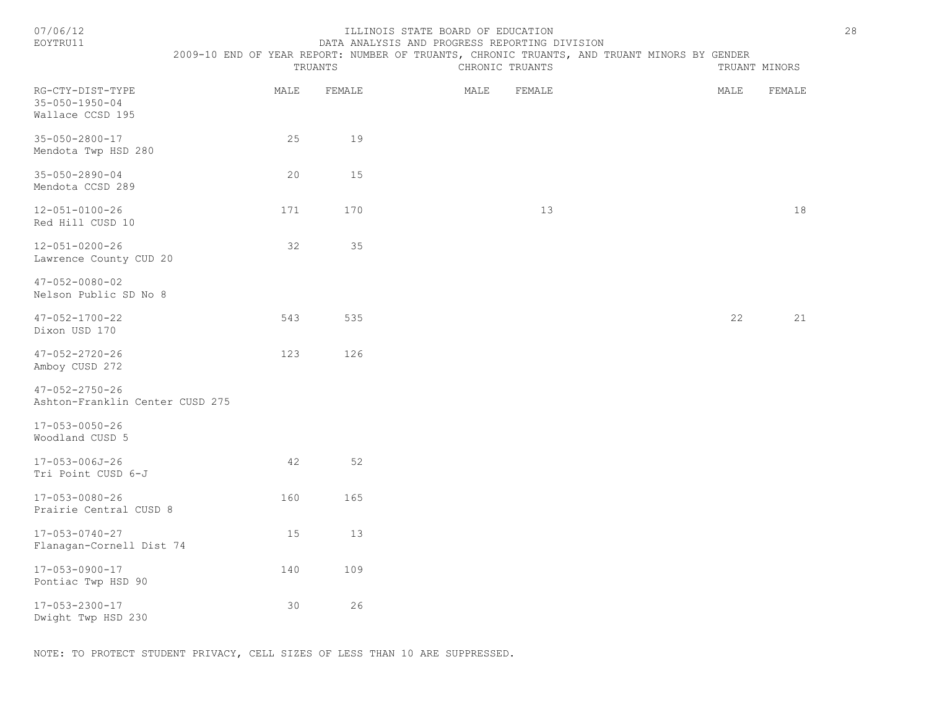| 07/06/12 |  |
|----------|--|
|          |  |

#### ILLINOIS STATE BOARD OF EDUCATION 28 EOYTRU11 DATA ANALYSIS AND PROGRESS REPORTING DIVISION

2009-10 END OF YEAR REPORT: NUMBER OF TRUANTS, CHRONIC TRUANTS, AND TRUANT MINORS BY GENDER

|                                                                |      | TRUANTS | CHRONIC TRUANTS |      | TRUANT MINORS |  |
|----------------------------------------------------------------|------|---------|-----------------|------|---------------|--|
| RG-CTY-DIST-TYPE<br>$35 - 050 - 1950 - 04$<br>Wallace CCSD 195 | MALE | FEMALE  | MALE<br>FEMALE  | MALE | FEMALE        |  |
| $35 - 050 - 2800 - 17$<br>Mendota Twp HSD 280                  | 25   | 19      |                 |      |               |  |
| $35 - 050 - 2890 - 04$<br>Mendota CCSD 289                     | 20   | 15      |                 |      |               |  |
| $12 - 051 - 0100 - 26$<br>Red Hill CUSD 10                     | 171  | 170     | 13              |      | 18            |  |
| $12 - 051 - 0200 - 26$<br>Lawrence County CUD 20               | 32   | 35      |                 |      |               |  |
| $47 - 052 - 0080 - 02$<br>Nelson Public SD No 8                |      |         |                 |      |               |  |
| $47 - 052 - 1700 - 22$<br>Dixon USD 170                        | 543  | 535     |                 | 22   | 21            |  |
| $47 - 052 - 2720 - 26$<br>Amboy CUSD 272                       | 123  | 126     |                 |      |               |  |
| $47 - 052 - 2750 - 26$<br>Ashton-Franklin Center CUSD 275      |      |         |                 |      |               |  |
| $17 - 053 - 0050 - 26$<br>Woodland CUSD 5                      |      |         |                 |      |               |  |
| 17-053-006J-26<br>Tri Point CUSD 6-J                           | 42   | 52      |                 |      |               |  |
| 17-053-0080-26<br>Prairie Central CUSD 8                       | 160  | 165     |                 |      |               |  |
| $17 - 053 - 0740 - 27$<br>Flanagan-Cornell Dist 74             | 15   | 13      |                 |      |               |  |
| 17-053-0900-17<br>Pontiac Twp HSD 90                           | 140  | 109     |                 |      |               |  |
| 17-053-2300-17<br>Dwight Twp HSD 230                           | 30   | 26      |                 |      |               |  |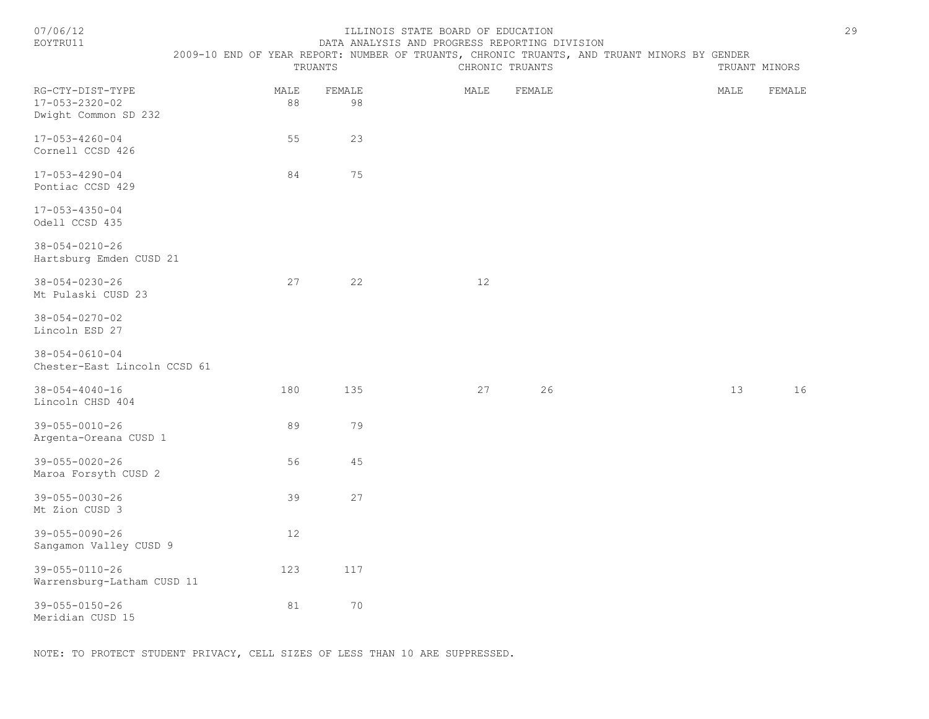| r<br>۱. |  |
|---------|--|
|         |  |

#### 07/06/12 ILLINOIS STATE BOARD OF EDUCATION 29 DATA ANALYSIS AND PROGRESS REPORTING DIVISION

| <b>DATIVATT</b>                                                    | TRUANTS    |              | DUIU UNUTIVIV UND ENVONDOV INTENTING DIVIVIVIN<br>2009-10 END OF YEAR REPORT: NUMBER OF TRUANTS, CHRONIC TRUANTS, AND TRUANT MINORS BY GENDER<br>CHRONIC TRUANTS | TRUANT MINORS |  |      |        |
|--------------------------------------------------------------------|------------|--------------|------------------------------------------------------------------------------------------------------------------------------------------------------------------|---------------|--|------|--------|
| RG-CTY-DIST-TYPE<br>$17 - 053 - 2320 - 02$<br>Dwight Common SD 232 | MALE<br>88 | FEMALE<br>98 | MALE                                                                                                                                                             | FEMALE        |  | MALE | FEMALE |
| $17 - 053 - 4260 - 04$<br>Cornell CCSD 426                         | 55         | 23           |                                                                                                                                                                  |               |  |      |        |
| $17 - 053 - 4290 - 04$<br>Pontiac CCSD 429                         | 84         | 75           |                                                                                                                                                                  |               |  |      |        |
| $17 - 053 - 4350 - 04$<br>Odell CCSD 435                           |            |              |                                                                                                                                                                  |               |  |      |        |
| $38 - 054 - 0210 - 26$<br>Hartsburg Emden CUSD 21                  |            |              |                                                                                                                                                                  |               |  |      |        |
| $38 - 054 - 0230 - 26$<br>Mt Pulaski CUSD 23                       | 27         | 22           | 12                                                                                                                                                               |               |  |      |        |
| $38 - 054 - 0270 - 02$<br>Lincoln ESD 27                           |            |              |                                                                                                                                                                  |               |  |      |        |
| $38 - 054 - 0610 - 04$<br>Chester-East Lincoln CCSD 61             |            |              |                                                                                                                                                                  |               |  |      |        |
| $38 - 054 - 4040 - 16$<br>Lincoln CHSD 404                         | 180        | 135          | 27                                                                                                                                                               | 26            |  | 13   | 16     |
| 39-055-0010-26<br>Argenta-Oreana CUSD 1                            | 89         | 79           |                                                                                                                                                                  |               |  |      |        |
| $39 - 055 - 0020 - 26$<br>Maroa Forsyth CUSD 2                     | 56         | 45           |                                                                                                                                                                  |               |  |      |        |
| 39-055-0030-26<br>Mt Zion CUSD 3                                   | 39         | 27           |                                                                                                                                                                  |               |  |      |        |
| $39 - 055 - 0090 - 26$<br>Sangamon Valley CUSD 9                   | $12$       |              |                                                                                                                                                                  |               |  |      |        |
| 39-055-0110-26<br>Warrensburg-Latham CUSD 11                       | 123        | 117          |                                                                                                                                                                  |               |  |      |        |
| 39-055-0150-26<br>Meridian CUSD 15                                 | 81         | 70           |                                                                                                                                                                  |               |  |      |        |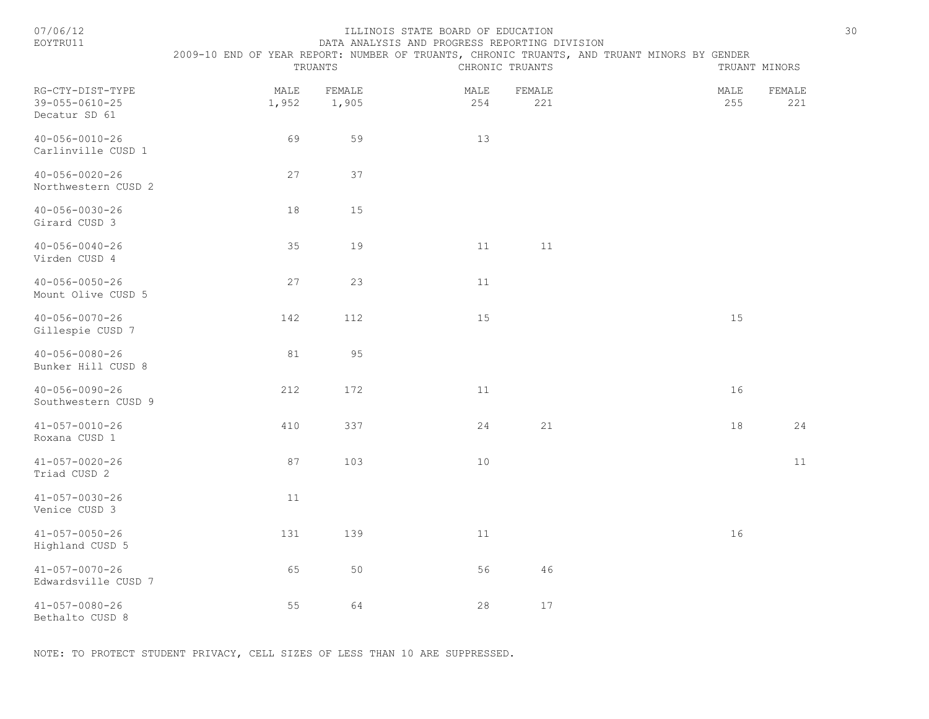| /06/1 |  |
|-------|--|
|       |  |

#### 07/06/12 ILLINOIS STATE BOARD OF EDUCATION 30 EOYTRU11 DATA ANALYSIS AND PROGRESS REPORTING DIVISION

|                                                             | 2009-10 END OF YEAR REPORT: NUMBER OF TRUANTS, CHRONIC TRUANTS, AND TRUANT MINORS BY GENDER | TRUANTS         |             | CHRONIC TRUANTS       |             | TRUANT MINORS |
|-------------------------------------------------------------|---------------------------------------------------------------------------------------------|-----------------|-------------|-----------------------|-------------|---------------|
| RG-CTY-DIST-TYPE<br>$39 - 055 - 0610 - 25$<br>Decatur SD 61 | MALE<br>1,952                                                                               | FEMALE<br>1,905 | MALE<br>254 | ${\tt FEMALE}$<br>221 | MALE<br>255 | FEMALE<br>221 |
| $40 - 056 - 0010 - 26$<br>Carlinville CUSD 1                | 69                                                                                          | 59              | 13          |                       |             |               |
| $40 - 056 - 0020 - 26$<br>Northwestern CUSD 2               | 27                                                                                          | 37              |             |                       |             |               |
| $40 - 056 - 0030 - 26$<br>Girard CUSD 3                     | 18                                                                                          | 15              |             |                       |             |               |
| $40 - 056 - 0040 - 26$<br>Virden CUSD 4                     | 35                                                                                          | 19              | 11          | $11$                  |             |               |
| $40 - 056 - 0050 - 26$<br>Mount Olive CUSD 5                | 27                                                                                          | 23              | 11          |                       |             |               |
| $40 - 056 - 0070 - 26$<br>Gillespie CUSD 7                  | 142                                                                                         | 112             | 15          |                       | 15          |               |
| $40 - 056 - 0080 - 26$<br>Bunker Hill CUSD 8                | 81                                                                                          | 95              |             |                       |             |               |
| $40 - 056 - 0090 - 26$<br>Southwestern CUSD 9               | 212                                                                                         | 172             | 11          |                       | 16          |               |
| $41 - 057 - 0010 - 26$<br>Roxana CUSD 1                     | 410                                                                                         | 337             | 24          | 21                    | 18          | 24            |
| $41 - 057 - 0020 - 26$<br>Triad CUSD 2                      | 87                                                                                          | 103             | $10$        |                       |             | 11            |
| $41 - 057 - 0030 - 26$<br>Venice CUSD 3                     | 11                                                                                          |                 |             |                       |             |               |
| $41 - 057 - 0050 - 26$<br>Highland CUSD 5                   | 131                                                                                         | 139             | 11          |                       | 16          |               |
| $41 - 057 - 0070 - 26$<br>Edwardsville CUSD 7               | 65                                                                                          | 50              | 56          | 46                    |             |               |
| $41 - 057 - 0080 - 26$<br>Bethalto CUSD 8                   | 55                                                                                          | 64              | 28          | 17                    |             |               |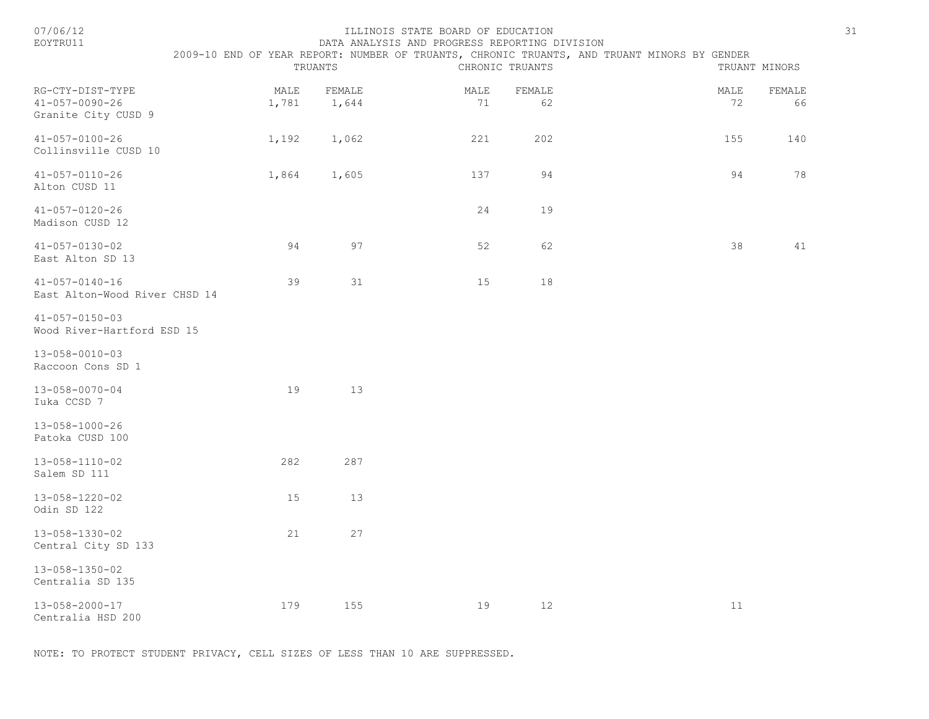| 07/06/12<br>EOYTRU11                                              |               | TRUANTS         | ILLINOIS STATE BOARD OF EDUCATION<br>DATA ANALYSIS AND PROGRESS REPORTING DIVISION | CHRONIC TRUANTS | 2009-10 END OF YEAR REPORT: NUMBER OF TRUANTS, CHRONIC TRUANTS, AND TRUANT MINORS BY GENDER | TRUANT MINORS | 31           |
|-------------------------------------------------------------------|---------------|-----------------|------------------------------------------------------------------------------------|-----------------|---------------------------------------------------------------------------------------------|---------------|--------------|
| RG-CTY-DIST-TYPE<br>$41 - 057 - 0090 - 26$<br>Granite City CUSD 9 | MALE<br>1,781 | FEMALE<br>1,644 | MALE<br>71                                                                         | FEMALE<br>62    |                                                                                             | MALE<br>72    | FEMALE<br>66 |
| $41 - 057 - 0100 - 26$<br>Collinsville CUSD 10                    | 1,192         | 1,062           | 221                                                                                | 202             |                                                                                             | 155           | 140          |
| $41 - 057 - 0110 - 26$<br>Alton CUSD 11                           | 1,864         | 1,605           | 137                                                                                | 94              |                                                                                             | 94            | 78           |
| $41 - 057 - 0120 - 26$<br>Madison CUSD 12                         |               |                 | 24                                                                                 | 19              |                                                                                             |               |              |
| $41 - 057 - 0130 - 02$<br>East Alton SD 13                        | 94            | 97              | 52                                                                                 | 62              |                                                                                             | 38            | 41           |
| $41 - 057 - 0140 - 16$<br>East Alton-Wood River CHSD 14           | 39            | 31              | 15                                                                                 | 18              |                                                                                             |               |              |
| $41 - 057 - 0150 - 03$<br>Wood River-Hartford ESD 15              |               |                 |                                                                                    |                 |                                                                                             |               |              |
| 13-058-0010-03<br>Raccoon Cons SD 1                               |               |                 |                                                                                    |                 |                                                                                             |               |              |
| 13-058-0070-04<br>Iuka CCSD 7                                     | 19            | 13              |                                                                                    |                 |                                                                                             |               |              |
| 13-058-1000-26<br>Patoka CUSD 100                                 |               |                 |                                                                                    |                 |                                                                                             |               |              |
| 13-058-1110-02<br>Salem SD 111                                    | 282           | 287             |                                                                                    |                 |                                                                                             |               |              |
| 13-058-1220-02<br>Odin SD 122                                     | 15            | 13              |                                                                                    |                 |                                                                                             |               |              |
| 13-058-1330-02<br>Central City SD 133                             | 21            | 27              |                                                                                    |                 |                                                                                             |               |              |
| 13-058-1350-02<br>Centralia SD 135                                |               |                 |                                                                                    |                 |                                                                                             |               |              |
| 13-058-2000-17<br>Centralia HSD 200                               | 179           | 155             | 19                                                                                 | 12              |                                                                                             | 11            |              |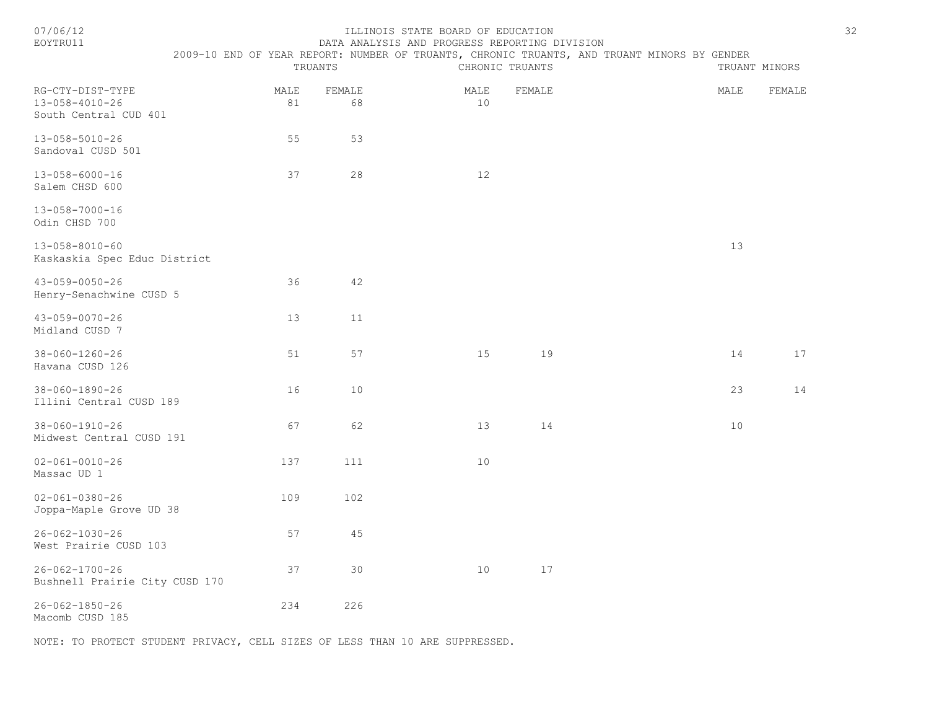| 07/06/12<br>EOYTRU11                                        | ILLINOIS STATE BOARD OF EDUCATION<br>DATA ANALYSIS AND PROGRESS REPORTING DIVISION |              |                                                                                             |                 |        |  |  |      |               |  |
|-------------------------------------------------------------|------------------------------------------------------------------------------------|--------------|---------------------------------------------------------------------------------------------|-----------------|--------|--|--|------|---------------|--|
|                                                             |                                                                                    | TRUANTS      | 2009-10 END OF YEAR REPORT: NUMBER OF TRUANTS, CHRONIC TRUANTS, AND TRUANT MINORS BY GENDER | CHRONIC TRUANTS |        |  |  |      | TRUANT MINORS |  |
| RG-CTY-DIST-TYPE<br>13-058-4010-26<br>South Central CUD 401 | MALE<br>81                                                                         | FEMALE<br>68 |                                                                                             | MALE<br>10      | FEMALE |  |  | MALE | FEMALE        |  |
| 13-058-5010-26<br>Sandoval CUSD 501                         | 55                                                                                 | 53           |                                                                                             |                 |        |  |  |      |               |  |
| $13 - 058 - 6000 - 16$<br>Salem CHSD 600                    | 37                                                                                 | 28           |                                                                                             | 12              |        |  |  |      |               |  |
| 13-058-7000-16<br>Odin CHSD 700                             |                                                                                    |              |                                                                                             |                 |        |  |  |      |               |  |
| $13 - 058 - 8010 - 60$<br>Kaskaskia Spec Educ District      |                                                                                    |              |                                                                                             |                 |        |  |  | 13   |               |  |
| 43-059-0050-26<br>Henry-Senachwine CUSD 5                   | 36                                                                                 | 42           |                                                                                             |                 |        |  |  |      |               |  |
| $43 - 059 - 0070 - 26$<br>Midland CUSD 7                    | 13                                                                                 | 11           |                                                                                             |                 |        |  |  |      |               |  |
| 38-060-1260-26<br>Havana CUSD 126                           | 51                                                                                 | 57           |                                                                                             | 15              | 19     |  |  | 14   | 17            |  |
| $38 - 060 - 1890 - 26$<br>Illini Central CUSD 189           | 16                                                                                 | 10           |                                                                                             |                 |        |  |  | 23   | 14            |  |
| $38 - 060 - 1910 - 26$<br>Midwest Central CUSD 191          | 67                                                                                 | 62           |                                                                                             | 13              | 14     |  |  | 10   |               |  |
| $02 - 061 - 0010 - 26$<br>Massac UD 1                       | 137                                                                                | 111          |                                                                                             | 10              |        |  |  |      |               |  |
| $02 - 061 - 0380 - 26$<br>Joppa-Maple Grove UD 38           | 109                                                                                | 102          |                                                                                             |                 |        |  |  |      |               |  |
| $26 - 062 - 1030 - 26$<br>West Prairie CUSD 103             | 57                                                                                 | 45           |                                                                                             |                 |        |  |  |      |               |  |
| $26 - 062 - 1700 - 26$<br>Bushnell Prairie City CUSD 170    | 37                                                                                 | 30           |                                                                                             | 10              | 17     |  |  |      |               |  |
| $26 - 062 - 1850 - 26$<br>Macomb CUSD 185                   | 234                                                                                | 226          |                                                                                             |                 |        |  |  |      |               |  |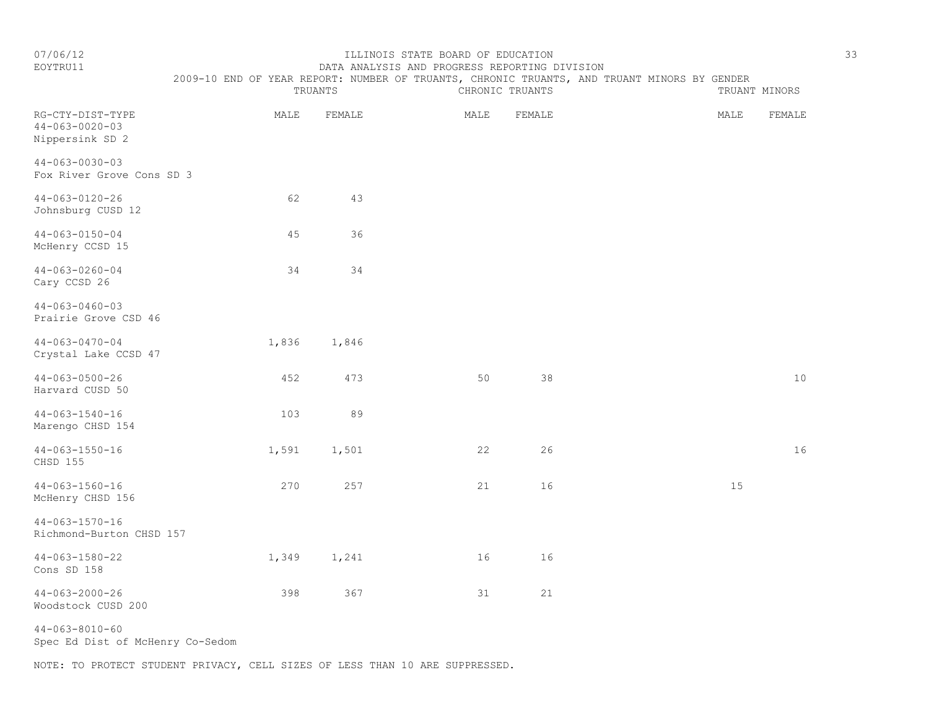# EOYTRU11 DATA ANALYSIS AND PROGRESS REPORTING DIVISION 2009-10 END OF YEAR REPORT: NUMBER OF TRUANTS, CHRONIC TRUANTS, AND TRUANT MINORS BY GENDER<br>CHRONIC TRUANTS

|                                                               |       | TRUANTS |      | CHRONIC TRUANTS | TRUANT MINORS  |  |  |  |  |
|---------------------------------------------------------------|-------|---------|------|-----------------|----------------|--|--|--|--|
| RG-CTY-DIST-TYPE<br>$44 - 063 - 0020 - 03$<br>Nippersink SD 2 | MALE  | FEMALE  | MALE | FEMALE          | MALE<br>FEMALE |  |  |  |  |
| $44 - 063 - 0030 - 03$<br>Fox River Grove Cons SD 3           |       |         |      |                 |                |  |  |  |  |
| $44 - 063 - 0120 - 26$<br>Johnsburg CUSD 12                   | 62    | 43      |      |                 |                |  |  |  |  |
| $44 - 063 - 0150 - 04$<br>McHenry CCSD 15                     | 45    | 36      |      |                 |                |  |  |  |  |
| $44 - 063 - 0260 - 04$<br>Cary CCSD 26                        | 34    | 34      |      |                 |                |  |  |  |  |
| $44 - 063 - 0460 - 03$<br>Prairie Grove CSD 46                |       |         |      |                 |                |  |  |  |  |
| $44 - 063 - 0470 - 04$<br>Crystal Lake CCSD 47                | 1,836 | 1,846   |      |                 |                |  |  |  |  |
| $44 - 063 - 0500 - 26$<br>Harvard CUSD 50                     | 452   | 473     | 50   | 38              | $10$           |  |  |  |  |
| $44 - 063 - 1540 - 16$<br>Marengo CHSD 154                    | 103   | 89      |      |                 |                |  |  |  |  |
| $44 - 063 - 1550 - 16$<br>CHSD 155                            | 1,591 | 1,501   | 22   | 26              | 16             |  |  |  |  |
| $44 - 063 - 1560 - 16$<br>McHenry CHSD 156                    | 270   | 257     | 21   | 16              | 15             |  |  |  |  |
| $44 - 063 - 1570 - 16$<br>Richmond-Burton CHSD 157            |       |         |      |                 |                |  |  |  |  |
| $44 - 063 - 1580 - 22$<br>Cons SD 158                         | 1,349 | 1,241   | 16   | 16              |                |  |  |  |  |
| $44 - 063 - 2000 - 26$<br>Woodstock CUSD 200                  | 398   | 367     | 31   | 21              |                |  |  |  |  |

44-063-8010-60 Spec Ed Dist of McHenry Co-Sedom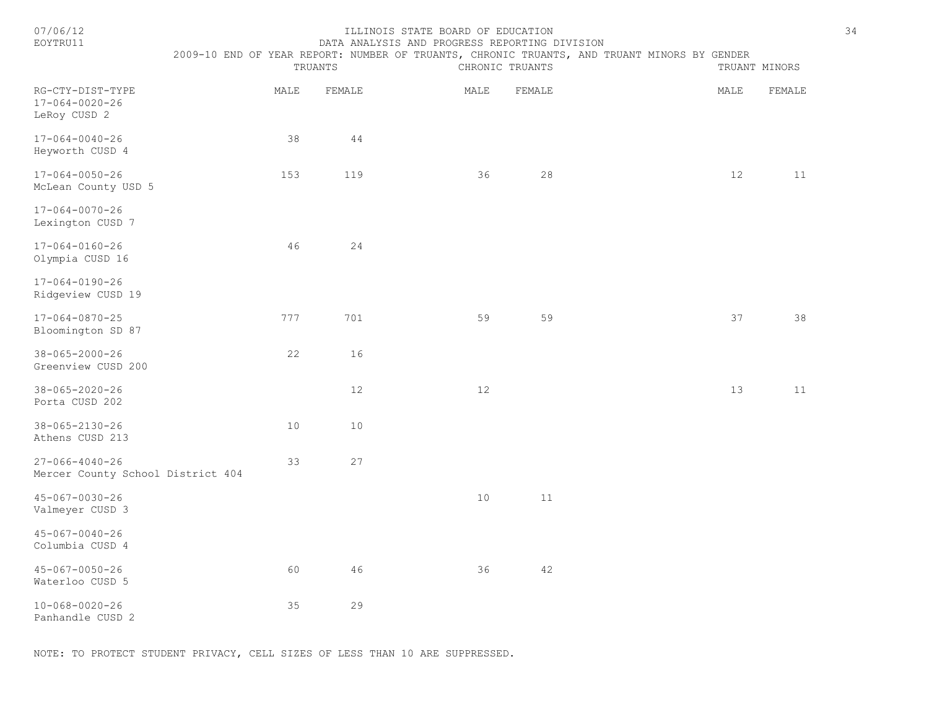| 07/06/12<br>EOYTRU11                                        | 2009-10 END OF YEAR REPORT: NUMBER OF TRUANTS, CHRONIC TRUANTS, AND TRUANT MINORS BY GENDER<br>TRUANTS |        | TRUANT MINORS | 34     |  |      |        |  |
|-------------------------------------------------------------|--------------------------------------------------------------------------------------------------------|--------|---------------|--------|--|------|--------|--|
| RG-CTY-DIST-TYPE<br>$17 - 064 - 0020 - 26$<br>LeRoy CUSD 2  | MALE                                                                                                   | FEMALE | MALE          | FEMALE |  | MALE | FEMALE |  |
| $17 - 064 - 0040 - 26$<br>Heyworth CUSD 4                   | 38                                                                                                     | 44     |               |        |  |      |        |  |
| 17-064-0050-26<br>McLean County USD 5                       | 153                                                                                                    | 119    | 36            | 28     |  | 12   | 11     |  |
| $17 - 064 - 0070 - 26$<br>Lexington CUSD 7                  |                                                                                                        |        |               |        |  |      |        |  |
| 17-064-0160-26<br>Olympia CUSD 16                           | 46                                                                                                     | 24     |               |        |  |      |        |  |
| $17 - 064 - 0190 - 26$<br>Ridgeview CUSD 19                 |                                                                                                        |        |               |        |  |      |        |  |
| 17-064-0870-25<br>Bloomington SD 87                         | 777                                                                                                    | 701    | 59            | 59     |  | 37   | 38     |  |
| $38 - 065 - 2000 - 26$<br>Greenview CUSD 200                | 22                                                                                                     | 16     |               |        |  |      |        |  |
| $38 - 065 - 2020 - 26$<br>Porta CUSD 202                    |                                                                                                        | 12     | 12            |        |  | 13   | 11     |  |
| 38-065-2130-26<br>Athens CUSD 213                           | 10                                                                                                     | 10     |               |        |  |      |        |  |
| $27 - 066 - 4040 - 26$<br>Mercer County School District 404 | 33                                                                                                     | 27     |               |        |  |      |        |  |
| $45 - 067 - 0030 - 26$<br>Valmeyer CUSD 3                   |                                                                                                        |        | 10            | 11     |  |      |        |  |
| $45 - 067 - 0040 - 26$<br>Columbia CUSD 4                   |                                                                                                        |        |               |        |  |      |        |  |
| $45 - 067 - 0050 - 26$<br>Waterloo CUSD 5                   | 60                                                                                                     | 46     | 36            | 42     |  |      |        |  |
| $10 - 068 - 0020 - 26$<br>Panhandle CUSD 2                  | 35                                                                                                     | 29     |               |        |  |      |        |  |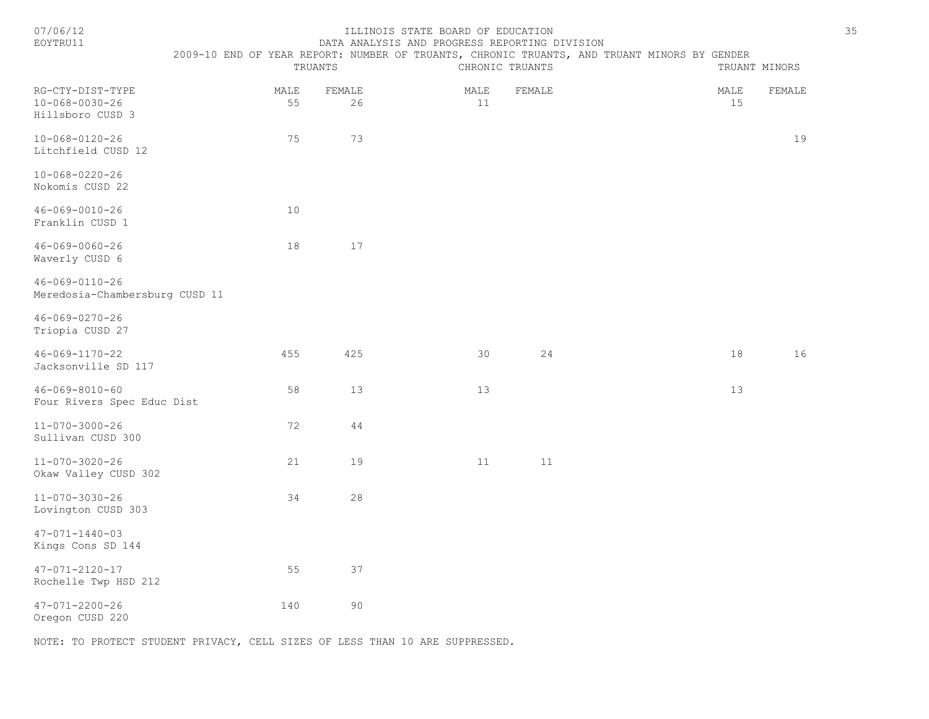| ./06/+ |  |
|--------|--|
| ----   |  |

#### ILLINOIS STATE BOARD OF EDUCATION 35 EOYTRU11 DATA ANALYSIS AND PROGRESS REPORTING DIVISION

|                                                                | 2009-10 END OF YEAR REPORT: NUMBER OF TRUANTS, CHRONIC TRUANTS, AND TRUANT MINORS BY GENDER | TRUANTS    |              |  | CHRONIC TRUANTS |        |  |  | TRUANT MINORS |        |    |
|----------------------------------------------------------------|---------------------------------------------------------------------------------------------|------------|--------------|--|-----------------|--------|--|--|---------------|--------|----|
| RG-CTY-DIST-TYPE<br>$10 - 068 - 0030 - 26$<br>Hillsboro CUSD 3 |                                                                                             | MALE<br>55 | FEMALE<br>26 |  | MALE<br>11      | FEMALE |  |  | MALE<br>15    | FEMALE |    |
| $10 - 068 - 0120 - 26$<br>Litchfield CUSD 12                   |                                                                                             | 75         | 73           |  |                 |        |  |  |               |        | 19 |
| $10 - 068 - 0220 - 26$<br>Nokomis CUSD 22                      |                                                                                             |            |              |  |                 |        |  |  |               |        |    |
| $46 - 069 - 0010 - 26$<br>Franklin CUSD 1                      |                                                                                             | 10         |              |  |                 |        |  |  |               |        |    |
| $46 - 069 - 0060 - 26$<br>Waverly CUSD 6                       |                                                                                             | 18         | 17           |  |                 |        |  |  |               |        |    |
| $46 - 069 - 0110 - 26$<br>Meredosia-Chambersburg CUSD 11       |                                                                                             |            |              |  |                 |        |  |  |               |        |    |
| $46 - 069 - 0270 - 26$<br>Triopia CUSD 27                      |                                                                                             |            |              |  |                 |        |  |  |               |        |    |
| 46-069-1170-22<br>Jacksonville SD 117                          |                                                                                             | 455        | 425          |  | 30              | 24     |  |  | 18            |        | 16 |
| $46 - 069 - 8010 - 60$<br>Four Rivers Spec Educ Dist           |                                                                                             | 58         | 13           |  | 13              |        |  |  | 13            |        |    |
| $11 - 070 - 3000 - 26$<br>Sullivan CUSD 300                    |                                                                                             | 72         | 44           |  |                 |        |  |  |               |        |    |
| $11 - 070 - 3020 - 26$<br>Okaw Valley CUSD 302                 |                                                                                             | 21         | 19           |  | 11              | 11     |  |  |               |        |    |
| $11 - 070 - 3030 - 26$<br>Lovington CUSD 303                   |                                                                                             | 34         | 28           |  |                 |        |  |  |               |        |    |
| $47 - 071 - 1440 - 03$<br>Kings Cons SD 144                    |                                                                                             |            |              |  |                 |        |  |  |               |        |    |
| $47 - 071 - 2120 - 17$<br>Rochelle Twp HSD 212                 |                                                                                             | 55         | 37           |  |                 |        |  |  |               |        |    |
| $47 - 071 - 2200 - 26$<br>Oregon CUSD 220                      |                                                                                             | 140        | 90           |  |                 |        |  |  |               |        |    |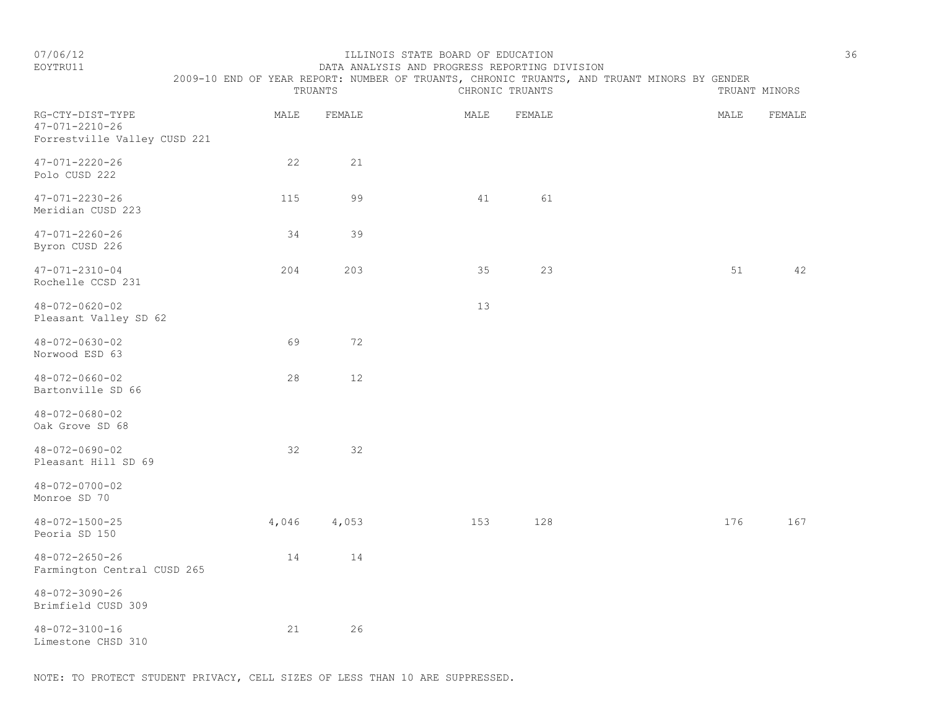# EOYTRU11 DATA ANALYSIS AND PROGRESS REPORTING DIVISION 2009-10 END OF YEAR REPORT: NUMBER OF TRUANTS, CHRONIC TRUANTS, AND TRUANT MINORS BY GENDER<br>TRUANTS CHRONIC TRUANTS TRUANTS TRUANTS

|                                                                            |       | TRUANTS |      | CHRONIC TRUANTS |      | TRUANT MINORS |
|----------------------------------------------------------------------------|-------|---------|------|-----------------|------|---------------|
| RG-CTY-DIST-TYPE<br>$47 - 071 - 2210 - 26$<br>Forrestville Valley CUSD 221 | MALE  | FEMALE  | MALE | FEMALE          | MALE | FEMALE        |
| $47 - 071 - 2220 - 26$<br>Polo CUSD 222                                    | 22    | 21      |      |                 |      |               |
| $47 - 071 - 2230 - 26$<br>Meridian CUSD 223                                | 115   | 99      | 41   | 61              |      |               |
| $47 - 071 - 2260 - 26$<br>Byron CUSD 226                                   | 34    | 39      |      |                 |      |               |
| $47 - 071 - 2310 - 04$<br>Rochelle CCSD 231                                | 204   | 203     | 35   | 23              | 51   | 42            |
| $48 - 072 - 0620 - 02$<br>Pleasant Valley SD 62                            |       |         | 13   |                 |      |               |
| $48 - 072 - 0630 - 02$<br>Norwood ESD 63                                   | 69    | 72      |      |                 |      |               |
| $48 - 072 - 0660 - 02$<br>Bartonville SD 66                                | 28    | 12      |      |                 |      |               |
| $48 - 072 - 0680 - 02$<br>Oak Grove SD 68                                  |       |         |      |                 |      |               |
| $48 - 072 - 0690 - 02$<br>Pleasant Hill SD 69                              | 32    | 32      |      |                 |      |               |
| $48 - 072 - 0700 - 02$<br>Monroe SD 70                                     |       |         |      |                 |      |               |
| $48 - 072 - 1500 - 25$<br>Peoria SD 150                                    | 4,046 | 4,053   | 153  | 128             | 176  | 167           |
| $48 - 072 - 2650 - 26$<br>Farmington Central CUSD 265                      | 14    | 14      |      |                 |      |               |
| 48-072-3090-26<br>Brimfield CUSD 309                                       |       |         |      |                 |      |               |
| $48 - 072 - 3100 - 16$<br>Limestone CHSD 310                               | 21    | 26      |      |                 |      |               |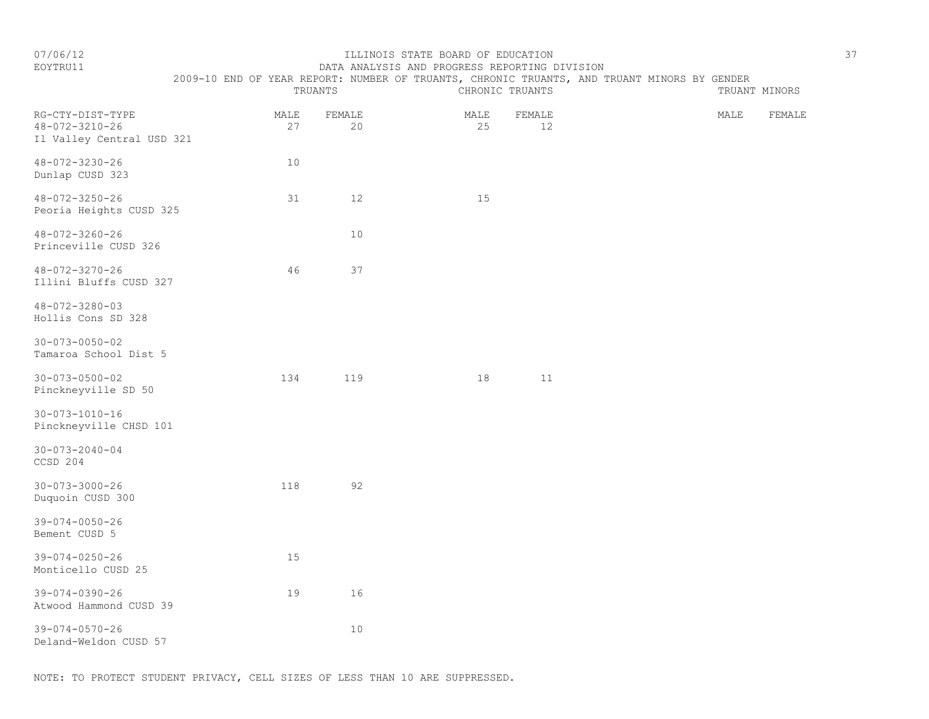# EOYTRU11 DATA ANALYSIS AND PROGRESS REPORTING DIVISION

2009-10 END OF YEAR REPORT: NUMBER OF TRUANTS, CHRONIC TRUANTS, AND TRUANT MINORS BY GENDER

|                                                                         |            | TRUANTS      |            | CHRONIC TRUANTS |      | TRUANT MINORS |
|-------------------------------------------------------------------------|------------|--------------|------------|-----------------|------|---------------|
| RG-CTY-DIST-TYPE<br>$48 - 072 - 3210 - 26$<br>Il Valley Central USD 321 | MALE<br>27 | FEMALE<br>20 | MALE<br>25 | FEMALE<br>12    | MALE | FEMALE        |
| $48 - 072 - 3230 - 26$<br>Dunlap CUSD 323                               | 10         |              |            |                 |      |               |
| 48-072-3250-26<br>Peoria Heights CUSD 325                               | 31         | 12           | 15         |                 |      |               |
| $48 - 072 - 3260 - 26$<br>Princeville CUSD 326                          |            | 10           |            |                 |      |               |
| $48 - 072 - 3270 - 26$<br>Illini Bluffs CUSD 327                        | 46         | 37           |            |                 |      |               |
| $48 - 072 - 3280 - 03$<br>Hollis Cons SD 328                            |            |              |            |                 |      |               |
| $30 - 073 - 0050 - 02$<br>Tamaroa School Dist 5                         |            |              |            |                 |      |               |
| $30 - 073 - 0500 - 02$<br>Pinckneyville SD 50                           | 134        | 119          | 18         | 11              |      |               |
| $30 - 073 - 1010 - 16$<br>Pinckneyville CHSD 101                        |            |              |            |                 |      |               |
| $30 - 073 - 2040 - 04$<br>CCSD 204                                      |            |              |            |                 |      |               |
| $30 - 073 - 3000 - 26$<br>Duquoin CUSD 300                              | 118        | 92           |            |                 |      |               |
| $39 - 074 - 0050 - 26$<br>Bement CUSD 5                                 |            |              |            |                 |      |               |
| $39 - 074 - 0250 - 26$<br>Monticello CUSD 25                            | 15         |              |            |                 |      |               |
| 39-074-0390-26<br>Atwood Hammond CUSD 39                                | 19         | 16           |            |                 |      |               |
| $39 - 074 - 0570 - 26$<br>Deland-Weldon CUSD 57                         |            | 10           |            |                 |      |               |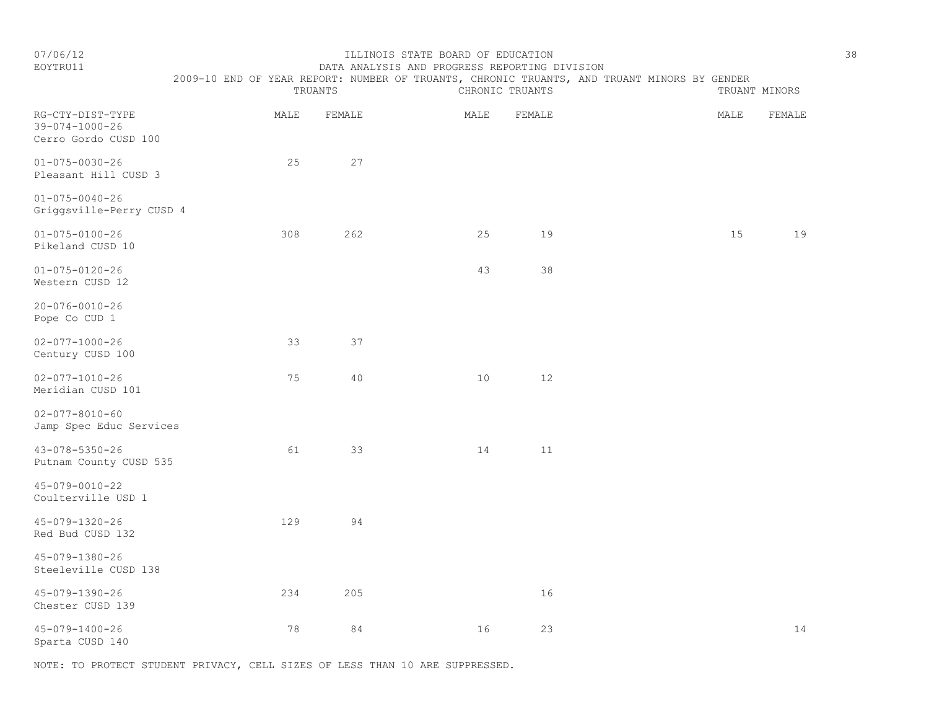| 07/06/12<br>EOYTRU11                                               |  |      |         | ILLINOIS STATE BOARD OF EDUCATION |                 | DATA ANALYSIS AND PROGRESS REPORTING DIVISION<br>2009-10 END OF YEAR REPORT: NUMBER OF TRUANTS, CHRONIC TRUANTS, AND TRUANT MINORS BY GENDER |  |      |               | 38 |
|--------------------------------------------------------------------|--|------|---------|-----------------------------------|-----------------|----------------------------------------------------------------------------------------------------------------------------------------------|--|------|---------------|----|
|                                                                    |  |      | TRUANTS |                                   | CHRONIC TRUANTS |                                                                                                                                              |  |      | TRUANT MINORS |    |
| RG-CTY-DIST-TYPE<br>$39 - 074 - 1000 - 26$<br>Cerro Gordo CUSD 100 |  | MALE |         | FEMALE                            | MALE            | FEMALE                                                                                                                                       |  | MALE | FEMALE        |    |
| $01 - 075 - 0030 - 26$<br>Pleasant Hill CUSD 3                     |  | 25   |         | 27                                |                 |                                                                                                                                              |  |      |               |    |
| $01 - 075 - 0040 - 26$<br>Griggsville-Perry CUSD 4                 |  |      |         |                                   |                 |                                                                                                                                              |  |      |               |    |
| $01 - 075 - 0100 - 26$<br>Pikeland CUSD 10                         |  | 308  |         | 262                               | 25              | 19                                                                                                                                           |  | 15   | 19            |    |
| $01 - 075 - 0120 - 26$<br>Western CUSD 12                          |  |      |         |                                   | 43              | 38                                                                                                                                           |  |      |               |    |
| $20 - 076 - 0010 - 26$<br>Pope Co CUD 1                            |  |      |         |                                   |                 |                                                                                                                                              |  |      |               |    |
| $02 - 077 - 1000 - 26$<br>Century CUSD 100                         |  | 33   |         | 37                                |                 |                                                                                                                                              |  |      |               |    |
| $02 - 077 - 1010 - 26$<br>Meridian CUSD 101                        |  | 75   |         | 40                                | 10              | 12                                                                                                                                           |  |      |               |    |
| $02 - 077 - 8010 - 60$<br>Jamp Spec Educ Services                  |  |      |         |                                   |                 |                                                                                                                                              |  |      |               |    |
| 43-078-5350-26<br>Putnam County CUSD 535                           |  | 61   |         | 33                                | 14              | 11                                                                                                                                           |  |      |               |    |
| 45-079-0010-22<br>Coulterville USD 1                               |  |      |         |                                   |                 |                                                                                                                                              |  |      |               |    |
| 45-079-1320-26<br>Red Bud CUSD 132                                 |  | 129  |         | 94                                |                 |                                                                                                                                              |  |      |               |    |
| $45 - 079 - 1380 - 26$<br>Steeleville CUSD 138                     |  |      |         |                                   |                 |                                                                                                                                              |  |      |               |    |
| 45-079-1390-26<br>Chester CUSD 139                                 |  | 234  |         | 205                               |                 | 16                                                                                                                                           |  |      |               |    |

45-079-1400-26 78 84 16 23 14 Sparta CUSD 140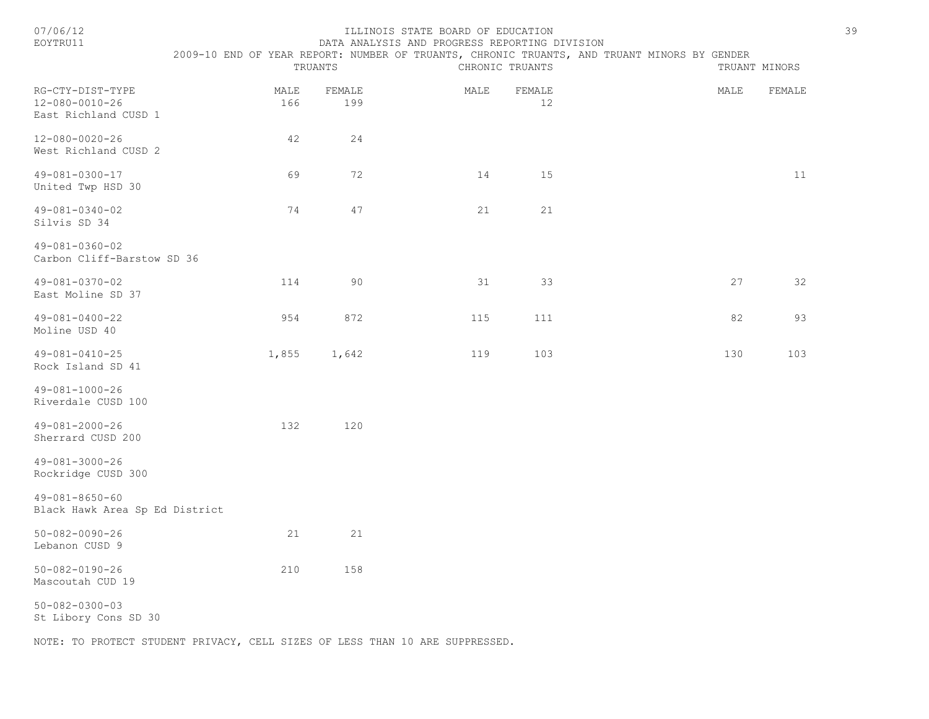#### 07/06/12 ILLINOIS STATE BOARD OF EDUCATION 39 DATA ANALYSIS AND PROGRESS REPORTING DIVISION

|                                                            |             | TRUANTS       |      | CHRONIC TRUANTS | 2009-10 END OF YEAR REPORT: NUMBER OF TRUANTS, CHRONIC TRUANTS, AND TRUANT MINORS BY GENDER | TRUANT MINORS |        |
|------------------------------------------------------------|-------------|---------------|------|-----------------|---------------------------------------------------------------------------------------------|---------------|--------|
| RG-CTY-DIST-TYPE<br>12-080-0010-26<br>East Richland CUSD 1 | MALE<br>166 | FEMALE<br>199 | MALE | FEMALE<br>12    |                                                                                             | MALE          | FEMALE |
| 12-080-0020-26<br>West Richland CUSD 2                     | 42          | 24            |      |                 |                                                                                             |               |        |
| 49-081-0300-17<br>United Twp HSD 30                        | 69          | 72            | 14   | 15              |                                                                                             |               | 11     |
| 49-081-0340-02<br>Silvis SD 34                             | 74          | 47            | 21   | 21              |                                                                                             |               |        |
| 49-081-0360-02<br>Carbon Cliff-Barstow SD 36               |             |               |      |                 |                                                                                             |               |        |
| 49-081-0370-02<br>East Moline SD 37                        | 114         | 90            | 31   | 33              |                                                                                             | 27            | 32     |
| 49-081-0400-22<br>Moline USD 40                            | 954         | 872           | 115  | 111             |                                                                                             | 82            | 93     |
| $49 - 081 - 0410 - 25$<br>Rock Island SD 41                | 1,855       | 1,642         | 119  | 103             |                                                                                             | 130           | 103    |
| 49-081-1000-26<br>Riverdale CUSD 100                       |             |               |      |                 |                                                                                             |               |        |
| $49 - 081 - 2000 - 26$<br>Sherrard CUSD 200                | 132         | 120           |      |                 |                                                                                             |               |        |
| $49 - 081 - 3000 - 26$<br>Rockridge CUSD 300               |             |               |      |                 |                                                                                             |               |        |
| $49 - 081 - 8650 - 60$<br>Black Hawk Area Sp Ed District   |             |               |      |                 |                                                                                             |               |        |
| $50 - 082 - 0090 - 26$<br>Lebanon CUSD 9                   | 21          | 21            |      |                 |                                                                                             |               |        |
| $50 - 082 - 0190 - 26$<br>Mascoutah CUD 19                 | 210         | 158           |      |                 |                                                                                             |               |        |
| $50 - 082 - 0300 - 03$<br>St Libory Cons SD 30             |             |               |      |                 |                                                                                             |               |        |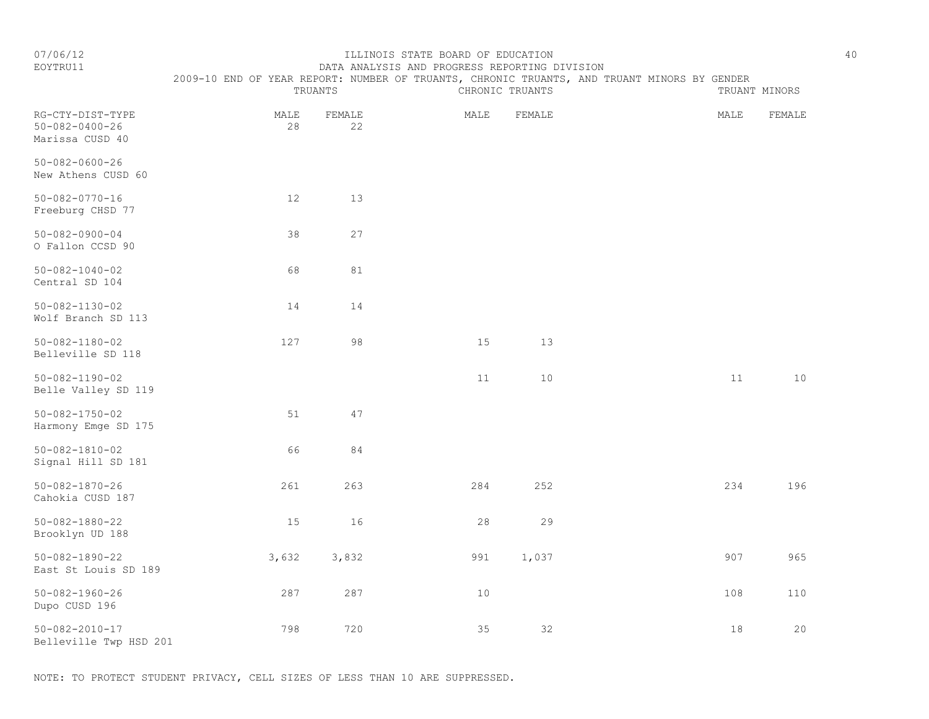### EOYTRU11 DATA ANALYSIS AND PROGRESS REPORTING DIVISION 2009-10 END OF YEAR REPORT: NUMBER OF TRUANTS, CHRONIC TRUANTS, AND TRUANT MINORS BY GENDER

|                                                               |            | TRUANTS      |      | CHRONIC TRUANTS |        | TRUANT MINORS |
|---------------------------------------------------------------|------------|--------------|------|-----------------|--------|---------------|
| RG-CTY-DIST-TYPE<br>$50 - 082 - 0400 - 26$<br>Marissa CUSD 40 | MALE<br>28 | FEMALE<br>22 | MALE | FEMALE          | MALE   | FEMALE        |
| $50 - 082 - 0600 - 26$<br>New Athens CUSD 60                  |            |              |      |                 |        |               |
| $50 - 082 - 0770 - 16$<br>Freeburg CHSD 77                    | 12         | 13           |      |                 |        |               |
| $50 - 082 - 0900 - 04$<br>O Fallon CCSD 90                    | 38         | 27           |      |                 |        |               |
| $50 - 082 - 1040 - 02$<br>Central SD 104                      | 68         | $8\,1$       |      |                 |        |               |
| $50 - 082 - 1130 - 02$<br>Wolf Branch SD 113                  | 14         | 14           |      |                 |        |               |
| $50 - 082 - 1180 - 02$<br>Belleville SD 118                   | 127        | 98           | 15   | 13              |        |               |
| $50 - 082 - 1190 - 02$<br>Belle Valley SD 119                 |            |              | 11   | 10              | 11     | 10            |
| $50 - 082 - 1750 - 02$<br>Harmony Emge SD 175                 | 51         | 47           |      |                 |        |               |
| $50 - 082 - 1810 - 02$<br>Signal Hill SD 181                  | 66         | 84           |      |                 |        |               |
| $50 - 082 - 1870 - 26$<br>Cahokia CUSD 187                    | 261        | 263          | 284  | 252             | 234    | 196           |
| $50 - 082 - 1880 - 22$<br>Brooklyn UD 188                     | 15         | 16           | 28   | 29              |        |               |
| $50 - 082 - 1890 - 22$<br>East St Louis SD 189                | 3,632      | 3,832        | 991  | 1,037           | 907    | 965           |
| $50 - 082 - 1960 - 26$<br>Dupo CUSD 196                       | 287        | 287          | 10   |                 | 108    | 110           |
| $50 - 082 - 2010 - 17$<br>Belleville Twp HSD 201              | 798        | 720          | 35   | 32              | $1\,8$ | 20            |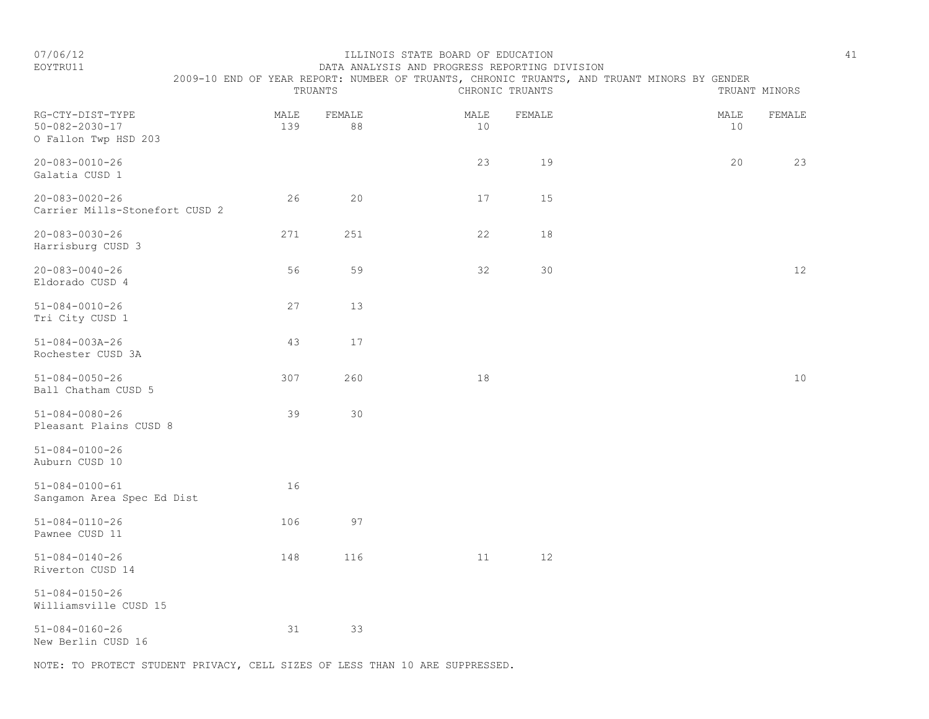#### EOYTRU11 DATA ANALYSIS AND PROGRESS REPORTING DIVISION 2009-10 END OF YEAR REPORT: NUMBER OF TRUANTS, CHRONIC TRUANTS, AND TRUANT MINORS BY GENDER

|                                                                    |             | TRUANTS      |            | CHRONIC TRUANTS | TRUANT MINORS        |
|--------------------------------------------------------------------|-------------|--------------|------------|-----------------|----------------------|
| RG-CTY-DIST-TYPE<br>$50 - 082 - 2030 - 17$<br>O Fallon Twp HSD 203 | MALE<br>139 | FEMALE<br>88 | MALE<br>10 | FEMALE          | MALE<br>FEMALE<br>10 |
| $20 - 083 - 0010 - 26$<br>Galatia CUSD 1                           |             |              | 23         | 19              | 20<br>23             |
| $20 - 083 - 0020 - 26$<br>Carrier Mills-Stonefort CUSD 2           | 26          | 20           | 17         | 15              |                      |
| $20 - 083 - 0030 - 26$<br>Harrisburg CUSD 3                        | 271         | 251          | 22         | 18              |                      |
| $20 - 083 - 0040 - 26$<br>Eldorado CUSD 4                          | 56          | 59           | 32         | 30              | 12                   |
| $51 - 084 - 0010 - 26$<br>Tri City CUSD 1                          | 27          | 13           |            |                 |                      |
| $51 - 084 - 003A - 26$<br>Rochester CUSD 3A                        | 43          | 17           |            |                 |                      |
| $51 - 084 - 0050 - 26$<br>Ball Chatham CUSD 5                      | 307         | 260          | $1\,8$     |                 | $10$                 |
| $51 - 084 - 0080 - 26$<br>Pleasant Plains CUSD 8                   | 39          | 30           |            |                 |                      |
| $51 - 084 - 0100 - 26$<br>Auburn CUSD 10                           |             |              |            |                 |                      |
| $51 - 084 - 0100 - 61$<br>Sangamon Area Spec Ed Dist               | 16          |              |            |                 |                      |
| $51 - 084 - 0110 - 26$<br>Pawnee CUSD 11                           | 106         | 97           |            |                 |                      |
| $51 - 084 - 0140 - 26$<br>Riverton CUSD 14                         | 148         | 116          | 11         | 12              |                      |
| $51 - 084 - 0150 - 26$<br>Williamsville CUSD 15                    |             |              |            |                 |                      |
| $51 - 084 - 0160 - 26$<br>New Berlin CUSD 16                       | 31          | 33           |            |                 |                      |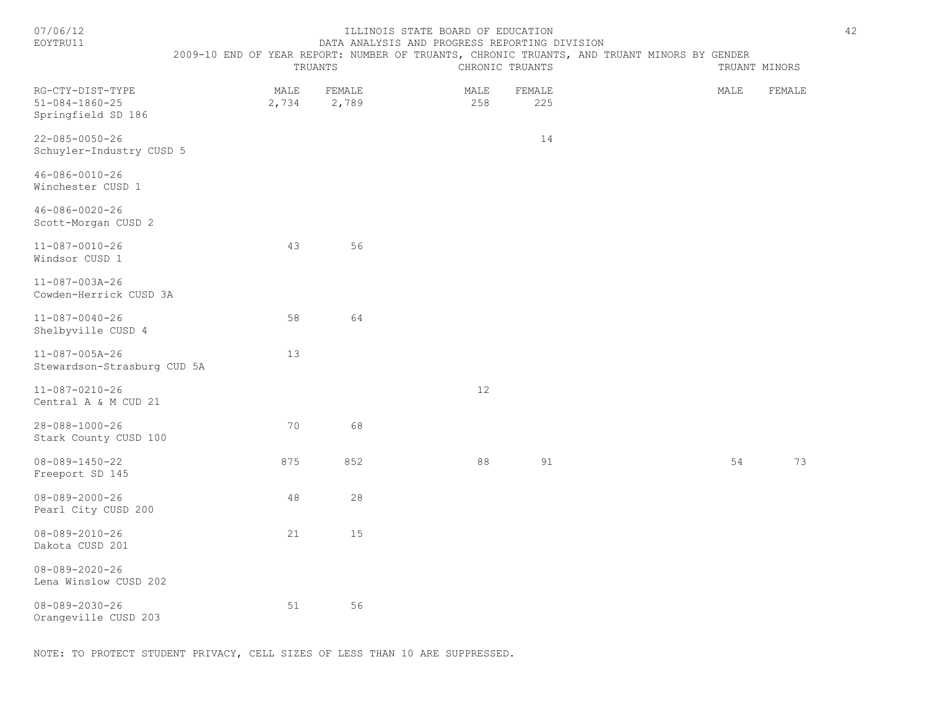| 07/06/12<br>EOYTRU11                                             | TRUANTS                 | ILLINOIS STATE BOARD OF EDUCATION<br>DATA ANALYSIS AND PROGRESS REPORTING DIVISION | CHRONIC TRUANTS |               | 2009-10 END OF YEAR REPORT: NUMBER OF TRUANTS, CHRONIC TRUANTS, AND TRUANT MINORS BY GENDER | TRUANT MINORS | 42     |
|------------------------------------------------------------------|-------------------------|------------------------------------------------------------------------------------|-----------------|---------------|---------------------------------------------------------------------------------------------|---------------|--------|
| RG-CTY-DIST-TYPE<br>$51 - 084 - 1860 - 25$<br>Springfield SD 186 | FEMALE<br>MALE<br>2,734 | 2,789                                                                              | MALE<br>258     | FEMALE<br>225 |                                                                                             | MALE          | FEMALE |
| $22 - 085 - 0050 - 26$<br>Schuyler-Industry CUSD 5               |                         |                                                                                    |                 | 14            |                                                                                             |               |        |
| $46 - 086 - 0010 - 26$<br>Winchester CUSD 1                      |                         |                                                                                    |                 |               |                                                                                             |               |        |
| 46-086-0020-26<br>Scott-Morgan CUSD 2                            |                         |                                                                                    |                 |               |                                                                                             |               |        |
| $11 - 087 - 0010 - 26$<br>Windsor CUSD 1                         | 43                      | 56                                                                                 |                 |               |                                                                                             |               |        |
| $11 - 087 - 003A - 26$<br>Cowden-Herrick CUSD 3A                 |                         |                                                                                    |                 |               |                                                                                             |               |        |
| $11 - 087 - 0040 - 26$<br>Shelbyville CUSD 4                     | 58                      | 64                                                                                 |                 |               |                                                                                             |               |        |
| $11 - 087 - 005A - 26$<br>Stewardson-Strasburg CUD 5A            | 13                      |                                                                                    |                 |               |                                                                                             |               |        |
| $11 - 087 - 0210 - 26$<br>Central A & M CUD 21                   |                         |                                                                                    | 12              |               |                                                                                             |               |        |
| $28 - 088 - 1000 - 26$<br>Stark County CUSD 100                  | 70                      | 68                                                                                 |                 |               |                                                                                             |               |        |
| $08 - 089 - 1450 - 22$<br>Freeport SD 145                        | 875                     | 852                                                                                | 88              | 91            |                                                                                             | 54            | 73     |
| $08 - 089 - 2000 - 26$<br>Pearl City CUSD 200                    | 48                      | 28                                                                                 |                 |               |                                                                                             |               |        |
| $08 - 089 - 2010 - 26$<br>Dakota CUSD 201                        | 21                      | 15                                                                                 |                 |               |                                                                                             |               |        |
| $08 - 089 - 2020 - 26$<br>Lena Winslow CUSD 202                  |                         |                                                                                    |                 |               |                                                                                             |               |        |
| $08 - 089 - 2030 - 26$<br>Orangeville CUSD 203                   | 51                      | 56                                                                                 |                 |               |                                                                                             |               |        |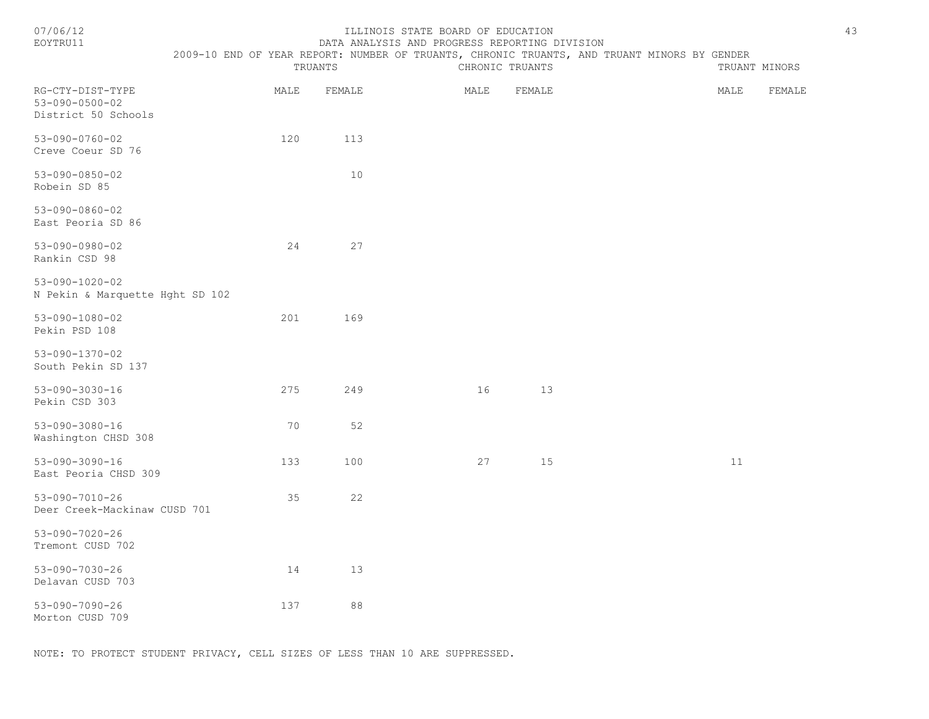#### ILLINOIS STATE BOARD OF EDUCATION 43 EOYTRU11 DATA ANALYSIS AND PROGRESS REPORTING DIVISION

2009-10 END OF YEAR REPORT: NUMBER OF TRUANTS, CHRONIC TRUANTS, AND TRUANT MINORS BY GENDER

|                                                                   |      | TRUANTS |      | CHRONIC TRUANTS |      | TRUANT MINORS |
|-------------------------------------------------------------------|------|---------|------|-----------------|------|---------------|
| RG-CTY-DIST-TYPE<br>$53 - 090 - 0500 - 02$<br>District 50 Schools | MALE | FEMALE  | MALE | FEMALE          | MALE | FEMALE        |
| $53 - 090 - 0760 - 02$<br>Creve Coeur SD 76                       | 120  | 113     |      |                 |      |               |
| $53 - 090 - 0850 - 02$<br>Robein SD 85                            |      | $10$    |      |                 |      |               |
| $53 - 090 - 0860 - 02$<br>East Peoria SD 86                       |      |         |      |                 |      |               |
| $53 - 090 - 0980 - 02$<br>Rankin CSD 98                           | 24   | 27      |      |                 |      |               |
| $53 - 090 - 1020 - 02$<br>N Pekin & Marquette Hght SD 102         |      |         |      |                 |      |               |
| $53 - 090 - 1080 - 02$<br>Pekin PSD 108                           | 201  | 169     |      |                 |      |               |
| $53 - 090 - 1370 - 02$<br>South Pekin SD 137                      |      |         |      |                 |      |               |
| $53 - 090 - 3030 - 16$<br>Pekin CSD 303                           | 275  | 249     | 16   | 13              |      |               |
| $53 - 090 - 3080 - 16$<br>Washington CHSD 308                     | 70   | 52      |      |                 |      |               |
| $53 - 090 - 3090 - 16$<br>East Peoria CHSD 309                    | 133  | 100     | 27   | 15              | 11   |               |
| $53 - 090 - 7010 - 26$<br>Deer Creek-Mackinaw CUSD 701            | 35   | 22      |      |                 |      |               |
| $53 - 090 - 7020 - 26$<br>Tremont CUSD 702                        |      |         |      |                 |      |               |
| $53 - 090 - 7030 - 26$<br>Delavan CUSD 703                        | 14   | 13      |      |                 |      |               |
| $53 - 090 - 7090 - 26$<br>Morton CUSD 709                         | 137  | $8\,8$  |      |                 |      |               |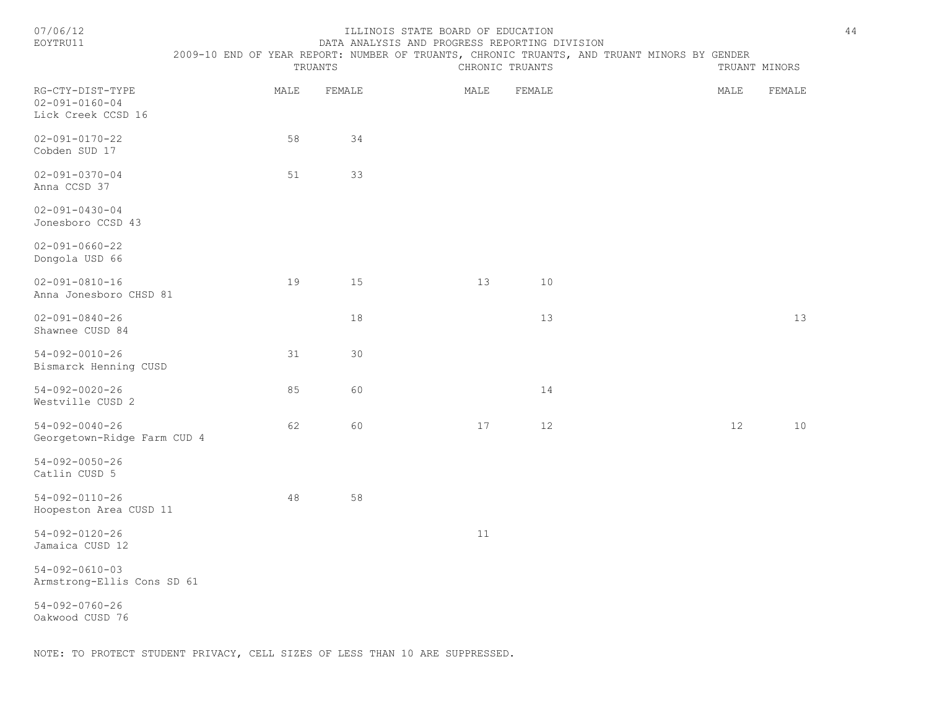| 07/06/12 |  |
|----------|--|
|          |  |

#### ILLINOIS STATE BOARD OF EDUCATION 44 EOYTRU11 DATA ANALYSIS AND PROGRESS REPORTING DIVISION

| <b>EOXTRUIT</b>                                                  |      | TRUANTS | DATA ANALYSIS AND PROGRESS REPORTING DIVISION | CHRONIC TRUANTS | 2009-10 END OF YEAR REPORT: NUMBER OF TRUANTS, CHRONIC TRUANTS, AND TRUANT MINORS BY GENDER |      | TRUANT MINORS |
|------------------------------------------------------------------|------|---------|-----------------------------------------------|-----------------|---------------------------------------------------------------------------------------------|------|---------------|
| RG-CTY-DIST-TYPE<br>$02 - 091 - 0160 - 04$<br>Lick Creek CCSD 16 | MALE | FEMALE  | MALE                                          | FEMALE          |                                                                                             | MALE | FEMALE        |
| $02 - 091 - 0170 - 22$<br>Cobden SUD 17                          | 58   | 34      |                                               |                 |                                                                                             |      |               |
| $02 - 091 - 0370 - 04$<br>Anna CCSD 37                           | 51   | 33      |                                               |                 |                                                                                             |      |               |
| $02 - 091 - 0430 - 04$<br>Jonesboro CCSD 43                      |      |         |                                               |                 |                                                                                             |      |               |
| $02 - 091 - 0660 - 22$<br>Dongola USD 66                         |      |         |                                               |                 |                                                                                             |      |               |
| $02 - 091 - 0810 - 16$<br>Anna Jonesboro CHSD 81                 | 19   | 15      | 13                                            | 10              |                                                                                             |      |               |
| $02 - 091 - 0840 - 26$<br>Shawnee CUSD 84                        |      | $1\,8$  |                                               | 13              |                                                                                             |      | 13            |
| $54 - 092 - 0010 - 26$<br>Bismarck Henning CUSD                  | 31   | 30      |                                               |                 |                                                                                             |      |               |
| $54 - 092 - 0020 - 26$<br>Westville CUSD 2                       | 85   | 60      |                                               | 14              |                                                                                             |      |               |
| $54 - 092 - 0040 - 26$<br>Georgetown-Ridge Farm CUD 4            | 62   | 60      | 17                                            | 12              |                                                                                             | 12   | $10$          |
| $54 - 092 - 0050 - 26$<br>Catlin CUSD 5                          |      |         |                                               |                 |                                                                                             |      |               |
| $54 - 092 - 0110 - 26$<br>Hoopeston Area CUSD 11                 | 48   | 58      |                                               |                 |                                                                                             |      |               |
| $54 - 092 - 0120 - 26$<br>Jamaica CUSD 12                        |      |         | 11                                            |                 |                                                                                             |      |               |
| $54 - 092 - 0610 - 03$<br>Armstrong-Ellis Cons SD 61             |      |         |                                               |                 |                                                                                             |      |               |

54-092-0760-26 Oakwood CUSD 76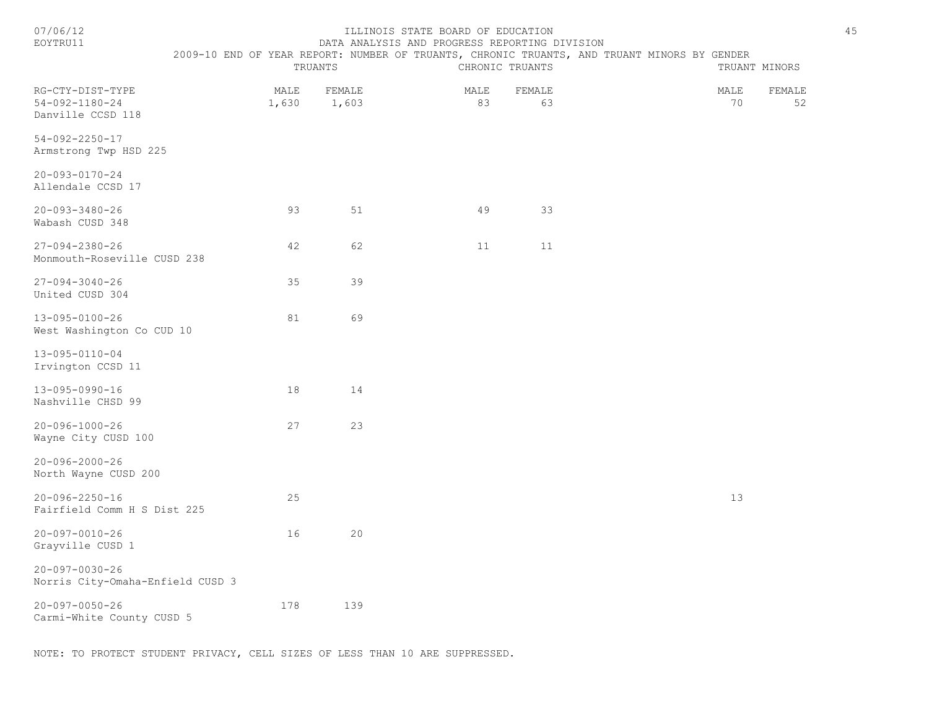| EOYTRU11                                                        |               |                 | DATA ANALYSIS AND PROGRESS REPORTING DIVISION |                 |                                                                                             |            |               |
|-----------------------------------------------------------------|---------------|-----------------|-----------------------------------------------|-----------------|---------------------------------------------------------------------------------------------|------------|---------------|
|                                                                 |               | TRUANTS         |                                               | CHRONIC TRUANTS | 2009-10 END OF YEAR REPORT: NUMBER OF TRUANTS, CHRONIC TRUANTS, AND TRUANT MINORS BY GENDER |            | TRUANT MINORS |
| RG-CTY-DIST-TYPE<br>$54 - 092 - 1180 - 24$<br>Danville CCSD 118 | MALE<br>1,630 | FEMALE<br>1,603 | MALE<br>83                                    | FEMALE<br>63    |                                                                                             | MALE<br>70 | FEMALE<br>52  |
| $54 - 092 - 2250 - 17$<br>Armstrong Twp HSD 225                 |               |                 |                                               |                 |                                                                                             |            |               |
| $20 - 093 - 0170 - 24$<br>Allendale CCSD 17                     |               |                 |                                               |                 |                                                                                             |            |               |
| $20 - 093 - 3480 - 26$<br>Wabash CUSD 348                       | 93            | 51              | 49                                            | 33              |                                                                                             |            |               |
| $27 - 094 - 2380 - 26$<br>Monmouth-Roseville CUSD 238           | 42            | 62              | 11                                            | 11              |                                                                                             |            |               |
| $27 - 094 - 3040 - 26$<br>United CUSD 304                       | 35            | 39              |                                               |                 |                                                                                             |            |               |
| 13-095-0100-26<br>West Washington Co CUD 10                     | 81            | 69              |                                               |                 |                                                                                             |            |               |
| 13-095-0110-04<br>Irvington CCSD 11                             |               |                 |                                               |                 |                                                                                             |            |               |
| 13-095-0990-16<br>Nashville CHSD 99                             | 18            | 14              |                                               |                 |                                                                                             |            |               |
| $20 - 096 - 1000 - 26$<br>Wayne City CUSD 100                   | 27            | 23              |                                               |                 |                                                                                             |            |               |
| $20 - 096 - 2000 - 26$<br>North Wayne CUSD 200                  |               |                 |                                               |                 |                                                                                             |            |               |
| $20 - 096 - 2250 - 16$<br>Fairfield Comm H S Dist 225           | 25            |                 |                                               |                 |                                                                                             | 13         |               |
| $20 - 097 - 0010 - 26$<br>Grayville CUSD 1                      | 16            | 20              |                                               |                 |                                                                                             |            |               |
| $20 - 097 - 0030 - 26$<br>Norris City-Omaha-Enfield CUSD 3      |               |                 |                                               |                 |                                                                                             |            |               |
| $20 - 097 - 0050 - 26$<br>Carmi-White County CUSD 5             | 178           | 139             |                                               |                 |                                                                                             |            |               |

NOTE: TO PROTECT STUDENT PRIVACY, CELL SIZES OF LESS THAN 10 ARE SUPPRESSED.

07/06/12 1ILLINOIS STATE BOARD OF EDUCATION 45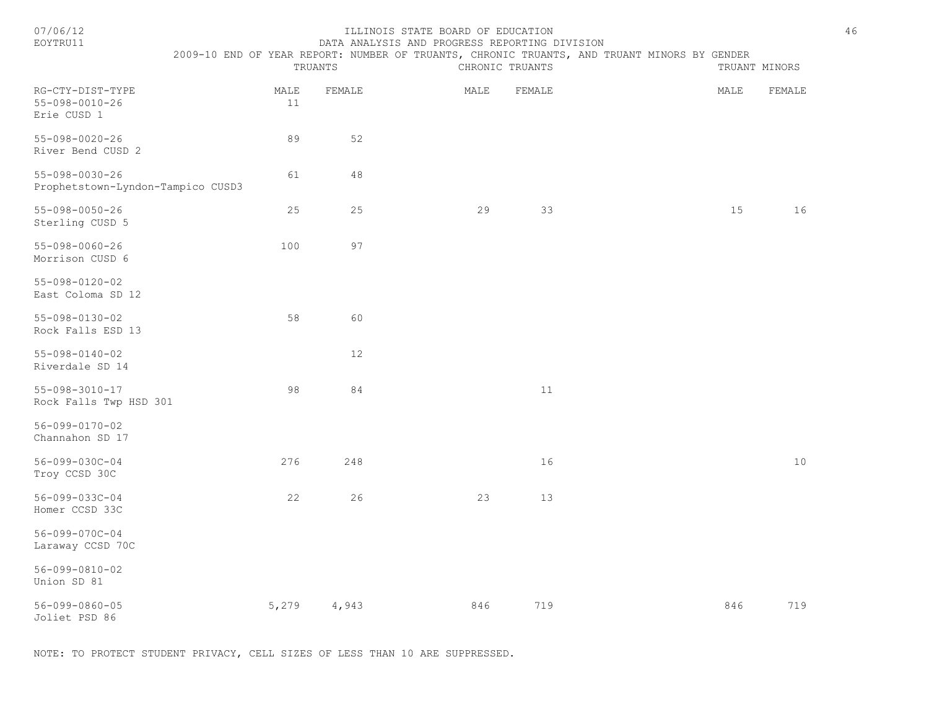#### ILLINOIS STATE BOARD OF EDUCATION 46 EOYTRU11 DATA ANALYSIS AND PROGRESS REPORTING DIVISION

 2009-10 END OF YEAR REPORT: NUMBER OF TRUANTS, CHRONIC TRUANTS, AND TRUANT MINORS BY GENDER TRUANTS CHRONIC TRUANTS TRUANT MINORS RG-CTY-DIST-TYPE MALE FEMALE MALE FEMALE MALE FEMALE 55-098-0010-26 11 Erie CUSD 1 55-098-0020-26 89 52 River Bend CUSD 2 55-098-0030-26 61 48 Prophetstown-Lyndon-Tampico CUSD3 55-098-0050-26 25 25 29 33 15 16 Sterling CUSD 5 55-098-0060-26 100 97 Morrison CUSD 6 55-098-0120-02 East Coloma SD 12 55-098-0130-02 58 60 Rock Falls ESD 13 55-098-0140-02 12 Riverdale SD 14 55-098-3010-17 98 84 11 Rock Falls Twp HSD 301 56-099-0170-02 Channahon SD 17 56-099-030C-04 276 248 16 10 Troy CCSD 30C 56-099-033C-04 22 26 23 13 Homer CCSD 33C 56-099-070C-04 Laraway CCSD 70C 56-099-0810-02 Union SD 81 56-099-0860-05 5,279 4,943 846 719 846 719 Joliet PSD 86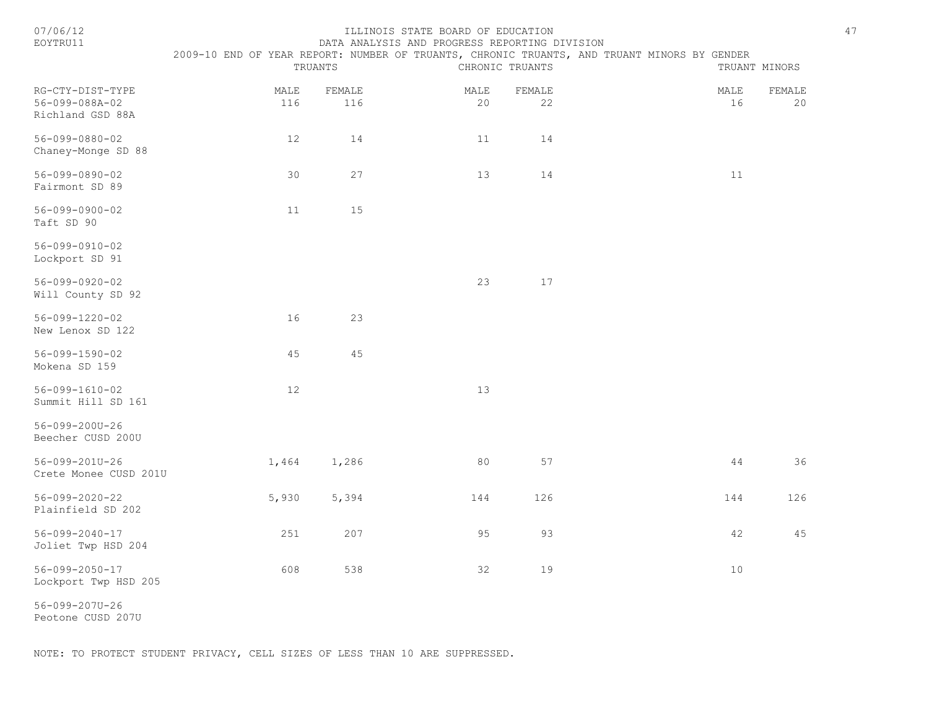| 07/06/12<br>EOYTRU11                                   | ILLINOIS STATE BOARD OF EDUCATION<br>DATA ANALYSIS AND PROGRESS REPORTING DIVISION |               |            |                 |                                                                                             |               |  |  |  |
|--------------------------------------------------------|------------------------------------------------------------------------------------|---------------|------------|-----------------|---------------------------------------------------------------------------------------------|---------------|--|--|--|
|                                                        |                                                                                    | TRUANTS       |            | CHRONIC TRUANTS | 2009-10 END OF YEAR REPORT: NUMBER OF TRUANTS, CHRONIC TRUANTS, AND TRUANT MINORS BY GENDER | TRUANT MINORS |  |  |  |
| RG-CTY-DIST-TYPE<br>56-099-088A-02<br>Richland GSD 88A | MALE<br>116                                                                        | FEMALE<br>116 | MALE<br>20 | FEMALE<br>22    | MALE<br>16                                                                                  | FEMALE<br>20  |  |  |  |
| $56 - 099 - 0880 - 02$<br>Chaney-Monge SD 88           | 12                                                                                 | 14            | 11         | 14              |                                                                                             |               |  |  |  |
| 56-099-0890-02<br>Fairmont SD 89                       | 30                                                                                 | 27            | 13         | 14              | 11                                                                                          |               |  |  |  |
| $56 - 099 - 0900 - 02$<br>Taft SD 90                   | 11                                                                                 | 15            |            |                 |                                                                                             |               |  |  |  |
| $56 - 099 - 0910 - 02$<br>Lockport SD 91               |                                                                                    |               |            |                 |                                                                                             |               |  |  |  |
| $56 - 099 - 0920 - 02$<br>Will County SD 92            |                                                                                    |               | 23         | 17              |                                                                                             |               |  |  |  |
| $56 - 099 - 1220 - 02$<br>New Lenox SD 122             | 16                                                                                 | 23            |            |                 |                                                                                             |               |  |  |  |
| $56 - 099 - 1590 - 02$<br>Mokena SD 159                | 45                                                                                 | 45            |            |                 |                                                                                             |               |  |  |  |
| $56 - 099 - 1610 - 02$<br>Summit Hill SD 161           | 12                                                                                 |               | 13         |                 |                                                                                             |               |  |  |  |
| 56-099-200U-26<br>Beecher CUSD 200U                    |                                                                                    |               |            |                 |                                                                                             |               |  |  |  |
| 56-099-201U-26<br>Crete Monee CUSD 201U                | 1,464                                                                              | 1,286         | 80         | 57              | 44                                                                                          | 36            |  |  |  |
| $56 - 099 - 2020 - 22$<br>Plainfield SD 202            | 5,930                                                                              | 5,394         | 144        | 126             | 144                                                                                         | 126           |  |  |  |
| $56 - 099 - 2040 - 17$<br>Joliet Twp HSD 204           | 251                                                                                | 207           | 95         | 93              | 42                                                                                          | 45            |  |  |  |
| $56 - 099 - 2050 - 17$<br>Lockport Twp HSD 205         | 608                                                                                | 538           | 32         | 19              | 10                                                                                          |               |  |  |  |
| 56-099-207U-26                                         |                                                                                    |               |            |                 |                                                                                             |               |  |  |  |

Peotone CUSD 207U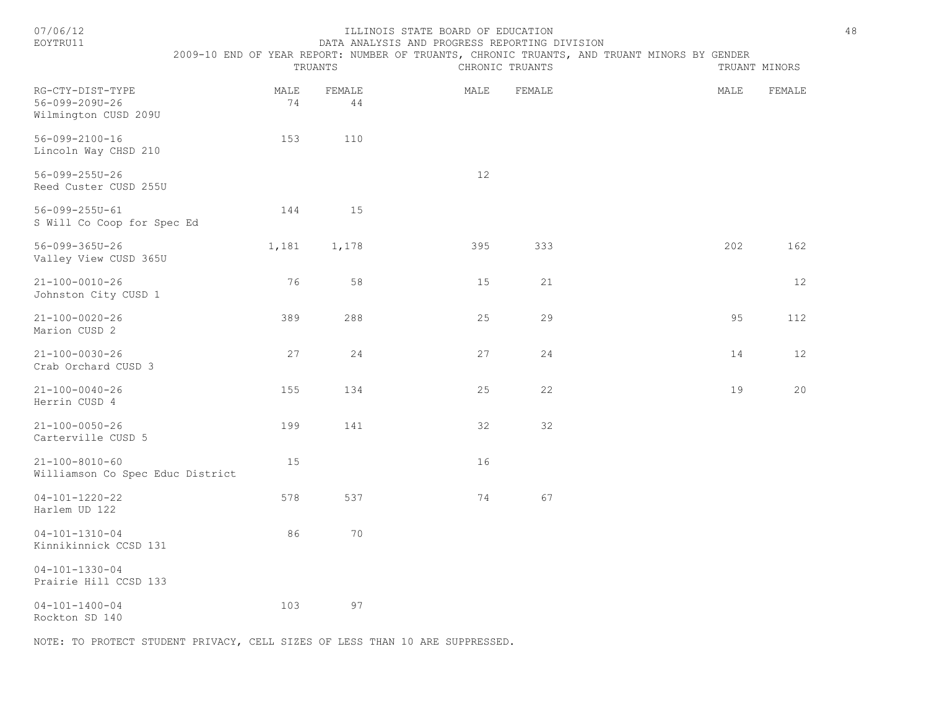| 07/06/12<br>EOYTRU11                                       |            | TRUANTS      | ILLINOIS STATE BOARD OF EDUCATION<br>DATA ANALYSIS AND PROGRESS REPORTING DIVISION | CHRONIC TRUANTS | 2009-10 END OF YEAR REPORT: NUMBER OF TRUANTS, CHRONIC TRUANTS, AND TRUANT MINORS BY GENDER | 48<br>TRUANT MINORS |
|------------------------------------------------------------|------------|--------------|------------------------------------------------------------------------------------|-----------------|---------------------------------------------------------------------------------------------|---------------------|
| RG-CTY-DIST-TYPE<br>56-099-209U-26<br>Wilmington CUSD 209U | MALE<br>74 | FEMALE<br>44 | MALE                                                                               | FEMALE          | MALE                                                                                        | FEMALE              |
| $56 - 099 - 2100 - 16$<br>Lincoln Way CHSD 210             | 153        | 110          |                                                                                    |                 |                                                                                             |                     |
| $56 - 099 - 255U - 26$<br>Reed Custer CUSD 255U            |            |              | 12                                                                                 |                 |                                                                                             |                     |
| 56-099-255U-61<br>S Will Co Coop for Spec Ed               | 144        | 15           |                                                                                    |                 |                                                                                             |                     |
| 56-099-365U-26<br>Valley View CUSD 365U                    | 1,181      | 1,178        | 395                                                                                | 333             | 202                                                                                         | 162                 |
| $21 - 100 - 0010 - 26$<br>Johnston City CUSD 1             | 76         | 58           | 15                                                                                 | 21              |                                                                                             | 12                  |
| $21 - 100 - 0020 - 26$<br>Marion CUSD 2                    | 389        | 288          | 25                                                                                 | 29              | 95                                                                                          | 112                 |
| $21 - 100 - 0030 - 26$<br>Crab Orchard CUSD 3              | 27         | 24           | 27                                                                                 | 24              | 14                                                                                          | 12                  |
| $21 - 100 - 0040 - 26$<br>Herrin CUSD 4                    | 155        | 134          | 25                                                                                 | 22              | 19                                                                                          | 20                  |
| $21 - 100 - 0050 - 26$<br>Carterville CUSD 5               | 199        | 141          | 32                                                                                 | 32              |                                                                                             |                     |
| $21 - 100 - 8010 - 60$<br>Williamson Co Spec Educ District | 15         |              | 16                                                                                 |                 |                                                                                             |                     |
| $04 - 101 - 1220 - 22$<br>Harlem UD 122                    | 578        | 537          | 74                                                                                 | 67              |                                                                                             |                     |
| $04 - 101 - 1310 - 04$<br>Kinnikinnick CCSD 131            | 86         | 70           |                                                                                    |                 |                                                                                             |                     |
| $04 - 101 - 1330 - 04$<br>Prairie Hill CCSD 133            |            |              |                                                                                    |                 |                                                                                             |                     |
| $04 - 101 - 1400 - 04$<br>Rockton SD 140                   | 103        | 97           |                                                                                    |                 |                                                                                             |                     |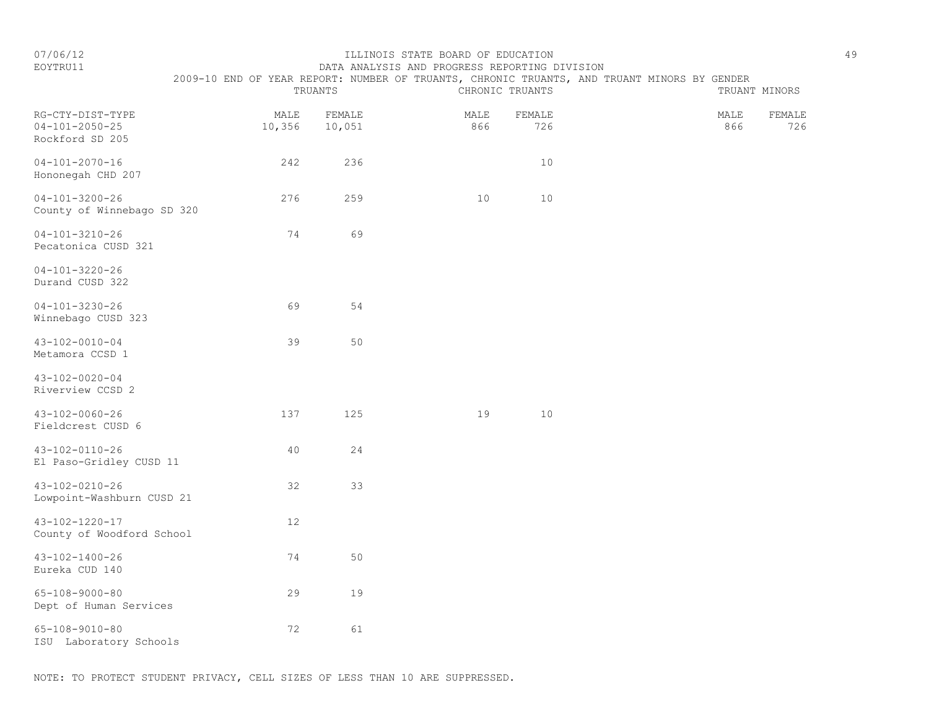#### 07/06/12 ILLINOIS STATE BOARD OF EDUCATION 49

EOYTRU11 DATA ANALYSIS AND PROGRESS REPORTING DIVISION

|                                                               |                | TRUANTS          |             | CHRONIC TRUANTS | 2009-10 END OF YEAR REPORT: NUMBER OF TRUANTS, CHRONIC TRUANTS, AND TRUANT MINORS BY GENDER |             | TRUANT MINORS |
|---------------------------------------------------------------|----------------|------------------|-------------|-----------------|---------------------------------------------------------------------------------------------|-------------|---------------|
| RG-CTY-DIST-TYPE<br>$04 - 101 - 2050 - 25$<br>Rockford SD 205 | MALE<br>10,356 | FEMALE<br>10,051 | MALE<br>866 | FEMALE<br>726   |                                                                                             | MALE<br>866 | FEMALE<br>726 |
| $04 - 101 - 2070 - 16$<br>Hononegah CHD 207                   | 242            | 236              |             | 10              |                                                                                             |             |               |
| $04 - 101 - 3200 - 26$<br>County of Winnebago SD 320          | 276            | 259              | 10          | 10              |                                                                                             |             |               |
| $04 - 101 - 3210 - 26$<br>Pecatonica CUSD 321                 | 74             | 69               |             |                 |                                                                                             |             |               |
| $04 - 101 - 3220 - 26$<br>Durand CUSD 322                     |                |                  |             |                 |                                                                                             |             |               |
| $04 - 101 - 3230 - 26$<br>Winnebago CUSD 323                  | 69             | 54               |             |                 |                                                                                             |             |               |

| Hononegah CHD 207                                    |     |     |    |    |  |
|------------------------------------------------------|-----|-----|----|----|--|
| $04 - 101 - 3200 - 26$<br>County of Winnebago SD 320 | 276 | 259 | 10 | 10 |  |
| $04 - 101 - 3210 - 26$<br>Pecatonica CUSD 321        | 74  | 69  |    |    |  |
| $04 - 101 - 3220 - 26$<br>Durand CUSD 322            |     |     |    |    |  |
| $04 - 101 - 3230 - 26$<br>Winnebago CUSD 323         | 69  | 54  |    |    |  |
| $43 - 102 - 0010 - 04$<br>Metamora CCSD 1            | 39  | 50  |    |    |  |
| $43 - 102 - 0020 - 04$<br>Riverview CCSD 2           |     |     |    |    |  |
| $43 - 102 - 0060 - 26$<br>Fieldcrest CUSD 6          | 137 | 125 | 19 | 10 |  |
| $43 - 102 - 0110 - 26$<br>El Paso-Gridley CUSD 11    | 40  | 24  |    |    |  |
| $43 - 102 - 0210 - 26$<br>Lowpoint-Washburn CUSD 21  | 32  | 33  |    |    |  |
| $43 - 102 - 1220 - 17$<br>County of Woodford School  | 12  |     |    |    |  |
| 43-102-1400-26<br>Eureka CUD 140                     | 74  | 50  |    |    |  |
| $65 - 108 - 9000 - 80$<br>Dept of Human Services     | 29  | 19  |    |    |  |
|                                                      |     |     |    |    |  |

65-108-9010-80 72 61

ISU Laboratory Schools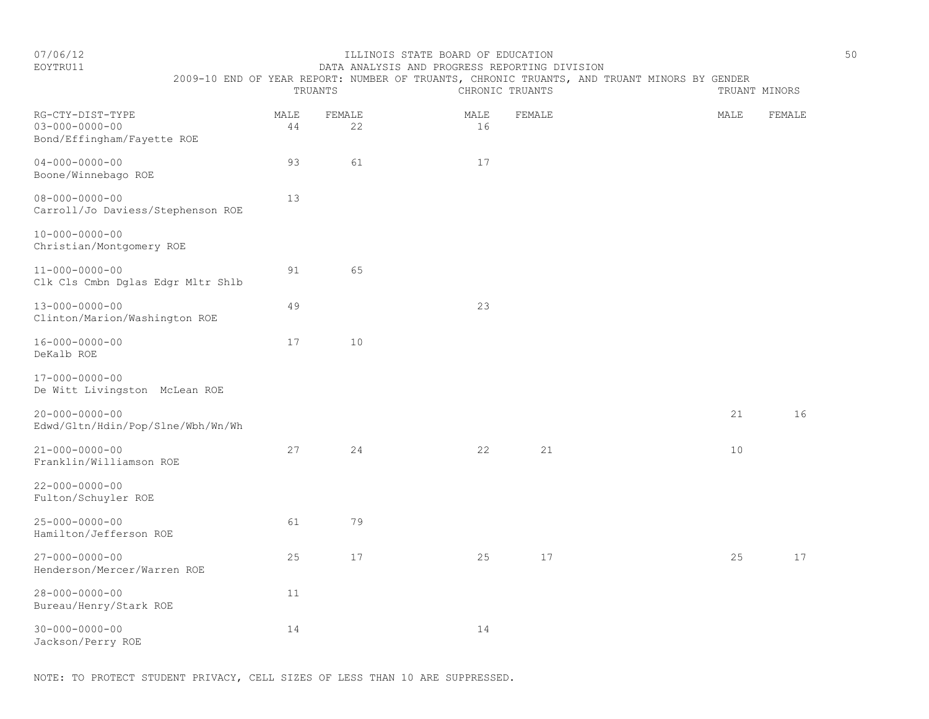### EOYTRU11 DATA ANALYSIS AND PROGRESS REPORTING DIVISION 2009-10 END OF YEAR REPORT: NUMBER OF TRUANTS, CHRONIC TRUANTS, AND TRUANT MINORS BY GENDER

TRUANTS CHRONIC TRUANTS TRUANT MINORS

| RG-CTY-DIST-TYPE<br>$03 - 000 - 0000 - 00$<br>Bond/Effingham/Fayette ROE | MALE<br>44 | FEMALE<br>22 | MALE<br>16 | FEMALE | MALE | FEMALE |
|--------------------------------------------------------------------------|------------|--------------|------------|--------|------|--------|
| $04 - 000 - 0000 - 00$<br>Boone/Winnebago ROE                            | 93         | 61           | 17         |        |      |        |
| $08 - 000 - 0000 - 00$<br>Carroll/Jo Daviess/Stephenson ROE              | 13         |              |            |        |      |        |
| $10 - 000 - 0000 - 00$<br>Christian/Montgomery ROE                       |            |              |            |        |      |        |
| $11 - 000 - 0000 - 00$<br>Clk Cls Cmbn Dglas Edgr Mltr Shlb              | 91         | 65           |            |        |      |        |
| $13 - 000 - 0000 - 00$<br>Clinton/Marion/Washington ROE                  | 49         |              | 23         |        |      |        |
| $16 - 000 - 0000 - 00$<br>DeKalb ROE                                     | 17         | 10           |            |        |      |        |
| $17 - 000 - 0000 - 00$<br>De Witt Livingston McLean ROE                  |            |              |            |        |      |        |
| $20 - 000 - 0000 - 00$<br>Edwd/Gltn/Hdin/Pop/Slne/Wbh/Wn/Wh              |            |              |            |        | 21   | 16     |
| $21 - 000 - 0000 - 00$<br>Franklin/Williamson ROE                        | 27         | 24           | 22         | 21     | 10   |        |
| $22 - 000 - 0000 - 00$<br>Fulton/Schuyler ROE                            |            |              |            |        |      |        |
| $25 - 000 - 0000 - 00$<br>Hamilton/Jefferson ROE                         | 61         | 79           |            |        |      |        |
| $27 - 000 - 0000 - 00$<br>Henderson/Mercer/Warren ROE                    | 25         | $17$         | 25         | 17     | 25   | 17     |
| $28 - 000 - 0000 - 00$<br>Bureau/Henry/Stark ROE                         | 11         |              |            |        |      |        |
| $30 - 000 - 0000 - 00$<br>Jackson/Perry ROE                              | 14         |              | 14         |        |      |        |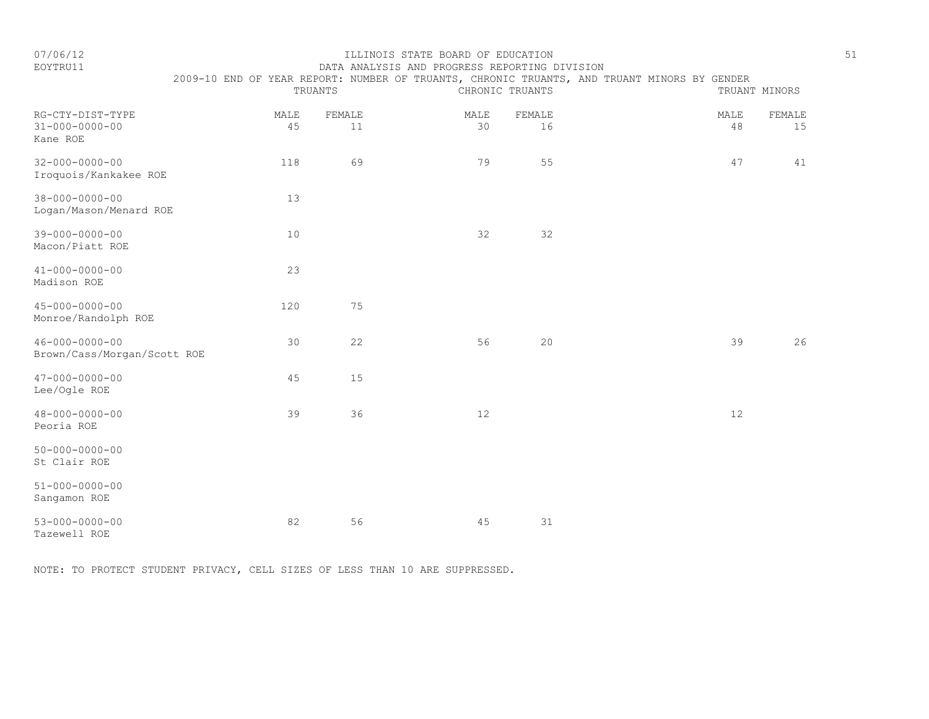EOYTRU11 DATA ANALYSIS AND PROGRESS REPORTING DIVISION

|                                                        |            | TRUANTS      |            | CHRONIC TRUANTS | 2009-10 END OF YEAR REPORT: NUMBER OF TRUANTS, CHRONIC TRUANTS, AND TRUANT MINORS BY GENDER |            | TRUANT MINORS |
|--------------------------------------------------------|------------|--------------|------------|-----------------|---------------------------------------------------------------------------------------------|------------|---------------|
| RG-CTY-DIST-TYPE<br>$31 - 000 - 0000 - 00$<br>Kane ROE | MALE<br>45 | FEMALE<br>11 | MALE<br>30 | FEMALE<br>16    |                                                                                             | MALE<br>48 | FEMALE<br>15  |
| $32 - 000 - 0000 - 00$<br>Iroquois/Kankakee ROE        | 118        | 69           | 79         | 55              |                                                                                             | 47         | 41            |
| $38 - 000 - 0000 - 00$<br>Logan/Mason/Menard ROE       | 13         |              |            |                 |                                                                                             |            |               |
| $39 - 000 - 0000 - 00$<br>Macon/Piatt ROE              | 10         |              | 32         | 32              |                                                                                             |            |               |
| $41 - 000 - 0000 - 00$<br>Madison ROE                  | 23         |              |            |                 |                                                                                             |            |               |
| $45 - 000 - 0000 - 00$<br>Monroe/Randolph ROE          | 120        | 75           |            |                 |                                                                                             |            |               |
| $46 - 000 - 0000 - 00$<br>Brown/Cass/Morgan/Scott ROE  | 30         | 22           | 56         | 20              |                                                                                             | 39         | 26            |
| $47 - 000 - 0000 - 00$<br>Lee/Ogle ROE                 | 45         | 15           |            |                 |                                                                                             |            |               |
| $48 - 000 - 0000 - 00$<br>Peoria ROE                   | 39         | 36           | $12$       |                 |                                                                                             | $12\,$     |               |
| $50 - 000 - 0000 - 00$<br>St Clair ROE                 |            |              |            |                 |                                                                                             |            |               |
| $51 - 000 - 0000 - 00$<br>Sangamon ROE                 |            |              |            |                 |                                                                                             |            |               |
| $53 - 000 - 0000 - 00$<br>Tazewell ROE                 | 82         | 56           | 45         | 31              |                                                                                             |            |               |